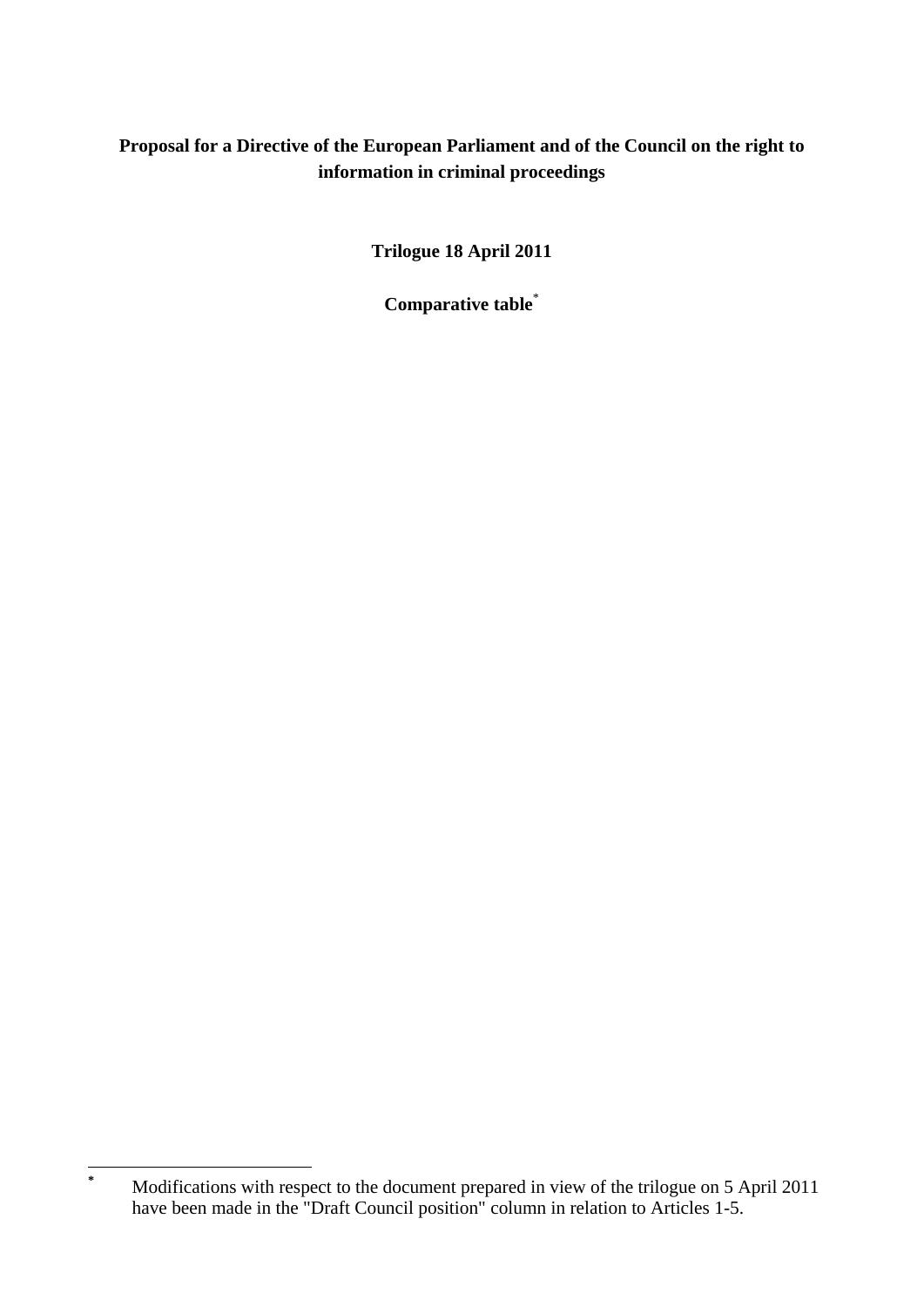## **Proposal for a Directive of the European Parliament and of the Council on the right to information in criminal proceedings**

**Trilogue 18 April 2011** 

**Comparative table**\*

**\***

Modifications with respect to the document prepared in view of the trilogue on 5 April 2011 have been made in the "Draft Council position" column in relation to Articles 1-5.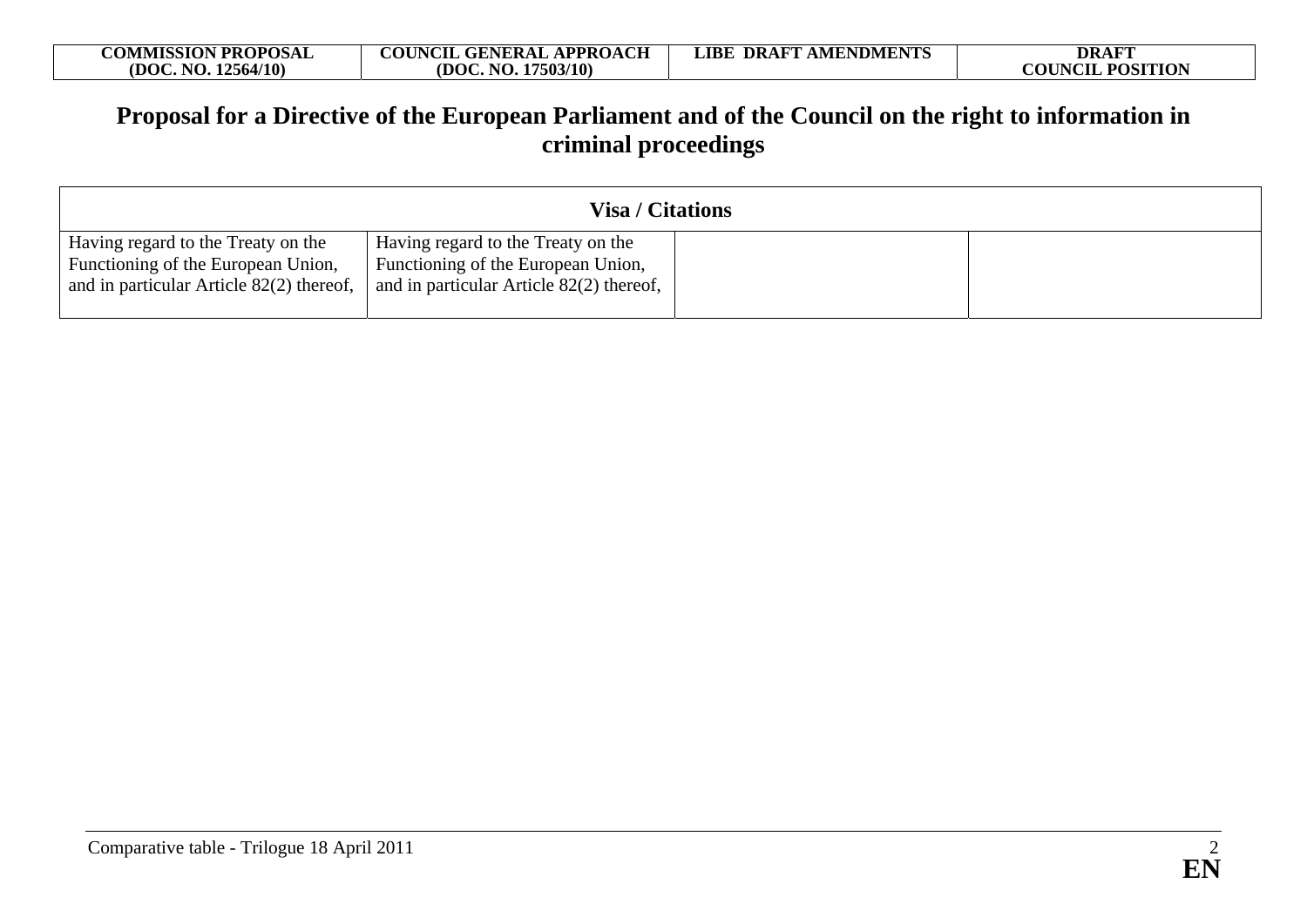| <b>COMMISSION PROPOSAL</b> | <b>COUNCIL GENERAL APPROACH</b> | <b>LIBE DRAFT AMENDMENTS</b> | <b>DRAFT</b>            |
|----------------------------|---------------------------------|------------------------------|-------------------------|
| .12564/10)<br>(DOC. NO.    | (DOC, NO. 17503/10)             |                              | <b>COUNCIL POSITION</b> |

## **Proposal for a Directive of the European Parliament and of the Council on the right to information in criminal proceedings**

| <b>Visa / Citations</b>                                                                                              |                                                                                                                             |  |  |
|----------------------------------------------------------------------------------------------------------------------|-----------------------------------------------------------------------------------------------------------------------------|--|--|
| Having regard to the Treaty on the<br>Functioning of the European Union,<br>and in particular Article 82(2) thereof, | Having regard to the Treaty on the<br><b>Functioning of the European Union,</b><br>and in particular Article 82(2) thereof, |  |  |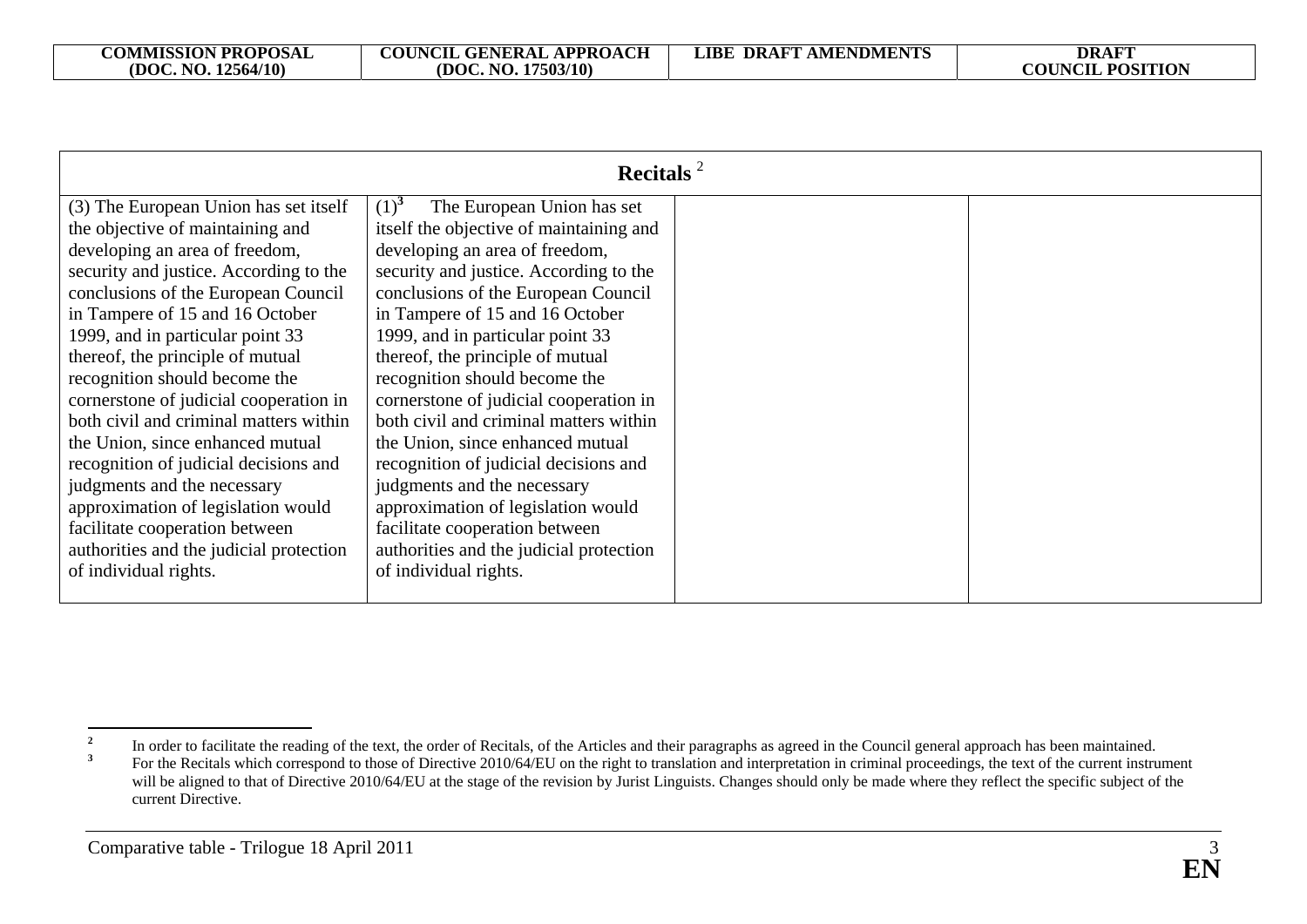|                                         | Recitals <sup>2</sup>                   |  |
|-----------------------------------------|-----------------------------------------|--|
| (3) The European Union has set itself   | $(1)^{3}$<br>The European Union has set |  |
| the objective of maintaining and        | itself the objective of maintaining and |  |
| developing an area of freedom,          | developing an area of freedom,          |  |
| security and justice. According to the  | security and justice. According to the  |  |
| conclusions of the European Council     | conclusions of the European Council     |  |
| in Tampere of 15 and 16 October         | in Tampere of 15 and 16 October         |  |
| 1999, and in particular point 33        | 1999, and in particular point 33        |  |
| thereof, the principle of mutual        | thereof, the principle of mutual        |  |
| recognition should become the           | recognition should become the           |  |
| cornerstone of judicial cooperation in  | cornerstone of judicial cooperation in  |  |
| both civil and criminal matters within  | both civil and criminal matters within  |  |
| the Union, since enhanced mutual        | the Union, since enhanced mutual        |  |
| recognition of judicial decisions and   | recognition of judicial decisions and   |  |
| judgments and the necessary             | judgments and the necessary             |  |
| approximation of legislation would      | approximation of legislation would      |  |
| facilitate cooperation between          | facilitate cooperation between          |  |
| authorities and the judicial protection | authorities and the judicial protection |  |
| of individual rights.                   | of individual rights.                   |  |
|                                         |                                         |  |

<sup>&</sup>lt;sup>2</sup> In order to facilitate the reading of the text, the order of Recitals, of the Articles and their paragraphs as agreed in the Council general approach has been maintained.<br>For the Bogitals which general to those of Dire **<sup>3</sup>** For the Recitals which correspond to those of Directive 2010/64/EU on the right to translation and interpretation in criminal proceedings, the text of the current instrument will be aligned to that of Directive 2010/64/EU at the stage of the revision by Jurist Linguists. Changes should only be made where they reflect the specific subject of the current Directive.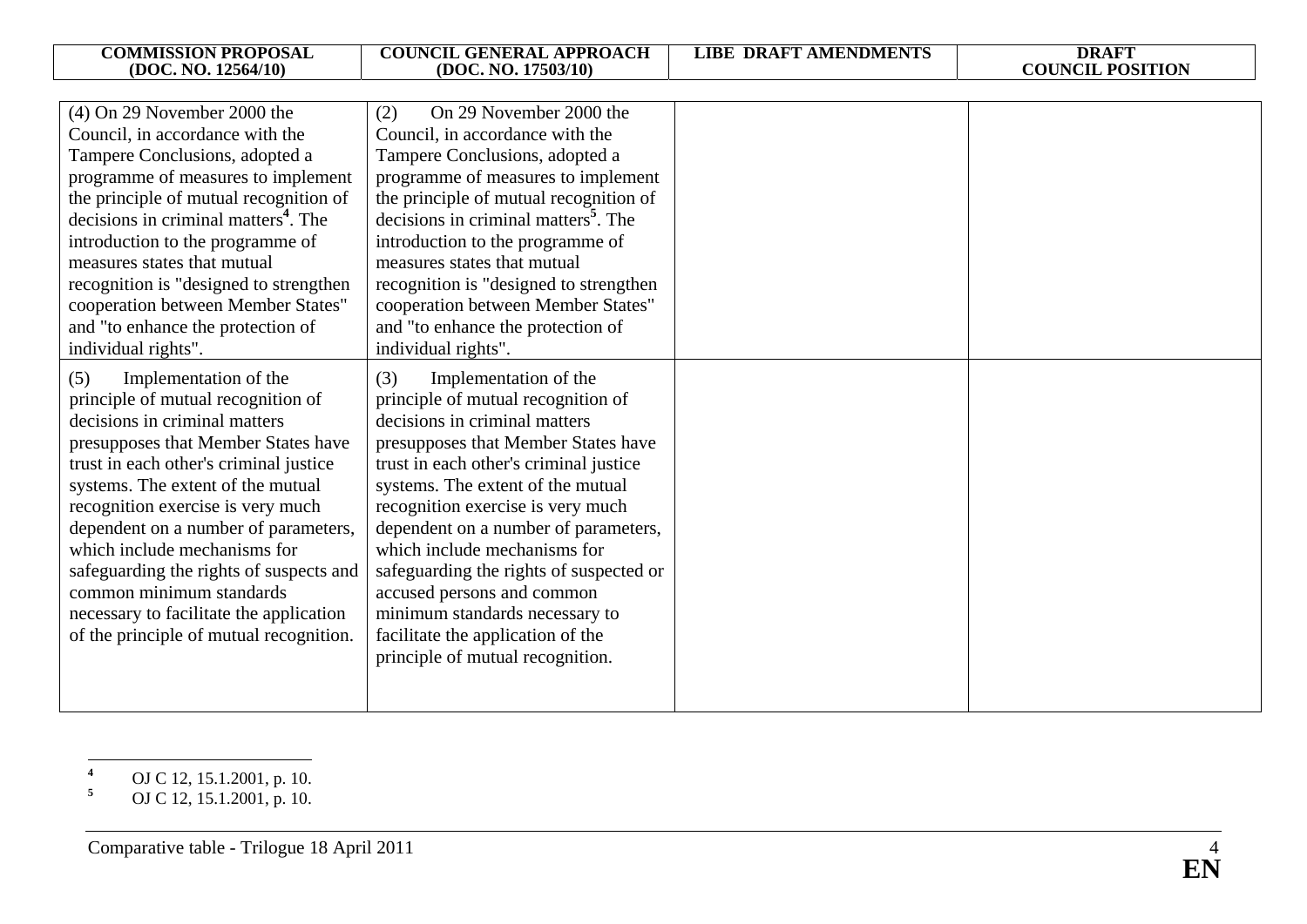| <b>COMMISSION PROPOSAL</b><br>(DOC. NO. 12564/10) | <b>COUNCIL GENERAL APPROACH</b><br>(DOC. NO. 17503/10) | <b>LIBE DRAFT AMENDMENTS</b> | <b>DRAFT</b><br><b>COUNCIL POSITION</b> |
|---------------------------------------------------|--------------------------------------------------------|------------------------------|-----------------------------------------|
|                                                   |                                                        |                              |                                         |
| $(4)$ On 29 November 2000 the                     | On 29 November 2000 the<br>(2)                         |                              |                                         |
| Council, in accordance with the                   | Council, in accordance with the                        |                              |                                         |
| Tampere Conclusions, adopted a                    | Tampere Conclusions, adopted a                         |                              |                                         |
| programme of measures to implement                | programme of measures to implement                     |                              |                                         |
| the principle of mutual recognition of            | the principle of mutual recognition of                 |                              |                                         |
| decisions in criminal matters <sup>4</sup> . The  | decisions in criminal matters <sup>5</sup> . The       |                              |                                         |
| introduction to the programme of                  | introduction to the programme of                       |                              |                                         |
| measures states that mutual                       | measures states that mutual                            |                              |                                         |
| recognition is "designed to strengthen            | recognition is "designed to strengthen                 |                              |                                         |
| cooperation between Member States"                | cooperation between Member States"                     |                              |                                         |
| and "to enhance the protection of                 | and "to enhance the protection of                      |                              |                                         |
| individual rights".                               | individual rights".                                    |                              |                                         |
| Implementation of the<br>(5)                      | Implementation of the<br>(3)                           |                              |                                         |
| principle of mutual recognition of                | principle of mutual recognition of                     |                              |                                         |
| decisions in criminal matters                     | decisions in criminal matters                          |                              |                                         |
| presupposes that Member States have               | presupposes that Member States have                    |                              |                                         |
| trust in each other's criminal justice            | trust in each other's criminal justice                 |                              |                                         |
| systems. The extent of the mutual                 | systems. The extent of the mutual                      |                              |                                         |
| recognition exercise is very much                 | recognition exercise is very much                      |                              |                                         |
| dependent on a number of parameters,              | dependent on a number of parameters,                   |                              |                                         |
| which include mechanisms for                      | which include mechanisms for                           |                              |                                         |
| safeguarding the rights of suspects and           | safeguarding the rights of suspected or                |                              |                                         |
| common minimum standards                          | accused persons and common                             |                              |                                         |
| necessary to facilitate the application           | minimum standards necessary to                         |                              |                                         |
| of the principle of mutual recognition.           | facilitate the application of the                      |                              |                                         |
|                                                   | principle of mutual recognition.                       |                              |                                         |
|                                                   |                                                        |                              |                                         |
|                                                   |                                                        |                              |                                         |

**<sup>4</sup>** OJ C 12, 15.1.2001, p. 10.

**<sup>5</sup>** OJ C 12, 15.1.2001, p. 10.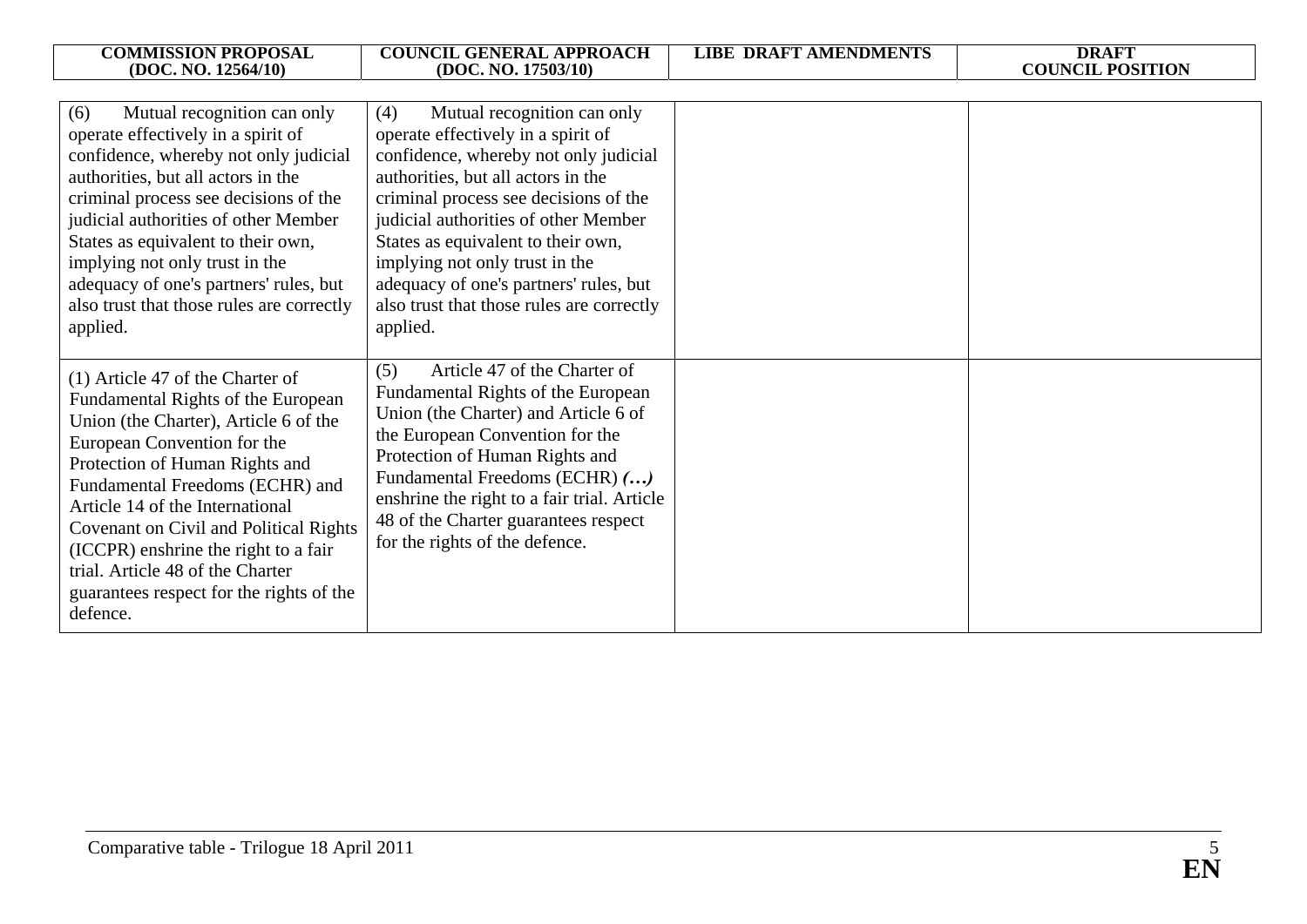| <b>COMMISSION PROPOSAL</b><br>(DOC. NO. 12564/10)                                                                                                                                                                                                                                                                                                                                                                                    | <b>COUNCIL GENERAL APPROACH</b><br>(DOC. NO. 17503/10)                                                                                                                                                                                                                                                                                                     | <b>LIBE DRAFT AMENDMENTS</b> | <b>DRAFT</b><br><b>COUNCIL POSITION</b> |
|--------------------------------------------------------------------------------------------------------------------------------------------------------------------------------------------------------------------------------------------------------------------------------------------------------------------------------------------------------------------------------------------------------------------------------------|------------------------------------------------------------------------------------------------------------------------------------------------------------------------------------------------------------------------------------------------------------------------------------------------------------------------------------------------------------|------------------------------|-----------------------------------------|
| Mutual recognition can only<br>(6)<br>operate effectively in a spirit of<br>confidence, whereby not only judicial<br>authorities, but all actors in the<br>criminal process see decisions of the<br>judicial authorities of other Member<br>States as equivalent to their own,<br>implying not only trust in the<br>adequacy of one's partners' rules, but                                                                           | Mutual recognition can only<br>(4)<br>operate effectively in a spirit of<br>confidence, whereby not only judicial<br>authorities, but all actors in the<br>criminal process see decisions of the<br>judicial authorities of other Member<br>States as equivalent to their own,<br>implying not only trust in the<br>adequacy of one's partners' rules, but |                              |                                         |
| also trust that those rules are correctly<br>applied.                                                                                                                                                                                                                                                                                                                                                                                | also trust that those rules are correctly<br>applied.<br>Article 47 of the Charter of<br>(5)                                                                                                                                                                                                                                                               |                              |                                         |
| (1) Article 47 of the Charter of<br>Fundamental Rights of the European<br>Union (the Charter), Article 6 of the<br>European Convention for the<br>Protection of Human Rights and<br>Fundamental Freedoms (ECHR) and<br>Article 14 of the International<br>Covenant on Civil and Political Rights<br>(ICCPR) enshrine the right to a fair<br>trial. Article 48 of the Charter<br>guarantees respect for the rights of the<br>defence. | Fundamental Rights of the European<br>Union (the Charter) and Article 6 of<br>the European Convention for the<br>Protection of Human Rights and<br>Fundamental Freedoms (ECHR) ()<br>enshrine the right to a fair trial. Article<br>48 of the Charter guarantees respect<br>for the rights of the defence.                                                 |                              |                                         |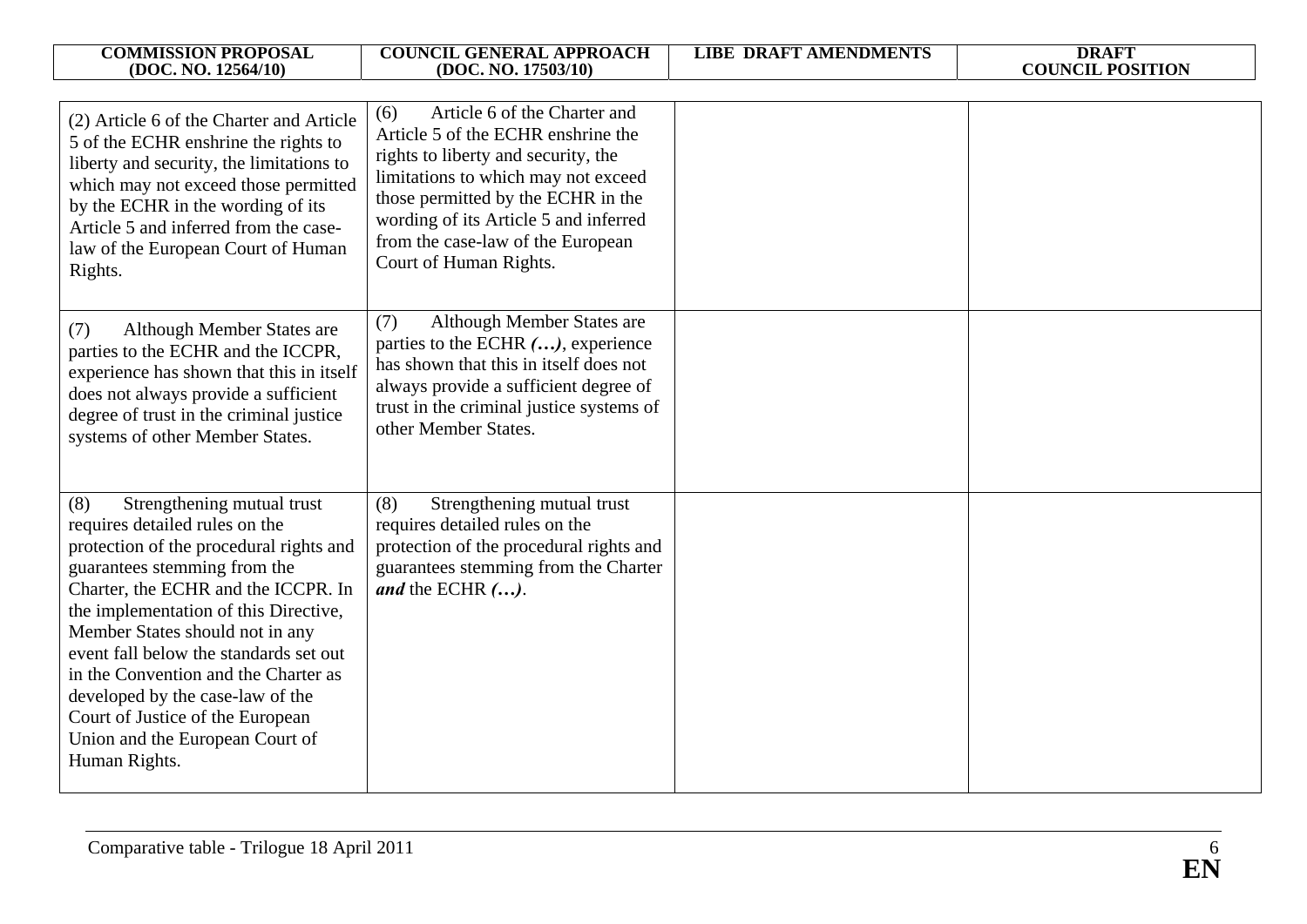| <b>COMMISSION PROPOSAL</b><br>(DOC. NO. 12564/10)                                                                                                                                                                                                                                                                                                                                                                                                                               | <b>COUNCIL GENERAL APPROACH</b><br>(DOC. NO. 17503/10)                                                                                                                                                                                                                                                | <b>LIBE DRAFT AMENDMENTS</b> | <b>DRAFT</b><br><b>COUNCIL POSITION</b> |
|---------------------------------------------------------------------------------------------------------------------------------------------------------------------------------------------------------------------------------------------------------------------------------------------------------------------------------------------------------------------------------------------------------------------------------------------------------------------------------|-------------------------------------------------------------------------------------------------------------------------------------------------------------------------------------------------------------------------------------------------------------------------------------------------------|------------------------------|-----------------------------------------|
|                                                                                                                                                                                                                                                                                                                                                                                                                                                                                 |                                                                                                                                                                                                                                                                                                       |                              |                                         |
| (2) Article 6 of the Charter and Article<br>5 of the ECHR enshrine the rights to<br>liberty and security, the limitations to<br>which may not exceed those permitted<br>by the ECHR in the wording of its<br>Article 5 and inferred from the case-<br>law of the European Court of Human<br>Rights.                                                                                                                                                                             | Article 6 of the Charter and<br>(6)<br>Article 5 of the ECHR enshrine the<br>rights to liberty and security, the<br>limitations to which may not exceed<br>those permitted by the ECHR in the<br>wording of its Article 5 and inferred<br>from the case-law of the European<br>Court of Human Rights. |                              |                                         |
| Although Member States are<br>(7)<br>parties to the ECHR and the ICCPR,<br>experience has shown that this in itself<br>does not always provide a sufficient<br>degree of trust in the criminal justice<br>systems of other Member States.                                                                                                                                                                                                                                       | (7)<br>Although Member States are<br>parties to the ECHR (), experience<br>has shown that this in itself does not<br>always provide a sufficient degree of<br>trust in the criminal justice systems of<br>other Member States.                                                                        |                              |                                         |
| Strengthening mutual trust<br>(8)<br>requires detailed rules on the<br>protection of the procedural rights and<br>guarantees stemming from the<br>Charter, the ECHR and the ICCPR. In<br>the implementation of this Directive,<br>Member States should not in any<br>event fall below the standards set out<br>in the Convention and the Charter as<br>developed by the case-law of the<br>Court of Justice of the European<br>Union and the European Court of<br>Human Rights. | (8)<br>Strengthening mutual trust<br>requires detailed rules on the<br>protection of the procedural rights and<br>guarantees stemming from the Charter<br><i>and</i> the ECHR $()$ .                                                                                                                  |                              |                                         |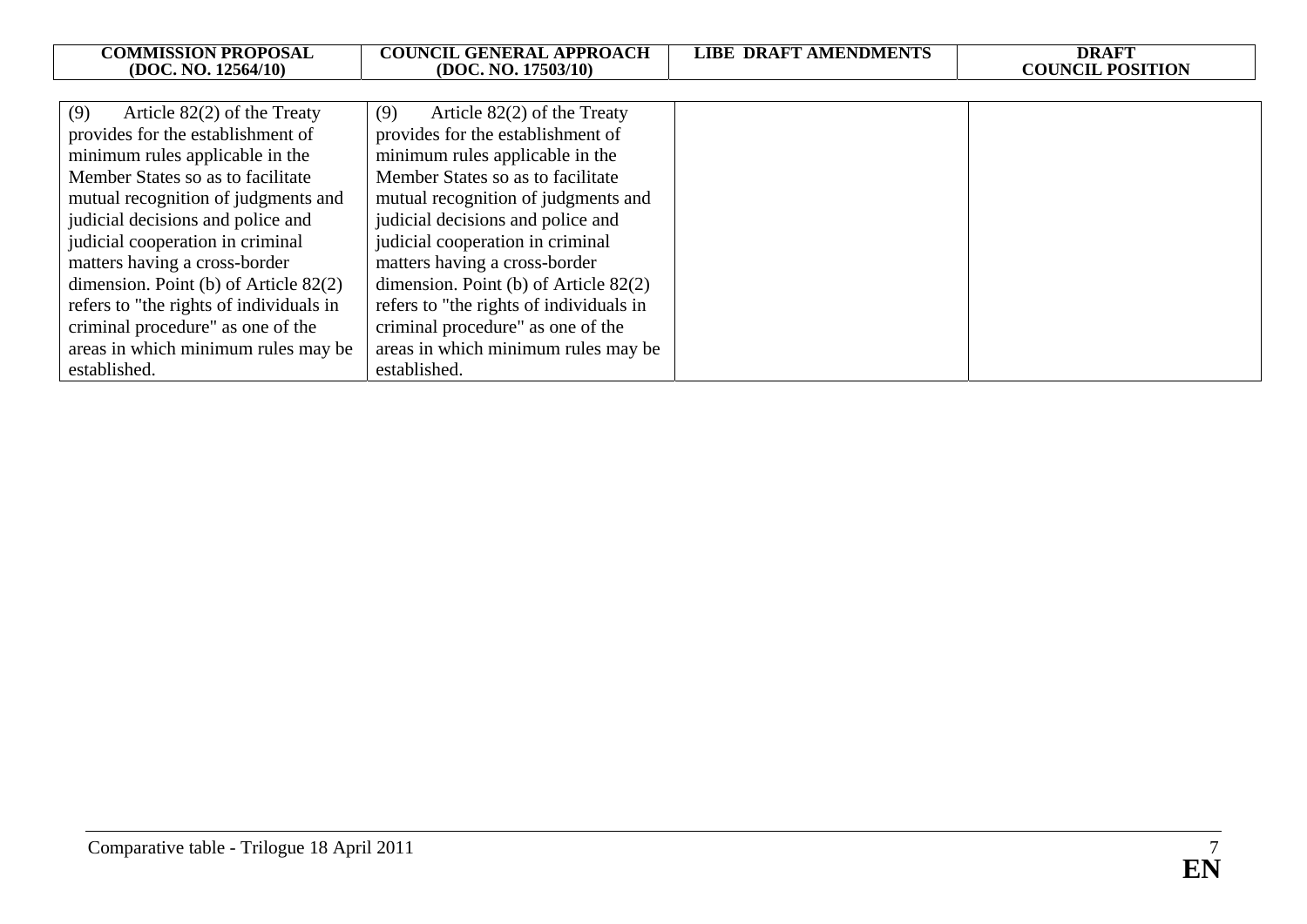| <b>COMMISSION PROPOSAL</b><br>(DOC. NO. 12564/10) | <b>COUNCIL GENERAL APPROACH</b><br>(DOC. NO. 17503/10) | <b>LIBE DRAFT AMENDMENTS</b> | <b>DRAFT</b><br><b>COUNCIL POSITION</b> |
|---------------------------------------------------|--------------------------------------------------------|------------------------------|-----------------------------------------|
|                                                   |                                                        |                              |                                         |
| (9)<br>Article $82(2)$ of the Treaty              | (9)<br>Article $82(2)$ of the Treaty                   |                              |                                         |
| provides for the establishment of                 | provides for the establishment of                      |                              |                                         |
| minimum rules applicable in the                   | minimum rules applicable in the                        |                              |                                         |
| Member States so as to facilitate                 | Member States so as to facilitate                      |                              |                                         |
| mutual recognition of judgments and               | mutual recognition of judgments and                    |                              |                                         |
| judicial decisions and police and                 | judicial decisions and police and                      |                              |                                         |
| judicial cooperation in criminal                  | judicial cooperation in criminal                       |                              |                                         |
| matters having a cross-border                     | matters having a cross-border                          |                              |                                         |
| dimension. Point (b) of Article $82(2)$           | dimension. Point (b) of Article $82(2)$                |                              |                                         |
| refers to "the rights of individuals in           | refers to "the rights of individuals in                |                              |                                         |
| criminal procedure" as one of the                 | criminal procedure" as one of the                      |                              |                                         |
| areas in which minimum rules may be               | areas in which minimum rules may be                    |                              |                                         |
| established.                                      | established.                                           |                              |                                         |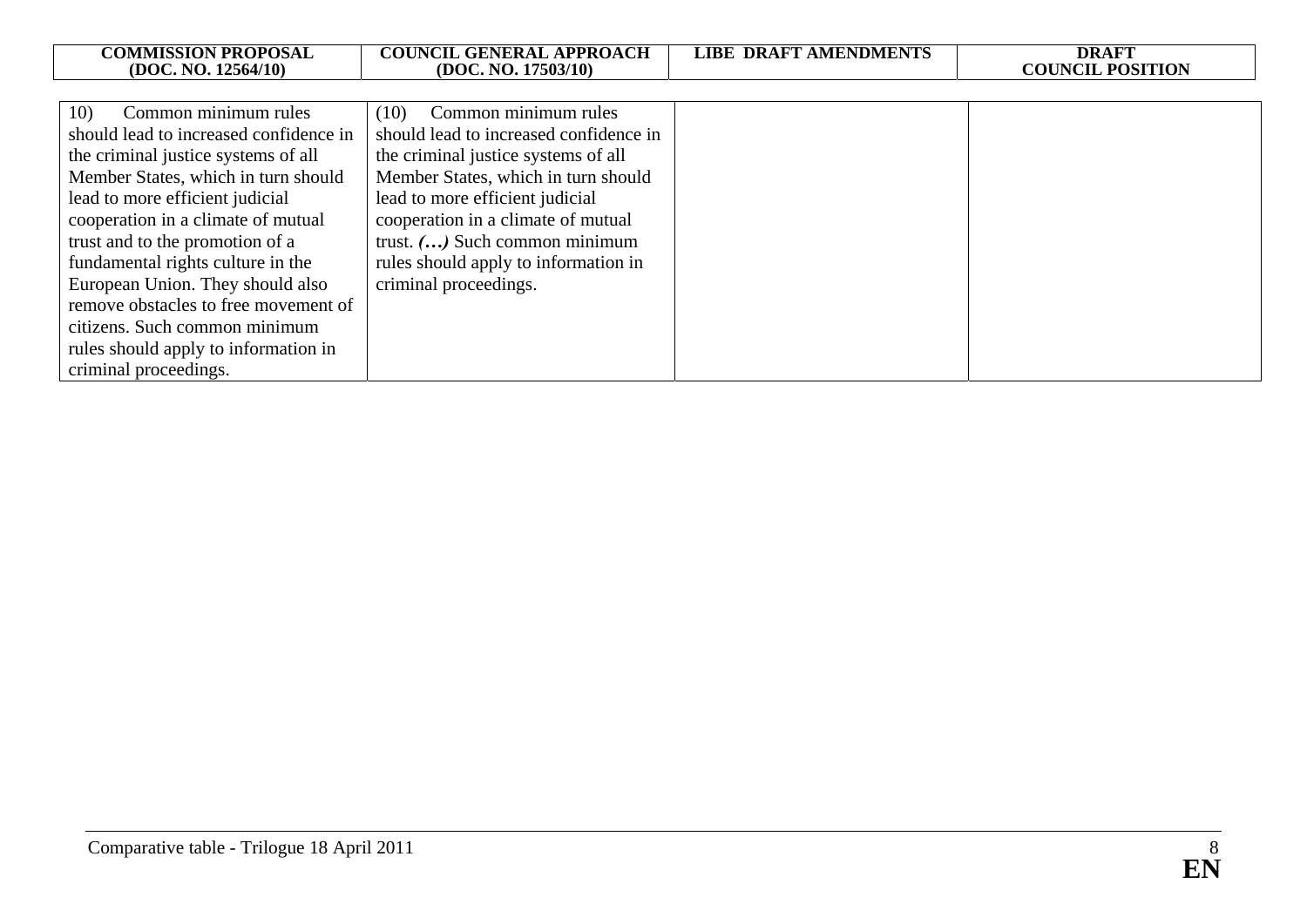| <b>COMMISSION PROPOSAL</b>             | <b>COUNCIL GENERAL APPROACH</b>        | <b>LIBE DRAFT AMENDMENTS</b> | <b>DRAFT</b>            |
|----------------------------------------|----------------------------------------|------------------------------|-------------------------|
| (DOC. NO. 12564/10)                    | (DOC. NO. 17503/10)                    |                              | <b>COUNCIL POSITION</b> |
|                                        |                                        |                              |                         |
| Common minimum rules<br>10)            | (10) Common minimum rules              |                              |                         |
| should lead to increased confidence in | should lead to increased confidence in |                              |                         |
| the criminal justice systems of all    | the criminal justice systems of all    |                              |                         |
| Member States, which in turn should    | Member States, which in turn should    |                              |                         |
| lead to more efficient judicial        | lead to more efficient judicial        |                              |                         |
| cooperation in a climate of mutual     | cooperation in a climate of mutual     |                              |                         |
| trust and to the promotion of a        | trust. () Such common minimum          |                              |                         |
| fundamental rights culture in the      | rules should apply to information in   |                              |                         |
| European Union. They should also       | criminal proceedings.                  |                              |                         |
| remove obstacles to free movement of   |                                        |                              |                         |
| citizens. Such common minimum          |                                        |                              |                         |
| rules should apply to information in   |                                        |                              |                         |
| criminal proceedings.                  |                                        |                              |                         |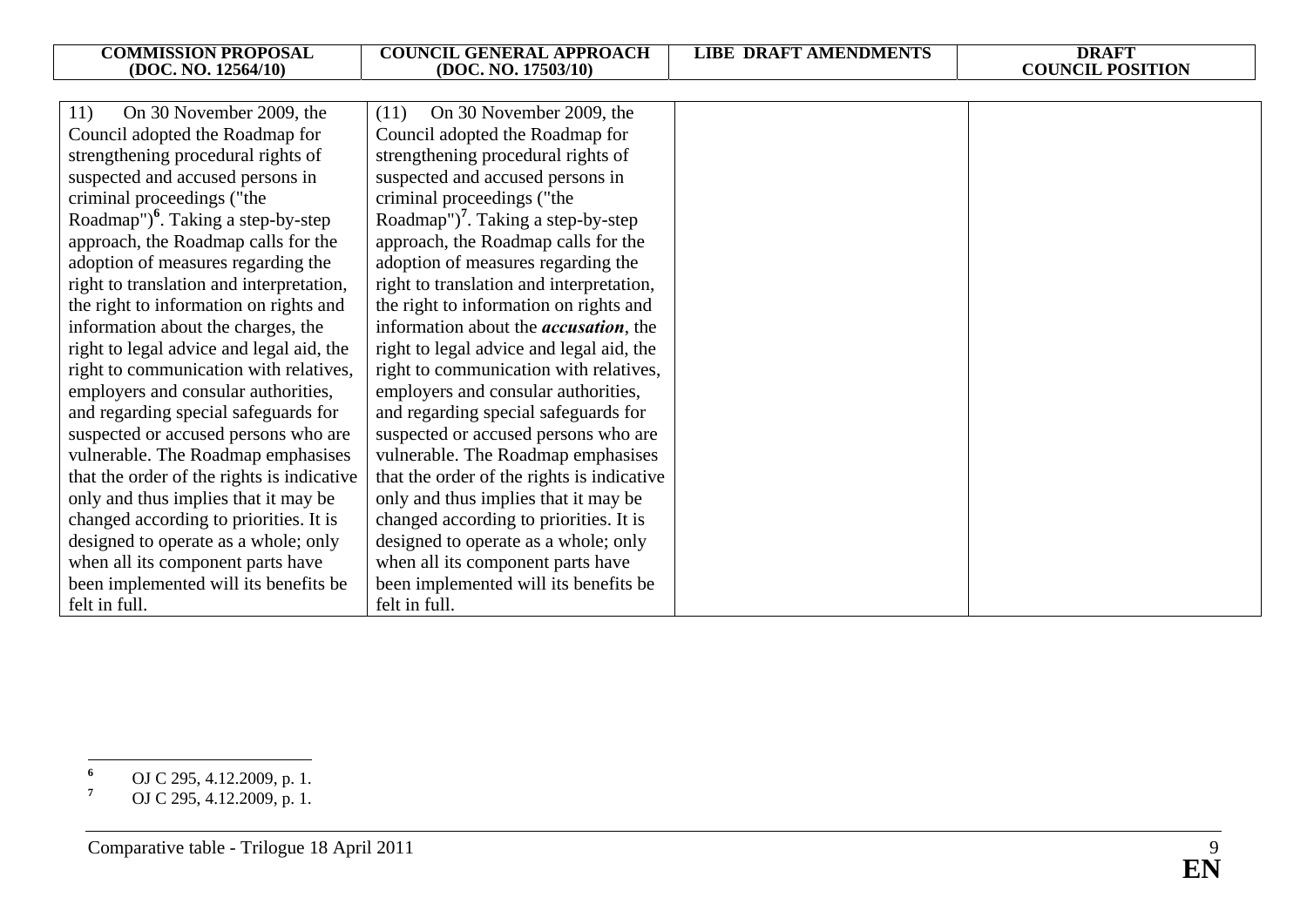| <b>COMMISSION PROPOSAL</b>                     | <b>COUNCIL GENERAL APPROACH</b>                | <b>LIBE DRAFT AMENDMENTS</b> | <b>DRAFT</b><br><b>COUNCIL POSITION</b> |
|------------------------------------------------|------------------------------------------------|------------------------------|-----------------------------------------|
| (DOC. NO. 12564/10)                            | (DOC. NO. 17503/10)                            |                              |                                         |
| On 30 November 2009, the<br>11)                | On 30 November 2009, the<br>(11)               |                              |                                         |
| Council adopted the Roadmap for                | Council adopted the Roadmap for                |                              |                                         |
| strengthening procedural rights of             | strengthening procedural rights of             |                              |                                         |
| suspected and accused persons in               | suspected and accused persons in               |                              |                                         |
| criminal proceedings ("the                     | criminal proceedings ("the                     |                              |                                         |
| Roadmap") <sup>6</sup> . Taking a step-by-step | Roadmap") <sup>7</sup> . Taking a step-by-step |                              |                                         |
| approach, the Roadmap calls for the            | approach, the Roadmap calls for the            |                              |                                         |
| adoption of measures regarding the             | adoption of measures regarding the             |                              |                                         |
| right to translation and interpretation,       | right to translation and interpretation,       |                              |                                         |
| the right to information on rights and         | the right to information on rights and         |                              |                                         |
| information about the charges, the             | information about the <i>accusation</i> , the  |                              |                                         |
| right to legal advice and legal aid, the       | right to legal advice and legal aid, the       |                              |                                         |
| right to communication with relatives,         | right to communication with relatives,         |                              |                                         |
| employers and consular authorities,            | employers and consular authorities,            |                              |                                         |
| and regarding special safeguards for           | and regarding special safeguards for           |                              |                                         |
| suspected or accused persons who are           | suspected or accused persons who are           |                              |                                         |
| vulnerable. The Roadmap emphasises             | vulnerable. The Roadmap emphasises             |                              |                                         |
| that the order of the rights is indicative     | that the order of the rights is indicative     |                              |                                         |
| only and thus implies that it may be           | only and thus implies that it may be           |                              |                                         |
| changed according to priorities. It is         | changed according to priorities. It is         |                              |                                         |
|                                                |                                                |                              |                                         |
| designed to operate as a whole; only           | designed to operate as a whole; only           |                              |                                         |
| when all its component parts have              | when all its component parts have              |                              |                                         |
| been implemented will its benefits be          | been implemented will its benefits be          |                              |                                         |
| felt in full.                                  | felt in full.                                  |                              |                                         |

**<sup>6</sup>** OJ C 295, 4.12.2009, p. 1.

**<sup>7</sup>** OJ C 295, 4.12.2009, p. 1.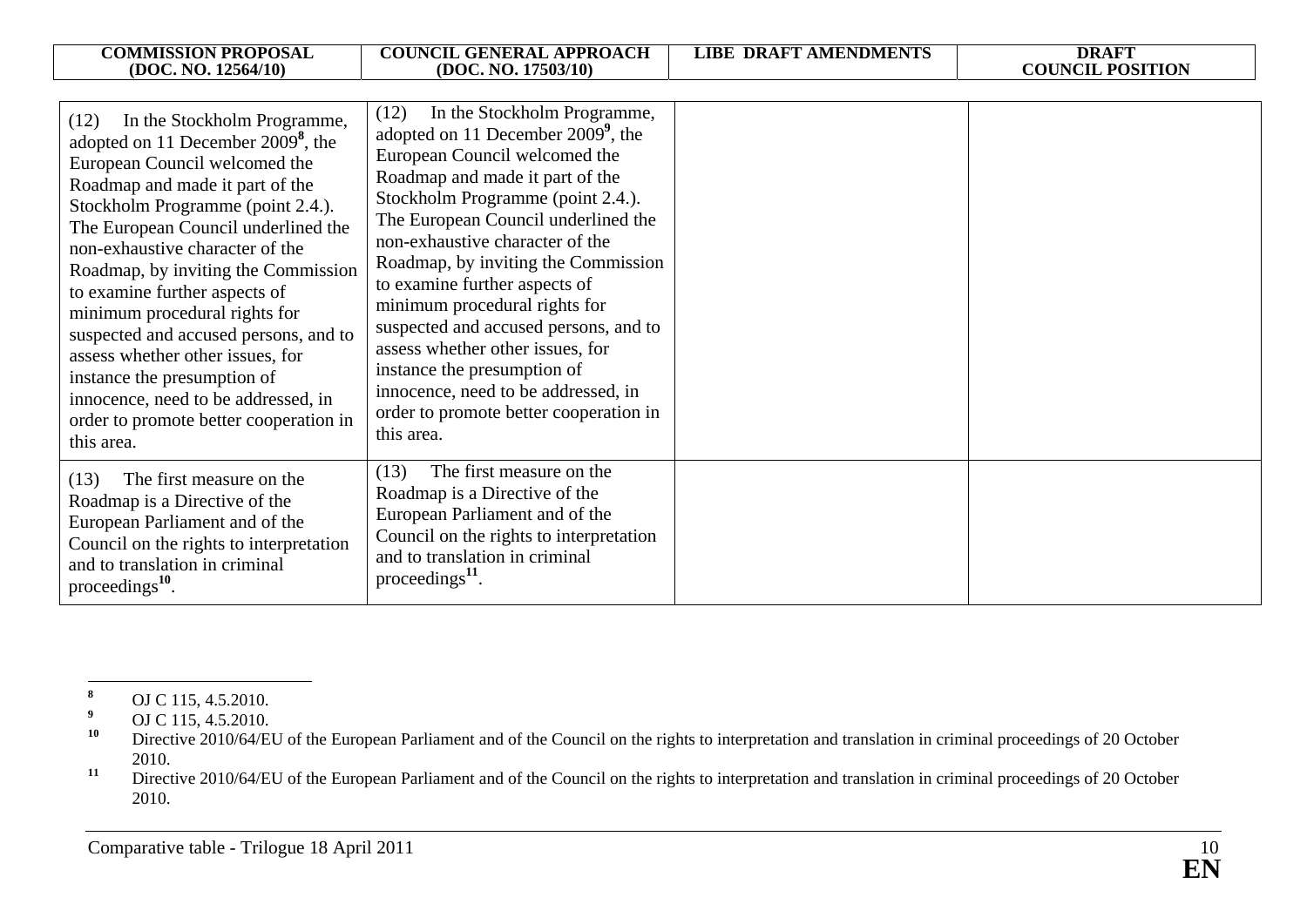|                                                                                                                                                                                                                                                                                                                                                                                                                                                                        | <b>COUNCIL GENERAL APPROACH</b>                                                                                                                                                                                                                                                                                                                                                                                                                   | <b>LIBE DRAFT AMENDMENTS</b> | <b>DRAFT</b>            |
|------------------------------------------------------------------------------------------------------------------------------------------------------------------------------------------------------------------------------------------------------------------------------------------------------------------------------------------------------------------------------------------------------------------------------------------------------------------------|---------------------------------------------------------------------------------------------------------------------------------------------------------------------------------------------------------------------------------------------------------------------------------------------------------------------------------------------------------------------------------------------------------------------------------------------------|------------------------------|-------------------------|
| <b>COMMISSION PROPOSAL</b><br>(DOC. NO. 12564/10)<br>In the Stockholm Programme,<br>(12)<br>adopted on 11 December $2009^8$ , the<br>European Council welcomed the<br>Roadmap and made it part of the<br>Stockholm Programme (point 2.4.).<br>The European Council underlined the<br>non-exhaustive character of the<br>Roadmap, by inviting the Commission<br>to examine further aspects of<br>minimum procedural rights for<br>suspected and accused persons, and to | (DOC. NO. 17503/10)<br>In the Stockholm Programme,<br>(12)<br>adopted on 11 December 2009 <sup>9</sup> , the<br>European Council welcomed the<br>Roadmap and made it part of the<br>Stockholm Programme (point 2.4.).<br>The European Council underlined the<br>non-exhaustive character of the<br>Roadmap, by inviting the Commission<br>to examine further aspects of<br>minimum procedural rights for<br>suspected and accused persons, and to |                              | <b>COUNCIL POSITION</b> |
| assess whether other issues, for<br>instance the presumption of<br>innocence, need to be addressed, in<br>order to promote better cooperation in<br>this area.                                                                                                                                                                                                                                                                                                         | assess whether other issues, for<br>instance the presumption of<br>innocence, need to be addressed, in<br>order to promote better cooperation in<br>this area.                                                                                                                                                                                                                                                                                    |                              |                         |
| The first measure on the<br>(13)<br>Roadmap is a Directive of the<br>European Parliament and of the<br>Council on the rights to interpretation<br>and to translation in criminal<br>proceedings $^{10}$ .                                                                                                                                                                                                                                                              | The first measure on the<br>(13)<br>Roadmap is a Directive of the<br>European Parliament and of the<br>Council on the rights to interpretation<br>and to translation in criminal<br>proceedings $^{11}$ .                                                                                                                                                                                                                                         |                              |                         |

**<sup>8</sup>** OJ C 115, 4.5.2010.

<sup>&</sup>lt;sup>9</sup> OJ C 115, 4.5.2010.

**<sup>10</sup>** Directive 2010/64/EU of the European Parliament and of the Council on the rights to interpretation and translation in criminal proceedings of 20 October 2010.

<sup>&</sup>lt;sup>11</sup> Directive 2010/64/EU of the European Parliament and of the Council on the rights to interpretation and translation in criminal proceedings of 20 October 2010.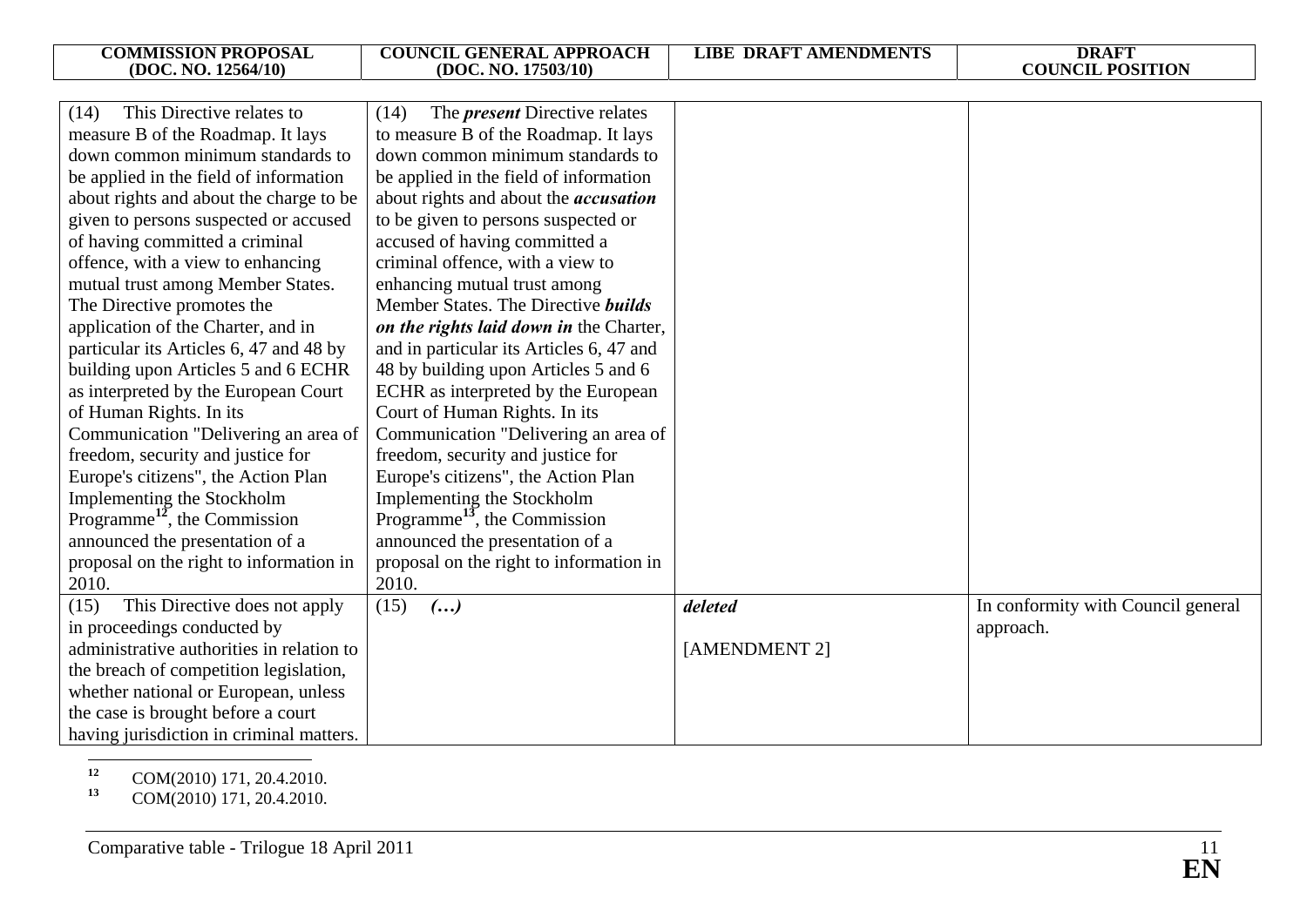| <b>COMMISSION PROPOSAL</b><br>(DOC. NO. 12564/10) | <b>COUNCIL GENERAL APPROACH</b><br>(DOC. NO. 17503/10) | <b>LIBE DRAFT AMENDMENTS</b> | <b>DRAFT</b><br><b>COUNCIL POSITION</b> |
|---------------------------------------------------|--------------------------------------------------------|------------------------------|-----------------------------------------|
|                                                   |                                                        |                              |                                         |
| This Directive relates to<br>(14)                 | The <i>present</i> Directive relates<br>(14)           |                              |                                         |
| measure B of the Roadmap. It lays                 | to measure B of the Roadmap. It lays                   |                              |                                         |
| down common minimum standards to                  | down common minimum standards to                       |                              |                                         |
| be applied in the field of information            | be applied in the field of information                 |                              |                                         |
| about rights and about the charge to be           | about rights and about the <i>accusation</i>           |                              |                                         |
| given to persons suspected or accused             | to be given to persons suspected or                    |                              |                                         |
| of having committed a criminal                    | accused of having committed a                          |                              |                                         |
| offence, with a view to enhancing                 | criminal offence, with a view to                       |                              |                                         |
| mutual trust among Member States.                 | enhancing mutual trust among                           |                              |                                         |
| The Directive promotes the                        | Member States. The Directive builds                    |                              |                                         |
| application of the Charter, and in                | on the rights laid down in the Charter,                |                              |                                         |
| particular its Articles 6, 47 and 48 by           | and in particular its Articles 6, 47 and               |                              |                                         |
| building upon Articles 5 and 6 ECHR               | 48 by building upon Articles 5 and 6                   |                              |                                         |
| as interpreted by the European Court              | ECHR as interpreted by the European                    |                              |                                         |
| of Human Rights. In its                           | Court of Human Rights. In its                          |                              |                                         |
| Communication "Delivering an area of              | Communication "Delivering an area of                   |                              |                                         |
| freedom, security and justice for                 | freedom, security and justice for                      |                              |                                         |
| Europe's citizens", the Action Plan               | Europe's citizens", the Action Plan                    |                              |                                         |
| Implementing the Stockholm                        | Implementing the Stockholm                             |                              |                                         |
| Programme <sup>12</sup> , the Commission          | Programme <sup>13</sup> , the Commission               |                              |                                         |
| announced the presentation of a                   | announced the presentation of a                        |                              |                                         |
| proposal on the right to information in           | proposal on the right to information in                |                              |                                         |
| 2010.                                             | 2010.                                                  |                              |                                         |
| This Directive does not apply<br>(15)             | (15)<br>$\left( \ldots \right)$                        | deleted                      | In conformity with Council general      |
| in proceedings conducted by                       |                                                        |                              | approach.                               |
| administrative authorities in relation to         |                                                        | [AMENDMENT 2]                |                                         |
| the breach of competition legislation,            |                                                        |                              |                                         |
| whether national or European, unless              |                                                        |                              |                                         |
| the case is brought before a court                |                                                        |                              |                                         |
| having jurisdiction in criminal matters.          |                                                        |                              |                                         |

**<sup>12</sup>** COM(2010) 171, 20.4.2010.

**<sup>13</sup>** COM(2010) 171, 20.4.2010.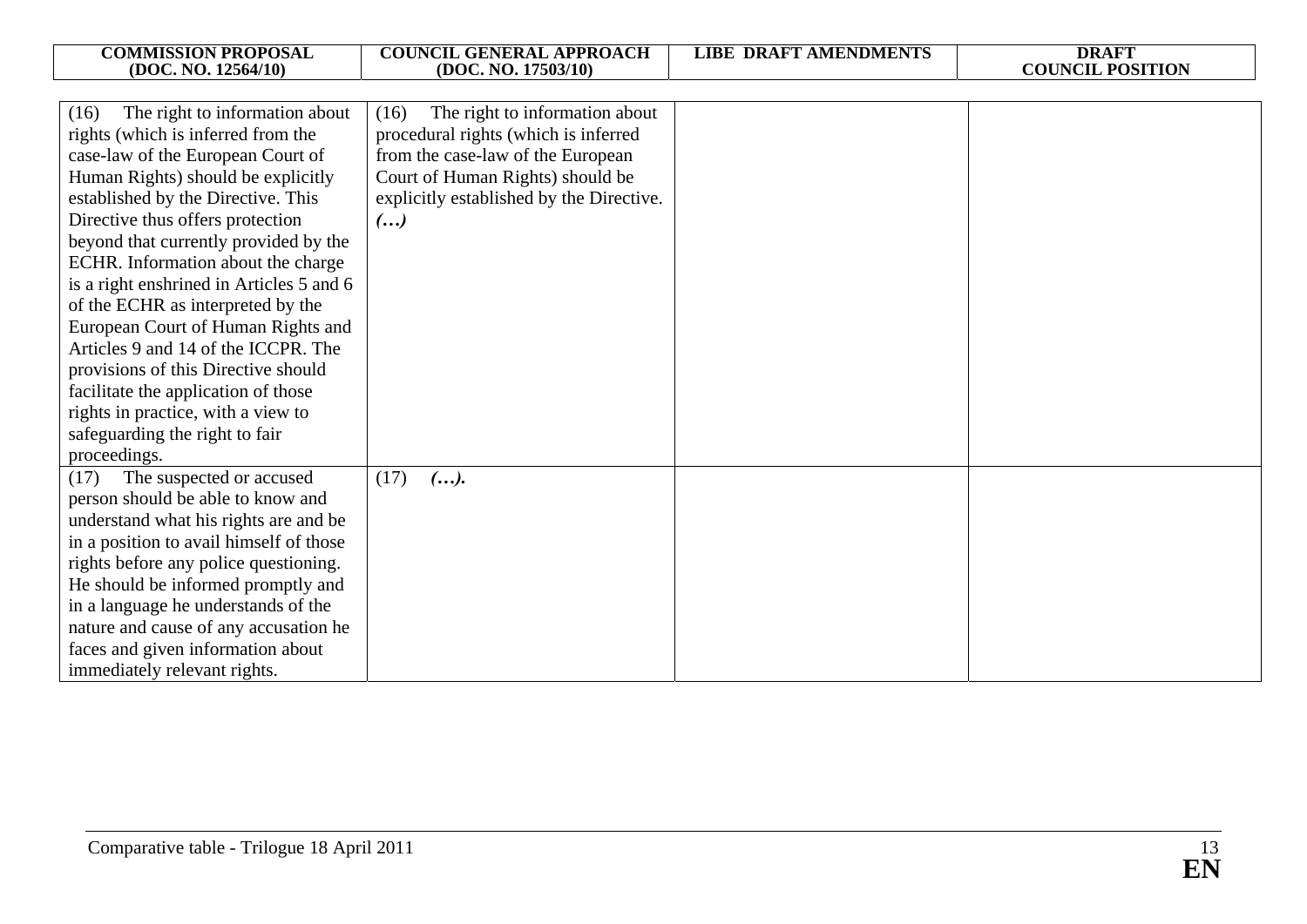| <b>COMMISSION PROPOSAL</b><br>(DOC. NO. 12564/10)                                                                                                                                                                                                                                                                                                                                                                                                                                                                                                                                                                                                    | <b>COUNCIL GENERAL APPROACH</b><br>(DOC. NO. 17503/10)                                                                                                                                                                         | <b>LIBE DRAFT AMENDMENTS</b> | <b>DRAFT</b><br><b>COUNCIL POSITION</b> |
|------------------------------------------------------------------------------------------------------------------------------------------------------------------------------------------------------------------------------------------------------------------------------------------------------------------------------------------------------------------------------------------------------------------------------------------------------------------------------------------------------------------------------------------------------------------------------------------------------------------------------------------------------|--------------------------------------------------------------------------------------------------------------------------------------------------------------------------------------------------------------------------------|------------------------------|-----------------------------------------|
|                                                                                                                                                                                                                                                                                                                                                                                                                                                                                                                                                                                                                                                      |                                                                                                                                                                                                                                |                              |                                         |
| The right to information about<br>(16)<br>rights (which is inferred from the<br>case-law of the European Court of<br>Human Rights) should be explicitly<br>established by the Directive. This<br>Directive thus offers protection<br>beyond that currently provided by the<br>ECHR. Information about the charge<br>is a right enshrined in Articles 5 and 6<br>of the ECHR as interpreted by the<br>European Court of Human Rights and<br>Articles 9 and 14 of the ICCPR. The<br>provisions of this Directive should<br>facilitate the application of those<br>rights in practice, with a view to<br>safeguarding the right to fair<br>proceedings. | The right to information about<br>(16)<br>procedural rights (which is inferred<br>from the case-law of the European<br>Court of Human Rights) should be<br>explicitly established by the Directive.<br>$\left( \ldots \right)$ |                              |                                         |
| The suspected or accused<br>(17)<br>person should be able to know and<br>understand what his rights are and be<br>in a position to avail himself of those<br>rights before any police questioning.<br>He should be informed promptly and<br>in a language he understands of the<br>nature and cause of any accusation he<br>faces and given information about<br>immediately relevant rights.                                                                                                                                                                                                                                                        | (17)<br>().                                                                                                                                                                                                                    |                              |                                         |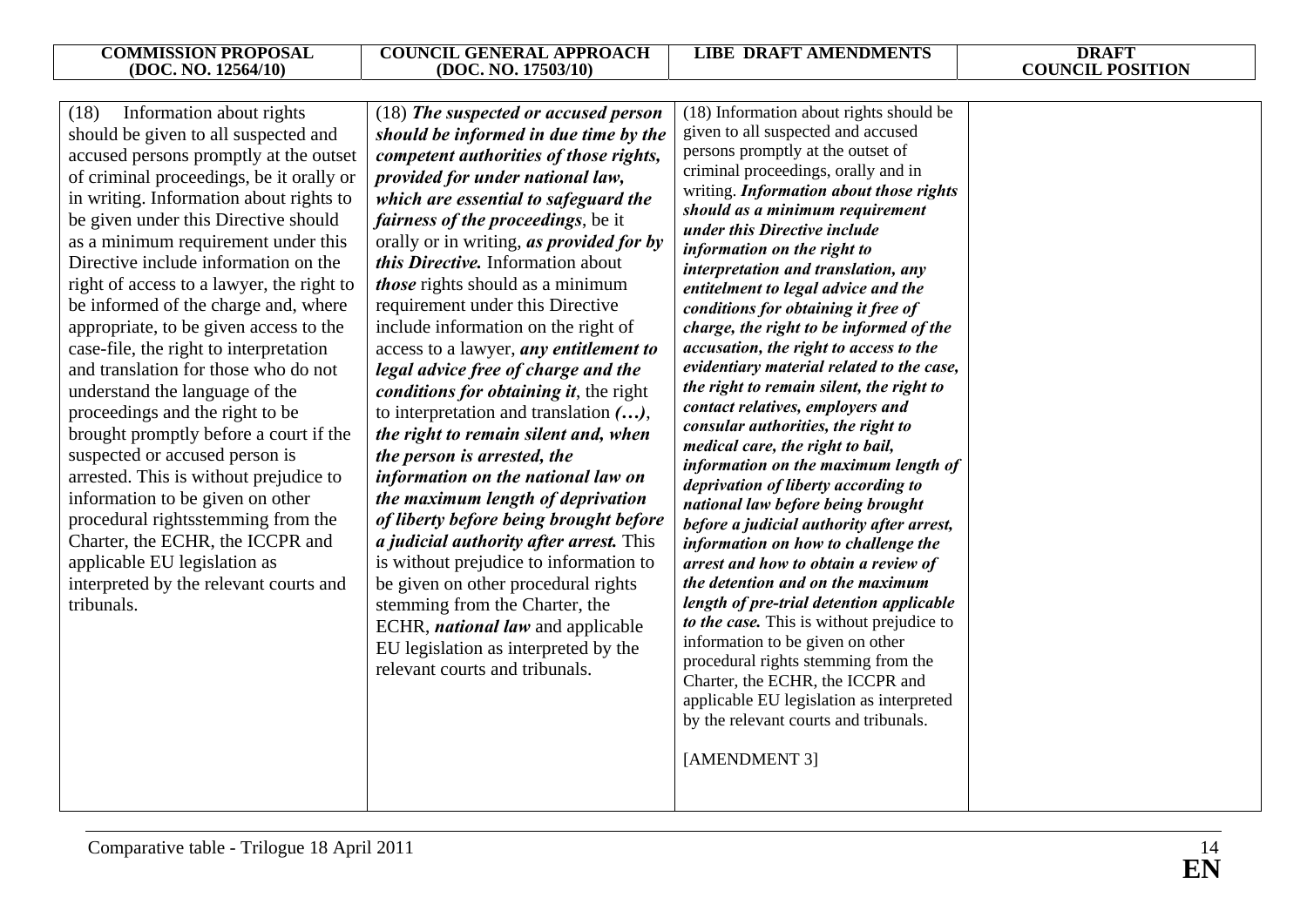**COUNCIL POSITION** 

| Information about rights<br>(18)<br>should be given to all suspected and<br>accused persons promptly at the outset<br>of criminal proceedings, be it orally or<br>in writing. Information about rights to<br>be given under this Directive should<br>as a minimum requirement under this<br>Directive include information on the<br>right of access to a lawyer, the right to<br>be informed of the charge and, where<br>appropriate, to be given access to the<br>case-file, the right to interpretation<br>and translation for those who do not<br>understand the language of the<br>proceedings and the right to be<br>brought promptly before a court if the<br>suspected or accused person is<br>arrested. This is without prejudice to<br>information to be given on other<br>procedural rightsstemming from the<br>Charter, the ECHR, the ICCPR and<br>applicable EU legislation as<br>interpreted by the relevant courts and<br>tribunals. | (18) The suspected or accused person<br>should be informed in due time by the<br>competent authorities of those rights,<br>provided for under national law,<br>which are essential to safeguard the<br><i>fairness of the proceedings, be it</i><br>orally or in writing, as provided for by<br><i>this Directive</i> . Information about<br><i>those</i> rights should as a minimum<br>requirement under this Directive<br>include information on the right of<br>access to a lawyer, any entitlement to<br>legal advice free of charge and the<br>conditions for obtaining it, the right<br>to interpretation and translation $(),$<br>the right to remain silent and, when<br>the person is arrested, the<br>information on the national law on<br>the maximum length of deprivation<br>of liberty before being brought before<br><i>a judicial authority after arrest.</i> This<br>is without prejudice to information to<br>be given on other procedural rights<br>stemming from the Charter, the<br>ECHR, <i>national law</i> and applicable<br>EU legislation as interpreted by the<br>relevant courts and tribunals. | (18) Information about rights should be<br>given to all suspected and accused<br>persons promptly at the outset of<br>criminal proceedings, orally and in<br>writing. Information about those rights<br>should as a minimum requirement<br>under this Directive include<br>information on the right to<br>interpretation and translation, any<br>entitelment to legal advice and the<br>conditions for obtaining it free of<br>charge, the right to be informed of the<br>accusation, the right to access to the<br>evidentiary material related to the case,<br>the right to remain silent, the right to<br>contact relatives, employers and<br>consular authorities, the right to<br>medical care, the right to bail,<br>information on the maximum length of<br>deprivation of liberty according to<br>national law before being brought<br>before a judicial authority after arrest,<br>information on how to challenge the<br>arrest and how to obtain a review of<br>the detention and on the maximum<br>length of pre-trial detention applicable<br>to the case. This is without prejudice to<br>information to be given on other<br>procedural rights stemming from the<br>Charter, the ECHR, the ICCPR and<br>applicable EU legislation as interpreted<br>by the relevant courts and tribunals.<br>[AMENDMENT 3] |  |
|----------------------------------------------------------------------------------------------------------------------------------------------------------------------------------------------------------------------------------------------------------------------------------------------------------------------------------------------------------------------------------------------------------------------------------------------------------------------------------------------------------------------------------------------------------------------------------------------------------------------------------------------------------------------------------------------------------------------------------------------------------------------------------------------------------------------------------------------------------------------------------------------------------------------------------------------------|------------------------------------------------------------------------------------------------------------------------------------------------------------------------------------------------------------------------------------------------------------------------------------------------------------------------------------------------------------------------------------------------------------------------------------------------------------------------------------------------------------------------------------------------------------------------------------------------------------------------------------------------------------------------------------------------------------------------------------------------------------------------------------------------------------------------------------------------------------------------------------------------------------------------------------------------------------------------------------------------------------------------------------------------------------------------------------------------------------------------------|---------------------------------------------------------------------------------------------------------------------------------------------------------------------------------------------------------------------------------------------------------------------------------------------------------------------------------------------------------------------------------------------------------------------------------------------------------------------------------------------------------------------------------------------------------------------------------------------------------------------------------------------------------------------------------------------------------------------------------------------------------------------------------------------------------------------------------------------------------------------------------------------------------------------------------------------------------------------------------------------------------------------------------------------------------------------------------------------------------------------------------------------------------------------------------------------------------------------------------------------------------------------------------------------------------------------------|--|
|----------------------------------------------------------------------------------------------------------------------------------------------------------------------------------------------------------------------------------------------------------------------------------------------------------------------------------------------------------------------------------------------------------------------------------------------------------------------------------------------------------------------------------------------------------------------------------------------------------------------------------------------------------------------------------------------------------------------------------------------------------------------------------------------------------------------------------------------------------------------------------------------------------------------------------------------------|------------------------------------------------------------------------------------------------------------------------------------------------------------------------------------------------------------------------------------------------------------------------------------------------------------------------------------------------------------------------------------------------------------------------------------------------------------------------------------------------------------------------------------------------------------------------------------------------------------------------------------------------------------------------------------------------------------------------------------------------------------------------------------------------------------------------------------------------------------------------------------------------------------------------------------------------------------------------------------------------------------------------------------------------------------------------------------------------------------------------------|---------------------------------------------------------------------------------------------------------------------------------------------------------------------------------------------------------------------------------------------------------------------------------------------------------------------------------------------------------------------------------------------------------------------------------------------------------------------------------------------------------------------------------------------------------------------------------------------------------------------------------------------------------------------------------------------------------------------------------------------------------------------------------------------------------------------------------------------------------------------------------------------------------------------------------------------------------------------------------------------------------------------------------------------------------------------------------------------------------------------------------------------------------------------------------------------------------------------------------------------------------------------------------------------------------------------------|--|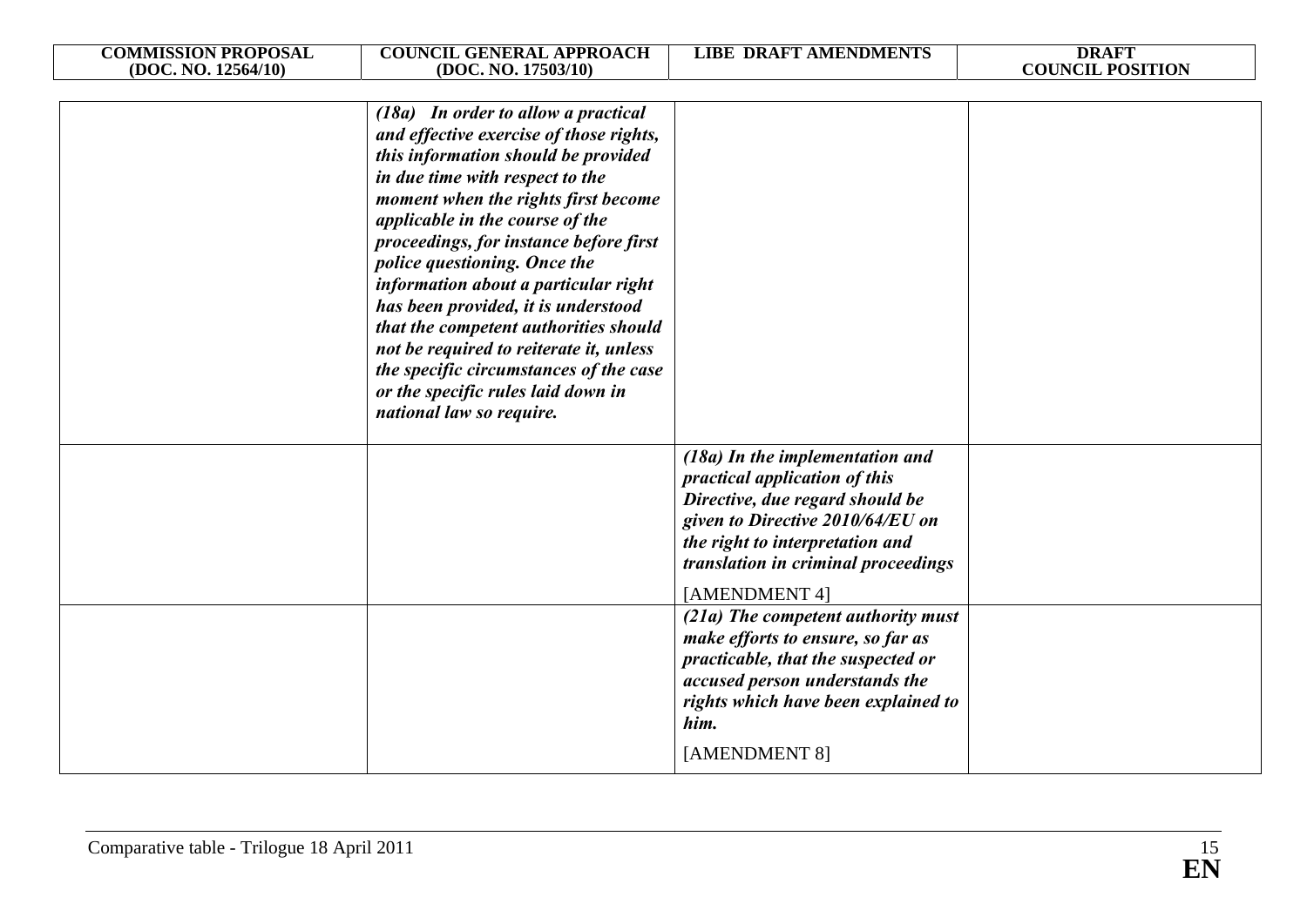| <b>COMMISSION PROPOSAL</b><br>(DOC. NO. 12564/10) | <b>COUNCIL GENERAL APPROACH</b><br>(DOC. NO. 17503/10)                                                                                                                                                                                                                                                                                                                                                                                                                                                                                                                                      | <b>LIBE DRAFT AMENDMENTS</b>                                                                                                                                                                                                                                                                                                                                                                                                                          | <b>DRAFT</b><br><b>COUNCIL POSITION</b> |
|---------------------------------------------------|---------------------------------------------------------------------------------------------------------------------------------------------------------------------------------------------------------------------------------------------------------------------------------------------------------------------------------------------------------------------------------------------------------------------------------------------------------------------------------------------------------------------------------------------------------------------------------------------|-------------------------------------------------------------------------------------------------------------------------------------------------------------------------------------------------------------------------------------------------------------------------------------------------------------------------------------------------------------------------------------------------------------------------------------------------------|-----------------------------------------|
|                                                   | (18a) In order to allow a practical<br>and effective exercise of those rights,<br>this information should be provided<br>in due time with respect to the<br>moment when the rights first become<br>applicable in the course of the<br>proceedings, for instance before first<br>police questioning. Once the<br>information about a particular right<br>has been provided, it is understood<br>that the competent authorities should<br>not be required to reiterate it, unless<br>the specific circumstances of the case<br>or the specific rules laid down in<br>national law so require. |                                                                                                                                                                                                                                                                                                                                                                                                                                                       |                                         |
|                                                   |                                                                                                                                                                                                                                                                                                                                                                                                                                                                                                                                                                                             | (18a) In the implementation and<br>practical application of this<br>Directive, due regard should be<br>given to Directive 2010/64/EU on<br>the right to interpretation and<br>translation in criminal proceedings<br>[AMENDMENT 4]<br>(21a) The competent authority must<br>make efforts to ensure, so far as<br>practicable, that the suspected or<br>accused person understands the<br>rights which have been explained to<br>him.<br>[AMENDMENT 8] |                                         |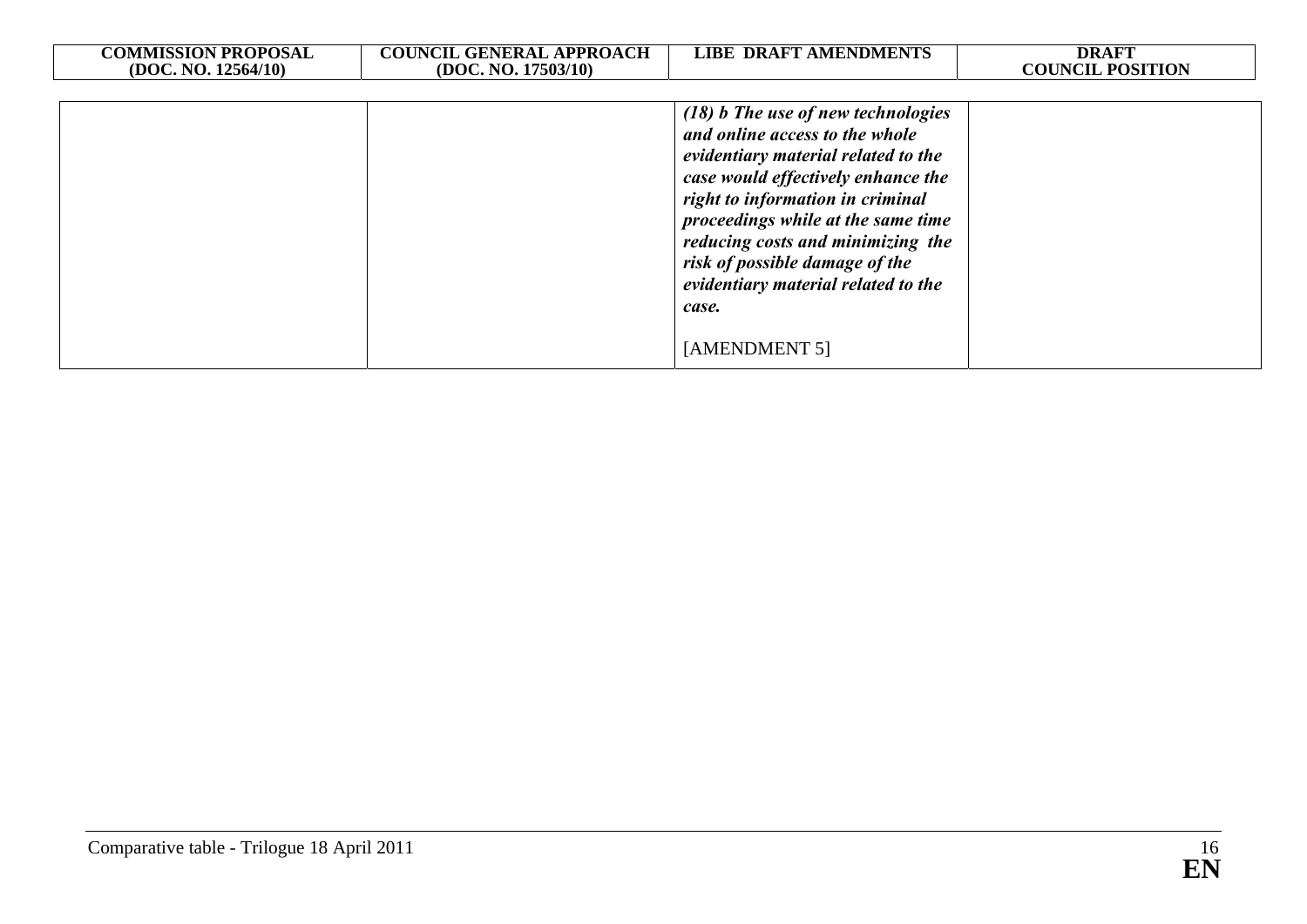| <b>COMMISSION PROPOSAL</b><br>(DOC. NO. 12564/10) | <b>COUNCIL GENERAL APPROACH</b><br>(DOC. NO. 17503/10) | <b>LIBE DRAFT AMENDMENTS</b>                                                                                                                                                                                                                                                                                                                       | <b>DRAFT</b><br><b>COUNCIL POSITION</b> |
|---------------------------------------------------|--------------------------------------------------------|----------------------------------------------------------------------------------------------------------------------------------------------------------------------------------------------------------------------------------------------------------------------------------------------------------------------------------------------------|-----------------------------------------|
|                                                   |                                                        |                                                                                                                                                                                                                                                                                                                                                    |                                         |
|                                                   |                                                        | (18) b The use of new technologies<br>and online access to the whole<br>evidentiary material related to the<br>case would effectively enhance the<br>right to information in criminal<br>proceedings while at the same time<br>reducing costs and minimizing the<br>risk of possible damage of the<br>evidentiary material related to the<br>case. |                                         |
|                                                   |                                                        | [AMENDMENT 5]                                                                                                                                                                                                                                                                                                                                      |                                         |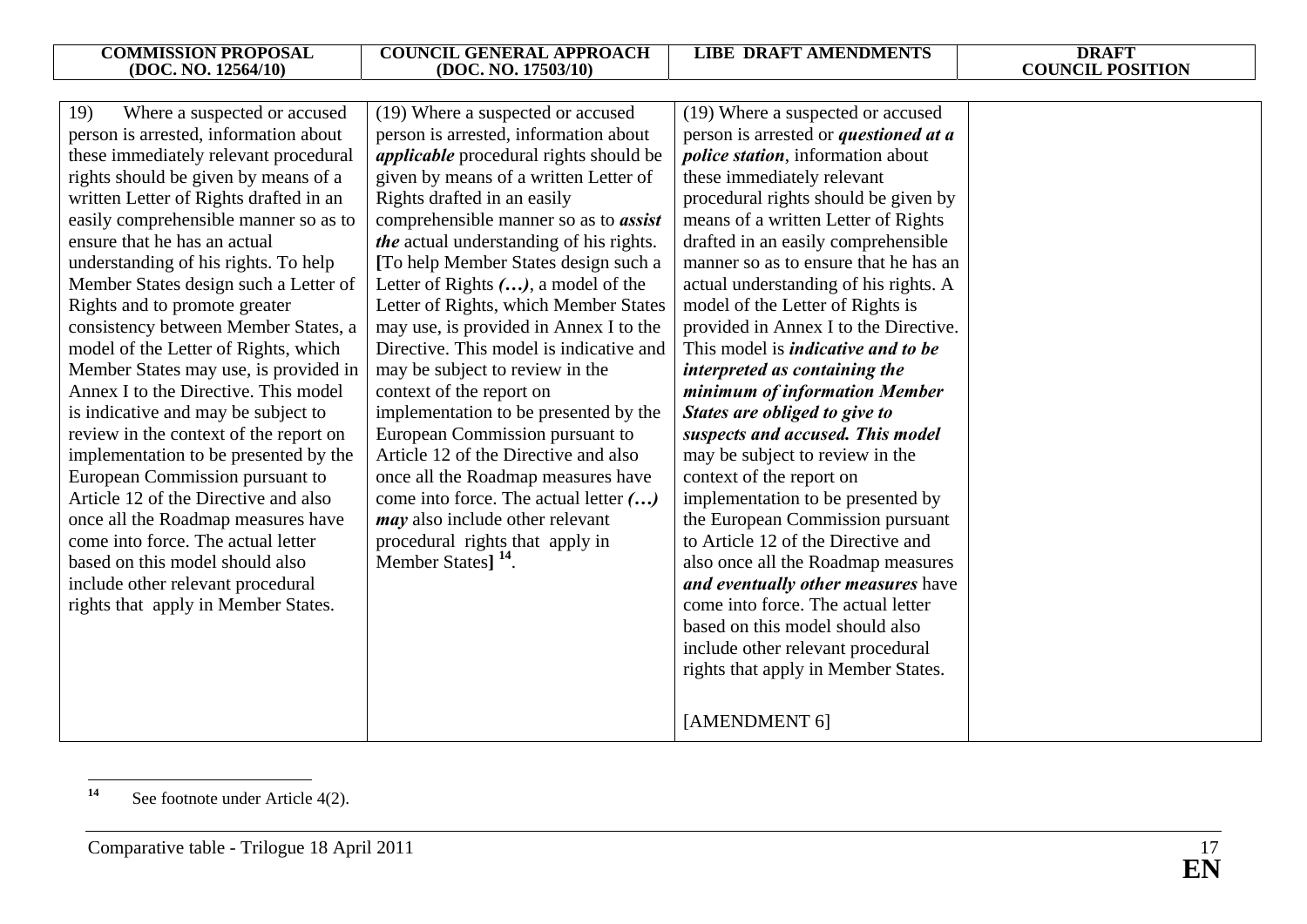| Where a suspected or accused<br>19)<br>person is arrested, information about | (19) Where a suspected or accused<br>person is arrested, information about | (19) Where a suspected or accused<br>person is arrested or <i>questioned at a</i> |  |
|------------------------------------------------------------------------------|----------------------------------------------------------------------------|-----------------------------------------------------------------------------------|--|
| these immediately relevant procedural                                        | <i>applicable</i> procedural rights should be                              | <i>police station</i> , information about                                         |  |
| rights should be given by means of a                                         | given by means of a written Letter of                                      | these immediately relevant                                                        |  |
| written Letter of Rights drafted in an                                       | Rights drafted in an easily                                                | procedural rights should be given by                                              |  |
| easily comprehensible manner so as to                                        | comprehensible manner so as to <i>assist</i>                               | means of a written Letter of Rights                                               |  |
| ensure that he has an actual                                                 | the actual understanding of his rights.                                    | drafted in an easily comprehensible                                               |  |
| understanding of his rights. To help                                         | [To help Member States design such a                                       | manner so as to ensure that he has an                                             |  |
| Member States design such a Letter of                                        | Letter of Rights $()$ , a model of the                                     | actual understanding of his rights. A                                             |  |
| Rights and to promote greater                                                | Letter of Rights, which Member States                                      | model of the Letter of Rights is                                                  |  |
| consistency between Member States, a                                         | may use, is provided in Annex I to the                                     | provided in Annex I to the Directive.                                             |  |
| model of the Letter of Rights, which                                         | Directive. This model is indicative and                                    | This model is <i>indicative and to be</i>                                         |  |
| Member States may use, is provided in                                        | may be subject to review in the                                            | interpreted as containing the                                                     |  |
| Annex I to the Directive. This model                                         | context of the report on                                                   | minimum of information Member                                                     |  |
| is indicative and may be subject to                                          | implementation to be presented by the                                      | States are obliged to give to                                                     |  |
| review in the context of the report on                                       | European Commission pursuant to                                            | suspects and accused. This model                                                  |  |
| implementation to be presented by the                                        | Article 12 of the Directive and also                                       | may be subject to review in the                                                   |  |
| European Commission pursuant to                                              | once all the Roadmap measures have                                         | context of the report on                                                          |  |
| Article 12 of the Directive and also                                         | come into force. The actual letter ()                                      | implementation to be presented by                                                 |  |
| once all the Roadmap measures have                                           | <i>may</i> also include other relevant                                     | the European Commission pursuant                                                  |  |
| come into force. The actual letter                                           | procedural rights that apply in                                            | to Article 12 of the Directive and                                                |  |
| based on this model should also                                              | Member States] <sup>14</sup> .                                             | also once all the Roadmap measures                                                |  |
| include other relevant procedural                                            |                                                                            | and eventually other measures have                                                |  |
| rights that apply in Member States.                                          |                                                                            | come into force. The actual letter                                                |  |
|                                                                              |                                                                            | based on this model should also                                                   |  |
|                                                                              |                                                                            | include other relevant procedural                                                 |  |
|                                                                              |                                                                            | rights that apply in Member States.                                               |  |
|                                                                              |                                                                            | [AMENDMENT 6]                                                                     |  |

**<sup>14</sup>** See footnote under Article 4(2).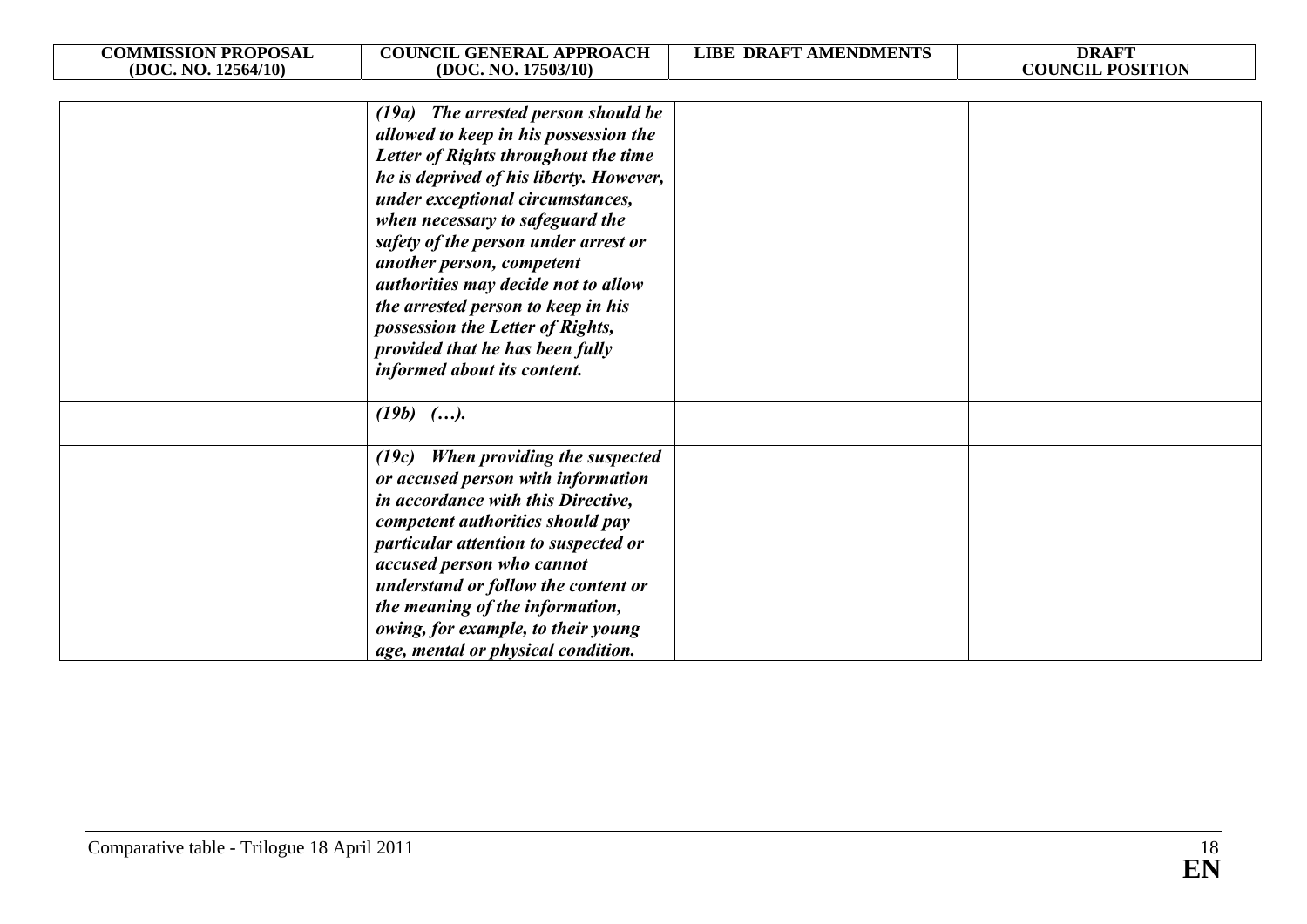| <b>COMMISSION PROPOSAL</b> | <b>COUNCIL GENERAL APPROACH</b>                                                                                                                                                                                                                                                                                                                                                                                                                                                                | <b>LIBE DRAFT AMENDMENTS</b> | <b>DRAFT</b>            |
|----------------------------|------------------------------------------------------------------------------------------------------------------------------------------------------------------------------------------------------------------------------------------------------------------------------------------------------------------------------------------------------------------------------------------------------------------------------------------------------------------------------------------------|------------------------------|-------------------------|
| (DOC. NO. 12564/10)        | (DOC. NO. 17503/10)                                                                                                                                                                                                                                                                                                                                                                                                                                                                            |                              | <b>COUNCIL POSITION</b> |
|                            | (19a) The arrested person should be<br>allowed to keep in his possession the<br>Letter of Rights throughout the time<br>he is deprived of his liberty. However,<br>under exceptional circumstances,<br>when necessary to safeguard the<br>safety of the person under arrest or<br>another person, competent<br>authorities may decide not to allow<br>the arrested person to keep in his<br>possession the Letter of Rights,<br>provided that he has been fully<br>informed about its content. |                              |                         |
|                            | $(19b)$ ().                                                                                                                                                                                                                                                                                                                                                                                                                                                                                    |                              |                         |
|                            | (19c) When providing the suspected<br>or accused person with information<br>in accordance with this Directive,<br>competent authorities should pay<br>particular attention to suspected or<br>accused person who cannot<br>understand or follow the content or<br>the meaning of the information,<br>owing, for example, to their young<br>age, mental or physical condition.                                                                                                                  |                              |                         |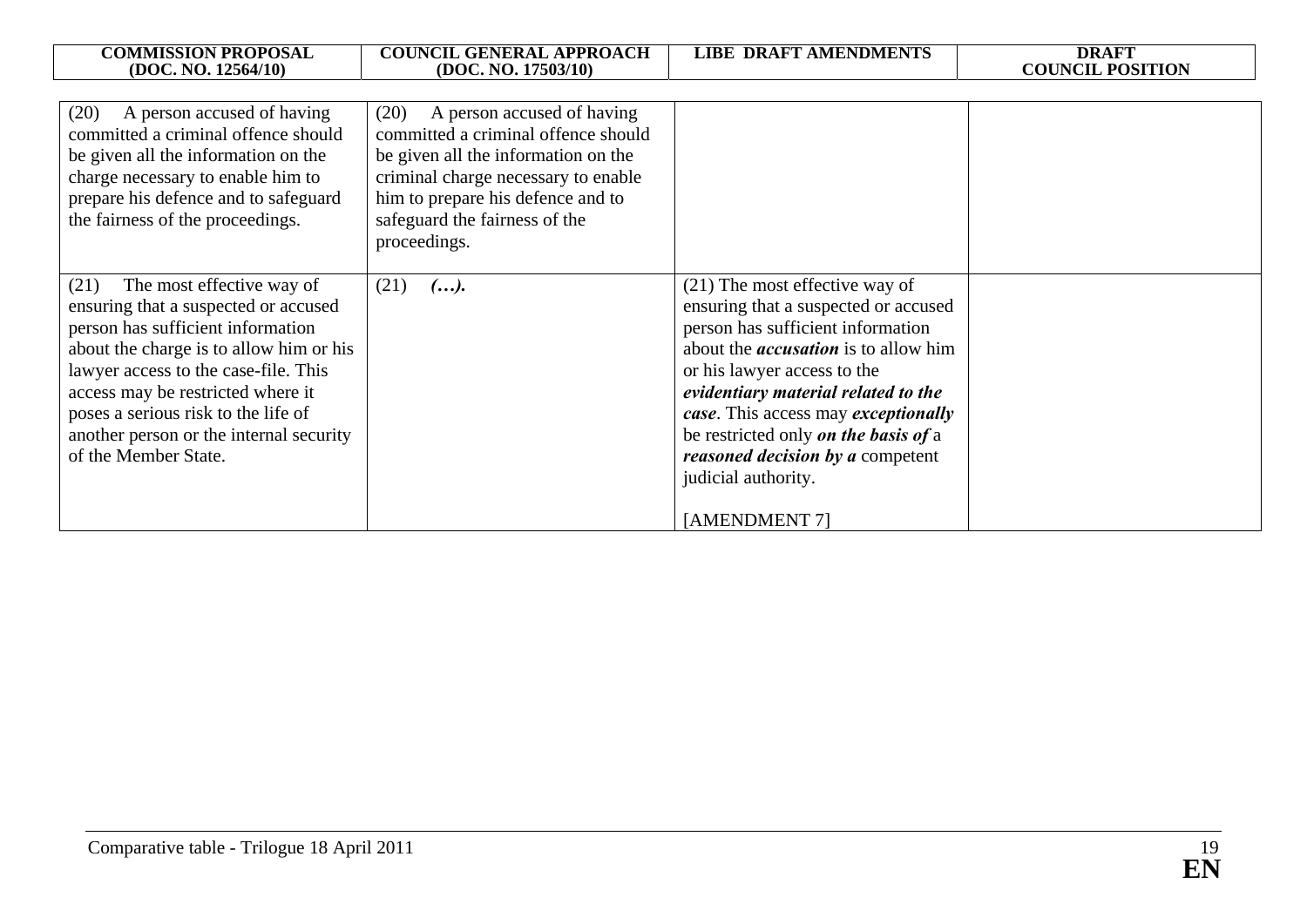| <b>COMMISSION PROPOSAL</b><br>(DOC. NO. 12564/10)                                                                                                                                                                                                                                                                                                | <b>COUNCIL GENERAL APPROACH</b><br>(DOC. NO. 17503/10)                                                                                                                                                                                        | <b>LIBE DRAFT AMENDMENTS</b>                                                                                                                                                                                                                                                                                                                                                                         | <b>DRAFT</b><br><b>COUNCIL POSITION</b> |
|--------------------------------------------------------------------------------------------------------------------------------------------------------------------------------------------------------------------------------------------------------------------------------------------------------------------------------------------------|-----------------------------------------------------------------------------------------------------------------------------------------------------------------------------------------------------------------------------------------------|------------------------------------------------------------------------------------------------------------------------------------------------------------------------------------------------------------------------------------------------------------------------------------------------------------------------------------------------------------------------------------------------------|-----------------------------------------|
| (20)<br>A person accused of having<br>committed a criminal offence should<br>be given all the information on the<br>charge necessary to enable him to<br>prepare his defence and to safeguard<br>the fairness of the proceedings.                                                                                                                | (20)<br>A person accused of having<br>committed a criminal offence should<br>be given all the information on the<br>criminal charge necessary to enable<br>him to prepare his defence and to<br>safeguard the fairness of the<br>proceedings. |                                                                                                                                                                                                                                                                                                                                                                                                      |                                         |
| The most effective way of<br>(21)<br>ensuring that a suspected or accused<br>person has sufficient information<br>about the charge is to allow him or his<br>lawyer access to the case-file. This<br>access may be restricted where it<br>poses a serious risk to the life of<br>another person or the internal security<br>of the Member State. | (21)<br>().                                                                                                                                                                                                                                   | $(21)$ The most effective way of<br>ensuring that a suspected or accused<br>person has sufficient information<br>about the <i>accusation</i> is to allow him<br>or his lawyer access to the<br>evidentiary material related to the<br>case. This access may exceptionally<br>be restricted only <i>on the basis of</i> a<br>reasoned decision by a competent<br>judicial authority.<br>[AMENDMENT 7] |                                         |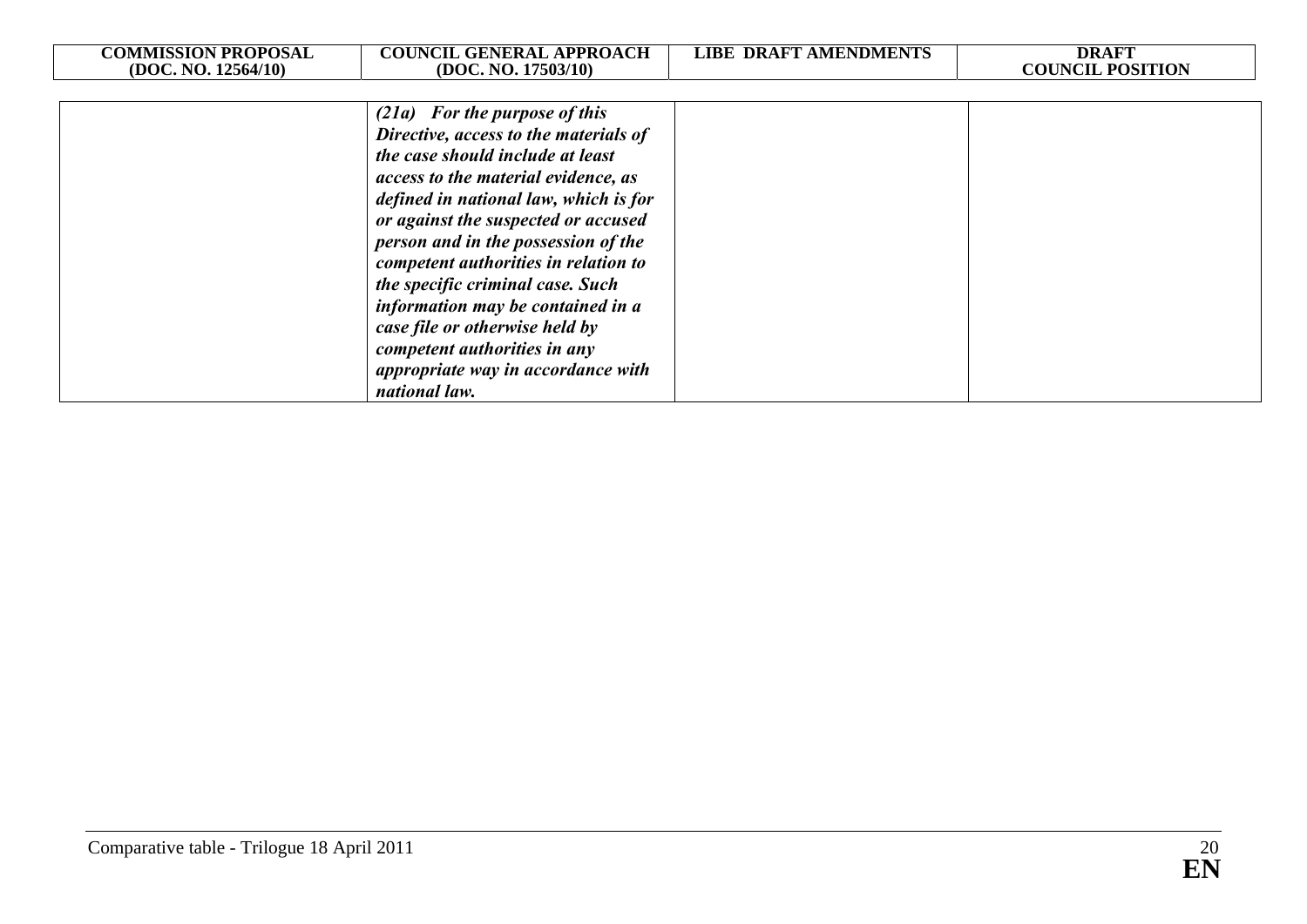| <b>COMMISSION PROPOSAL</b> | <b>COUNCIL GENERAL APPROACH</b>       | LIBE DRAFT AMENDMENTS | <b>DRAFT</b>            |
|----------------------------|---------------------------------------|-----------------------|-------------------------|
| (DOC. NO. 12564/10)        | (DOC. NO. 17503/10)                   |                       | <b>COUNCIL POSITION</b> |
|                            | $(21a)$ For the purpose of this       |                       |                         |
|                            | Directive, access to the materials of |                       |                         |
|                            | the case should include at least      |                       |                         |
|                            | access to the material evidence, as   |                       |                         |
|                            | defined in national law, which is for |                       |                         |
|                            | or against the suspected or accused   |                       |                         |
|                            | person and in the possession of the   |                       |                         |
|                            | competent authorities in relation to  |                       |                         |
|                            | the specific criminal case. Such      |                       |                         |
|                            | information may be contained in a     |                       |                         |
|                            | case file or otherwise held by        |                       |                         |
|                            | competent authorities in any          |                       |                         |
|                            | appropriate way in accordance with    |                       |                         |
|                            | national law.                         |                       |                         |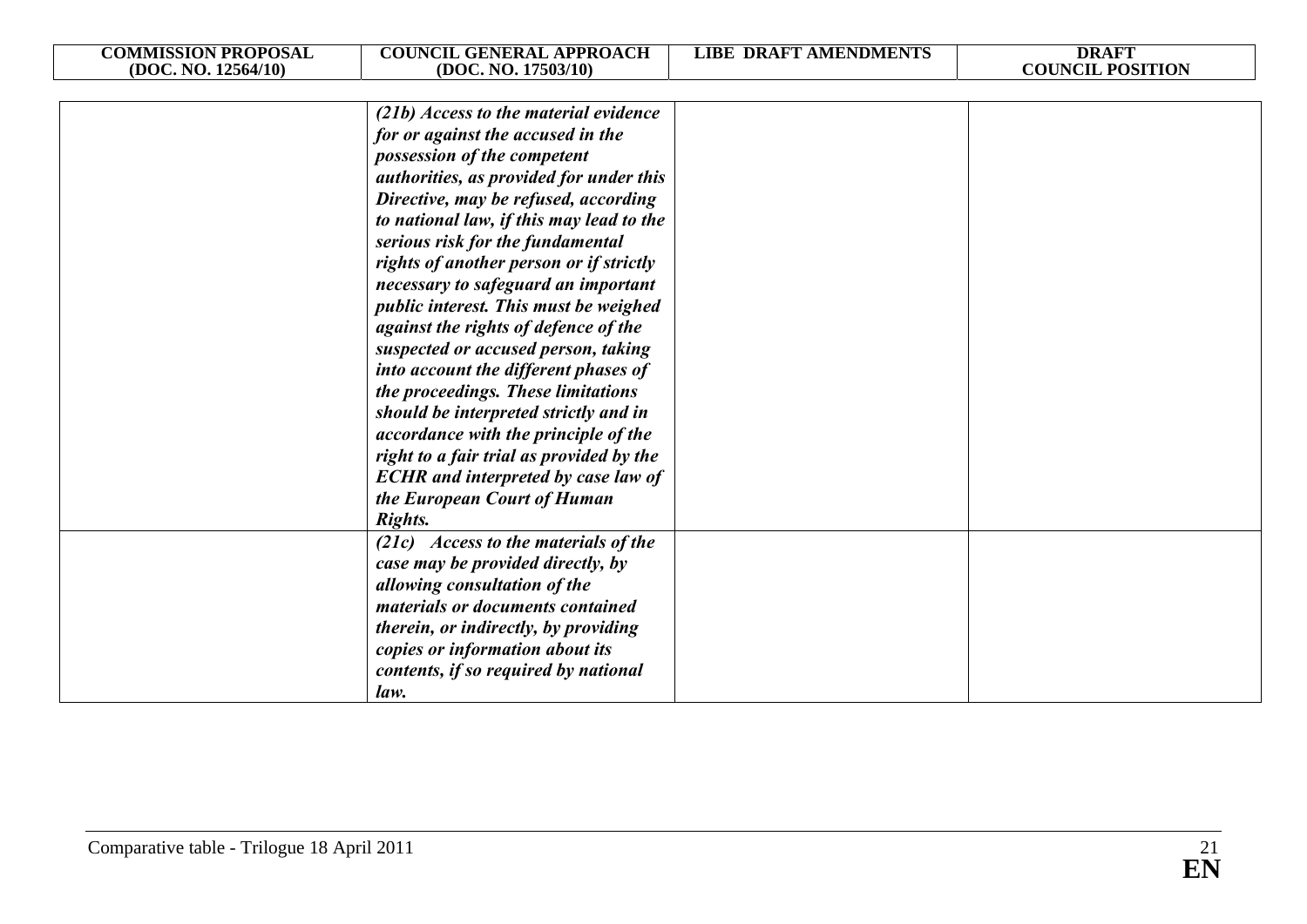| <b>COMMISSION PROPOSAL</b> | <b>COUNCIL GENERAL APPROACH</b>            | <b>LIBE DRAFT AMENDMENTS</b> | <b>DRAFT</b>            |
|----------------------------|--------------------------------------------|------------------------------|-------------------------|
| (DOC. NO. 12564/10)        | (DOC. NO. 17503/10)                        |                              | <b>COUNCIL POSITION</b> |
|                            |                                            |                              |                         |
|                            | (21b) Access to the material evidence      |                              |                         |
|                            | for or against the accused in the          |                              |                         |
|                            | possession of the competent                |                              |                         |
|                            | authorities, as provided for under this    |                              |                         |
|                            | Directive, may be refused, according       |                              |                         |
|                            | to national law, if this may lead to the   |                              |                         |
|                            | serious risk for the fundamental           |                              |                         |
|                            | rights of another person or if strictly    |                              |                         |
|                            | necessary to safeguard an important        |                              |                         |
|                            | public interest. This must be weighed      |                              |                         |
|                            | against the rights of defence of the       |                              |                         |
|                            | suspected or accused person, taking        |                              |                         |
|                            | into account the different phases of       |                              |                         |
|                            | the proceedings. These limitations         |                              |                         |
|                            | should be interpreted strictly and in      |                              |                         |
|                            | accordance with the principle of the       |                              |                         |
|                            | right to a fair trial as provided by the   |                              |                         |
|                            | <b>ECHR</b> and interpreted by case law of |                              |                         |
|                            | the European Court of Human                |                              |                         |
|                            | Rights.                                    |                              |                         |
|                            | (21c) Access to the materials of the       |                              |                         |
|                            | case may be provided directly, by          |                              |                         |
|                            | allowing consultation of the               |                              |                         |
|                            | materials or documents contained           |                              |                         |
|                            | therein, or indirectly, by providing       |                              |                         |
|                            | copies or information about its            |                              |                         |
|                            | contents, if so required by national       |                              |                         |
|                            | law.                                       |                              |                         |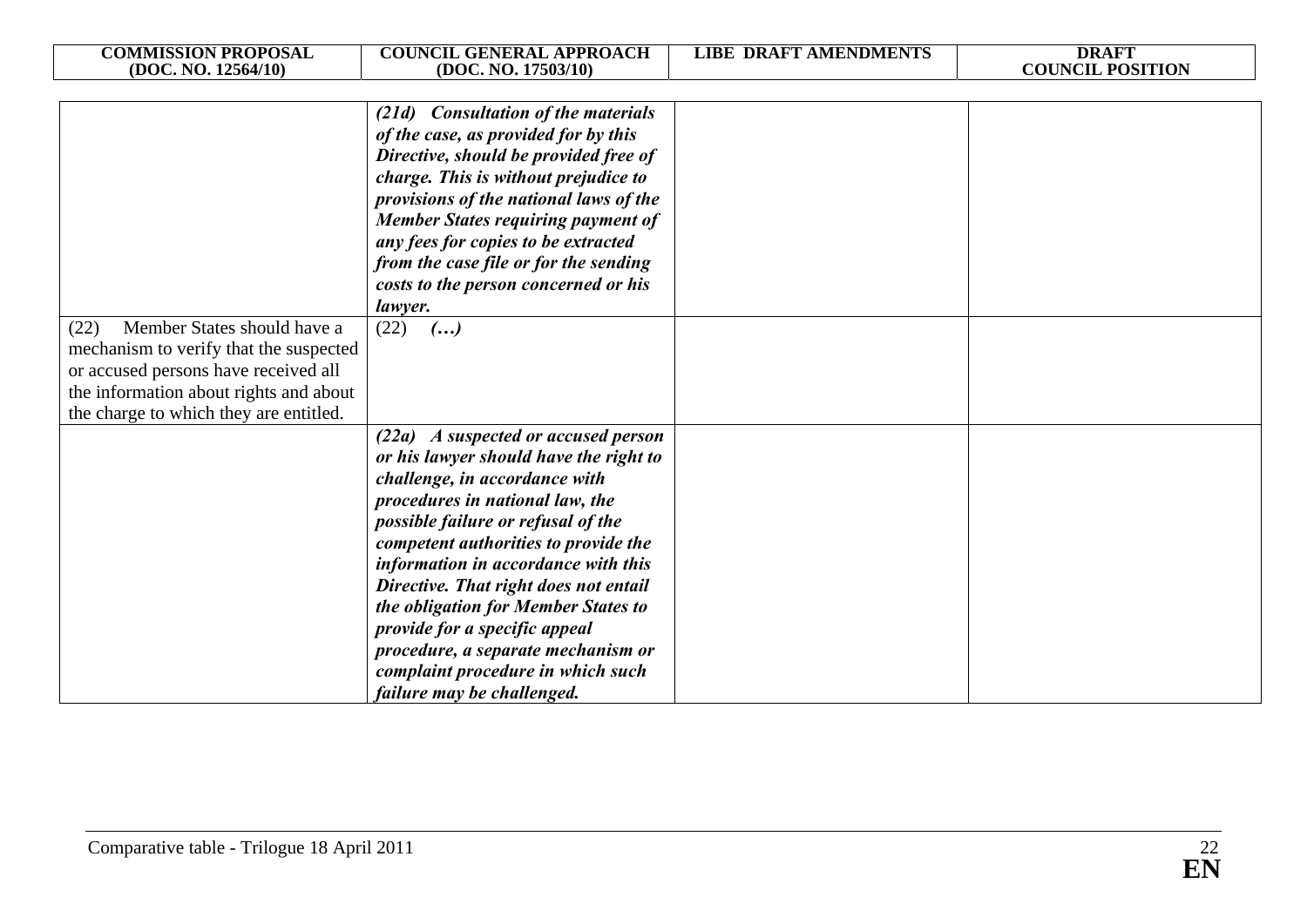| <b>COMMISSION PROPOSAL</b><br>(DOC. NO. 12564/10) | <b>COUNCIL GENERAL APPROACH</b><br>(DOC. NO. 17503/10)                       | <b>LIBE DRAFT AMENDMENTS</b> | <b>DRAFT</b><br><b>COUNCIL POSITION</b> |
|---------------------------------------------------|------------------------------------------------------------------------------|------------------------------|-----------------------------------------|
|                                                   |                                                                              |                              |                                         |
|                                                   | (21d) Consultation of the materials                                          |                              |                                         |
|                                                   | of the case, as provided for by this                                         |                              |                                         |
|                                                   | Directive, should be provided free of                                        |                              |                                         |
|                                                   | charge. This is without prejudice to                                         |                              |                                         |
|                                                   | provisions of the national laws of the                                       |                              |                                         |
|                                                   | <b>Member States requiring payment of</b>                                    |                              |                                         |
|                                                   | any fees for copies to be extracted                                          |                              |                                         |
|                                                   | from the case file or for the sending                                        |                              |                                         |
|                                                   | costs to the person concerned or his                                         |                              |                                         |
| Member States should have a<br>(22)               | lawyer.<br>(22)<br>$\left( \ldots \right)$                                   |                              |                                         |
| mechanism to verify that the suspected            |                                                                              |                              |                                         |
| or accused persons have received all              |                                                                              |                              |                                         |
| the information about rights and about            |                                                                              |                              |                                         |
| the charge to which they are entitled.            |                                                                              |                              |                                         |
|                                                   | (22a) A suspected or accused person                                          |                              |                                         |
|                                                   | or his lawyer should have the right to                                       |                              |                                         |
|                                                   | challenge, in accordance with                                                |                              |                                         |
|                                                   | procedures in national law, the                                              |                              |                                         |
|                                                   | possible failure or refusal of the                                           |                              |                                         |
|                                                   | competent authorities to provide the                                         |                              |                                         |
|                                                   | information in accordance with this                                          |                              |                                         |
|                                                   | Directive. That right does not entail<br>the obligation for Member States to |                              |                                         |
|                                                   | provide for a specific appeal                                                |                              |                                         |
|                                                   | procedure, a separate mechanism or                                           |                              |                                         |
|                                                   | complaint procedure in which such                                            |                              |                                         |
|                                                   | failure may be challenged.                                                   |                              |                                         |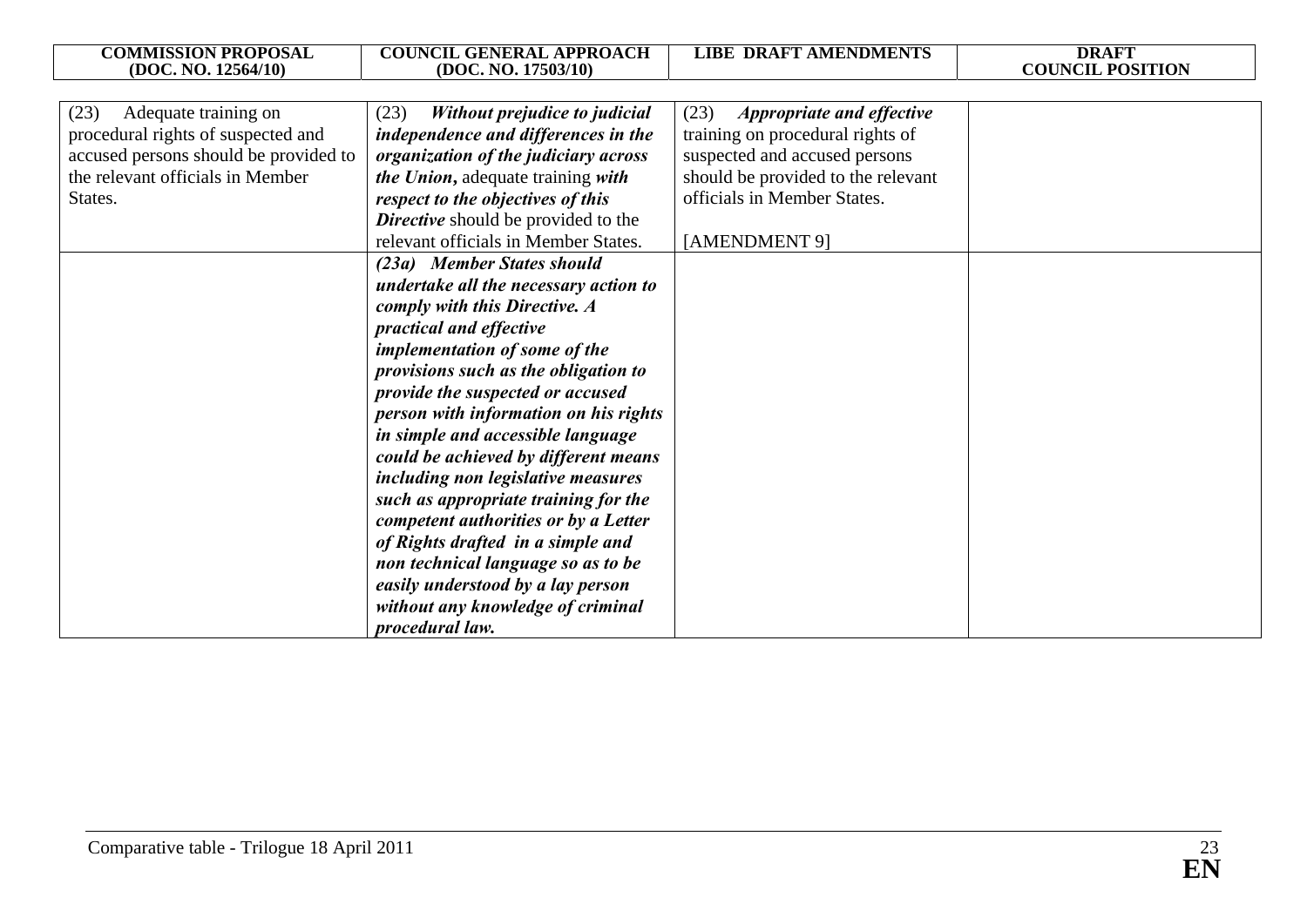| <b>COMMISSION PROPOSAL</b>                                                                                                                                 | <b>COUNCIL GENERAL APPROACH</b>                                                                                                                                                                                                                                                                                                                                                                                                                                                                                                                                                                                                                                                                                                                                                                                                                                                                                                       | <b>LIBE DRAFT AMENDMENTS</b>                                                                                                                                                                        | <b>DRAFT</b>            |
|------------------------------------------------------------------------------------------------------------------------------------------------------------|---------------------------------------------------------------------------------------------------------------------------------------------------------------------------------------------------------------------------------------------------------------------------------------------------------------------------------------------------------------------------------------------------------------------------------------------------------------------------------------------------------------------------------------------------------------------------------------------------------------------------------------------------------------------------------------------------------------------------------------------------------------------------------------------------------------------------------------------------------------------------------------------------------------------------------------|-----------------------------------------------------------------------------------------------------------------------------------------------------------------------------------------------------|-------------------------|
| (DOC. NO. 12564/10)                                                                                                                                        | (DOC. NO. 17503/10)                                                                                                                                                                                                                                                                                                                                                                                                                                                                                                                                                                                                                                                                                                                                                                                                                                                                                                                   |                                                                                                                                                                                                     | <b>COUNCIL POSITION</b> |
| (23)<br>Adequate training on<br>procedural rights of suspected and<br>accused persons should be provided to<br>the relevant officials in Member<br>States. | (23)<br>Without prejudice to judicial<br>independence and differences in the<br>organization of the judiciary across<br>the Union, adequate training with<br>respect to the objectives of this<br><b>Directive</b> should be provided to the<br>relevant officials in Member States.<br>(23a) Member States should<br>undertake all the necessary action to<br>comply with this Directive. A<br>practical and effective<br>implementation of some of the<br>provisions such as the obligation to<br>provide the suspected or accused<br>person with information on his rights<br>in simple and accessible language<br>could be achieved by different means<br>including non legislative measures<br>such as appropriate training for the<br>competent authorities or by a Letter<br>of Rights drafted in a simple and<br>non technical language so as to be<br>easily understood by a lay person<br>without any knowledge of criminal | (23)<br><b>Appropriate and effective</b><br>training on procedural rights of<br>suspected and accused persons<br>should be provided to the relevant<br>officials in Member States.<br>[AMENDMENT 9] |                         |
|                                                                                                                                                            | procedural law.                                                                                                                                                                                                                                                                                                                                                                                                                                                                                                                                                                                                                                                                                                                                                                                                                                                                                                                       |                                                                                                                                                                                                     |                         |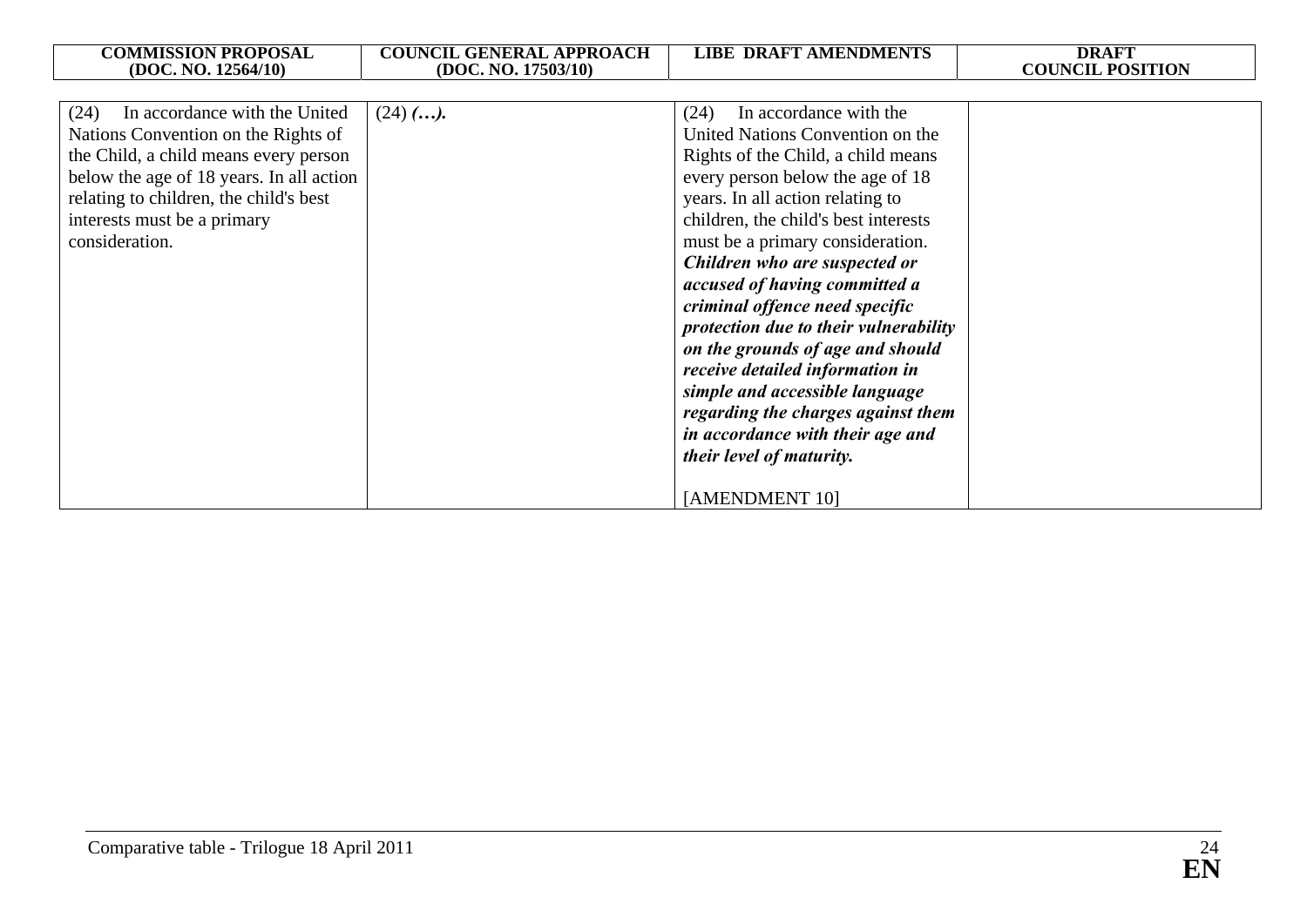| <b>COMMISSION PROPOSAL</b><br>(DOC. NO. 12564/10)                                                                                                                                                                                                            | <b>COUNCIL GENERAL APPROACH</b><br>(DOC. NO. 17503/10) | <b>LIBE DRAFT AMENDMENTS</b>                                                                                                                                                                                                                                                                                                                                                                                                                                                                                                                                                                                                               | <b>DRAFT</b><br><b>COUNCIL POSITION</b> |
|--------------------------------------------------------------------------------------------------------------------------------------------------------------------------------------------------------------------------------------------------------------|--------------------------------------------------------|--------------------------------------------------------------------------------------------------------------------------------------------------------------------------------------------------------------------------------------------------------------------------------------------------------------------------------------------------------------------------------------------------------------------------------------------------------------------------------------------------------------------------------------------------------------------------------------------------------------------------------------------|-----------------------------------------|
|                                                                                                                                                                                                                                                              |                                                        |                                                                                                                                                                                                                                                                                                                                                                                                                                                                                                                                                                                                                                            |                                         |
| (24)<br>In accordance with the United<br>Nations Convention on the Rights of<br>the Child, a child means every person<br>below the age of 18 years. In all action<br>relating to children, the child's best<br>interests must be a primary<br>consideration. | $(24)$ $($ $)$ .                                       | In accordance with the<br>(24)<br>United Nations Convention on the<br>Rights of the Child, a child means<br>every person below the age of 18<br>years. In all action relating to<br>children, the child's best interests<br>must be a primary consideration.<br>Children who are suspected or<br>accused of having committed a<br>criminal offence need specific<br>protection due to their vulnerability<br>on the grounds of age and should<br>receive detailed information in<br>simple and accessible language<br>regarding the charges against them<br>in accordance with their age and<br>their level of maturity.<br>[AMENDMENT 10] |                                         |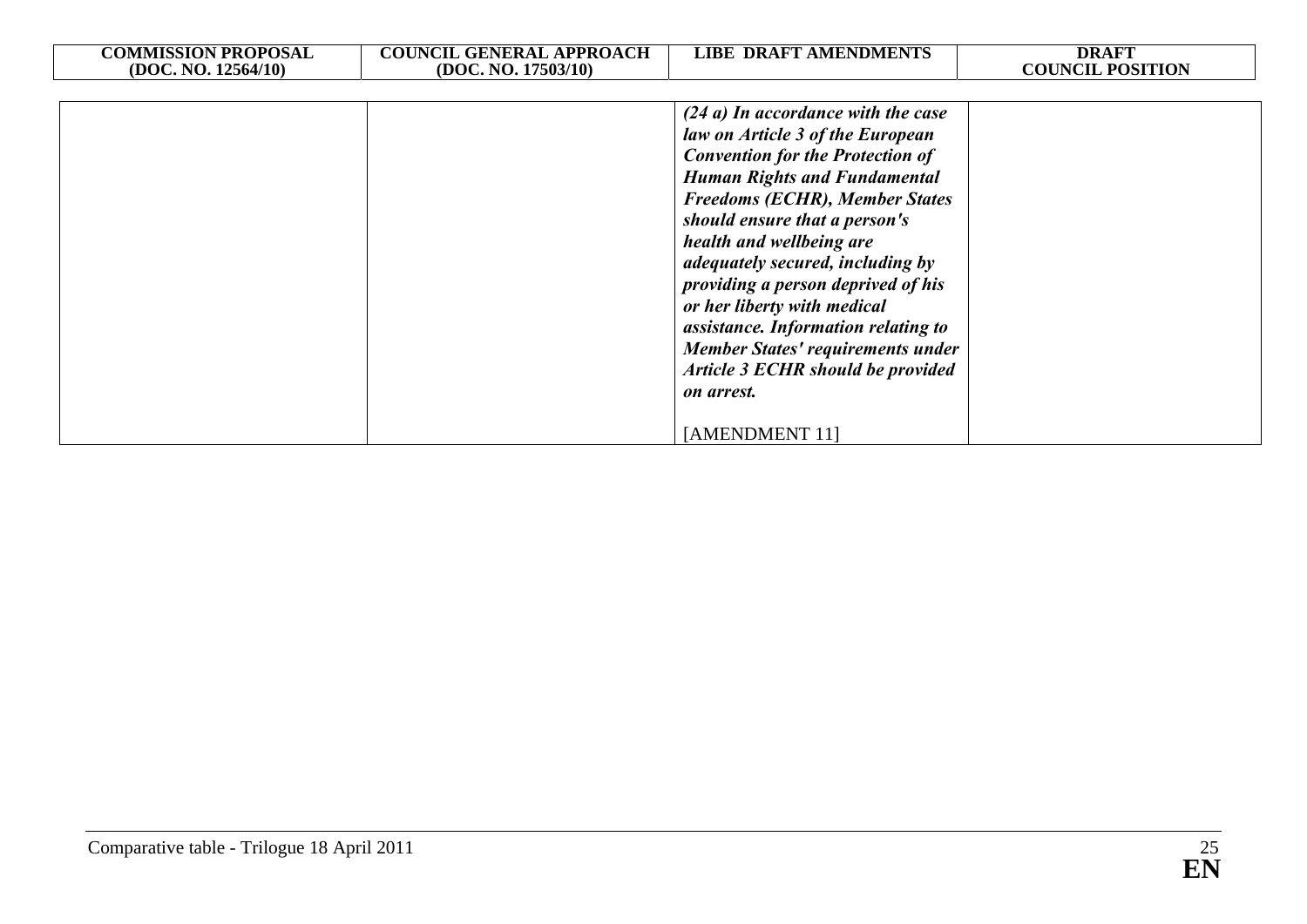| <b>COMMISSION PROPOSAL</b> | <b>COUNCIL GENERAL APPROACH</b> | <b>LIBE DRAFT AMENDMENTS</b>                                                                                                                                                                                                                                                                                                                                                                                                                                                                                                      | <b>DRAFT</b>            |
|----------------------------|---------------------------------|-----------------------------------------------------------------------------------------------------------------------------------------------------------------------------------------------------------------------------------------------------------------------------------------------------------------------------------------------------------------------------------------------------------------------------------------------------------------------------------------------------------------------------------|-------------------------|
| (DOC. NO. 12564/10)        | (DOC. NO. 17503/10)             |                                                                                                                                                                                                                                                                                                                                                                                                                                                                                                                                   | <b>COUNCIL POSITION</b> |
|                            |                                 | $(24 a)$ In accordance with the case<br>law on Article 3 of the European<br><b>Convention for the Protection of</b><br><b>Human Rights and Fundamental</b><br><b>Freedoms (ECHR), Member States</b><br>should ensure that a person's<br>health and wellbeing are<br>adequately secured, including by<br>providing a person deprived of his<br>or her liberty with medical<br>assistance. Information relating to<br><b>Member States' requirements under</b><br>Article 3 ECHR should be provided<br>on arrest.<br>[AMENDMENT 11] |                         |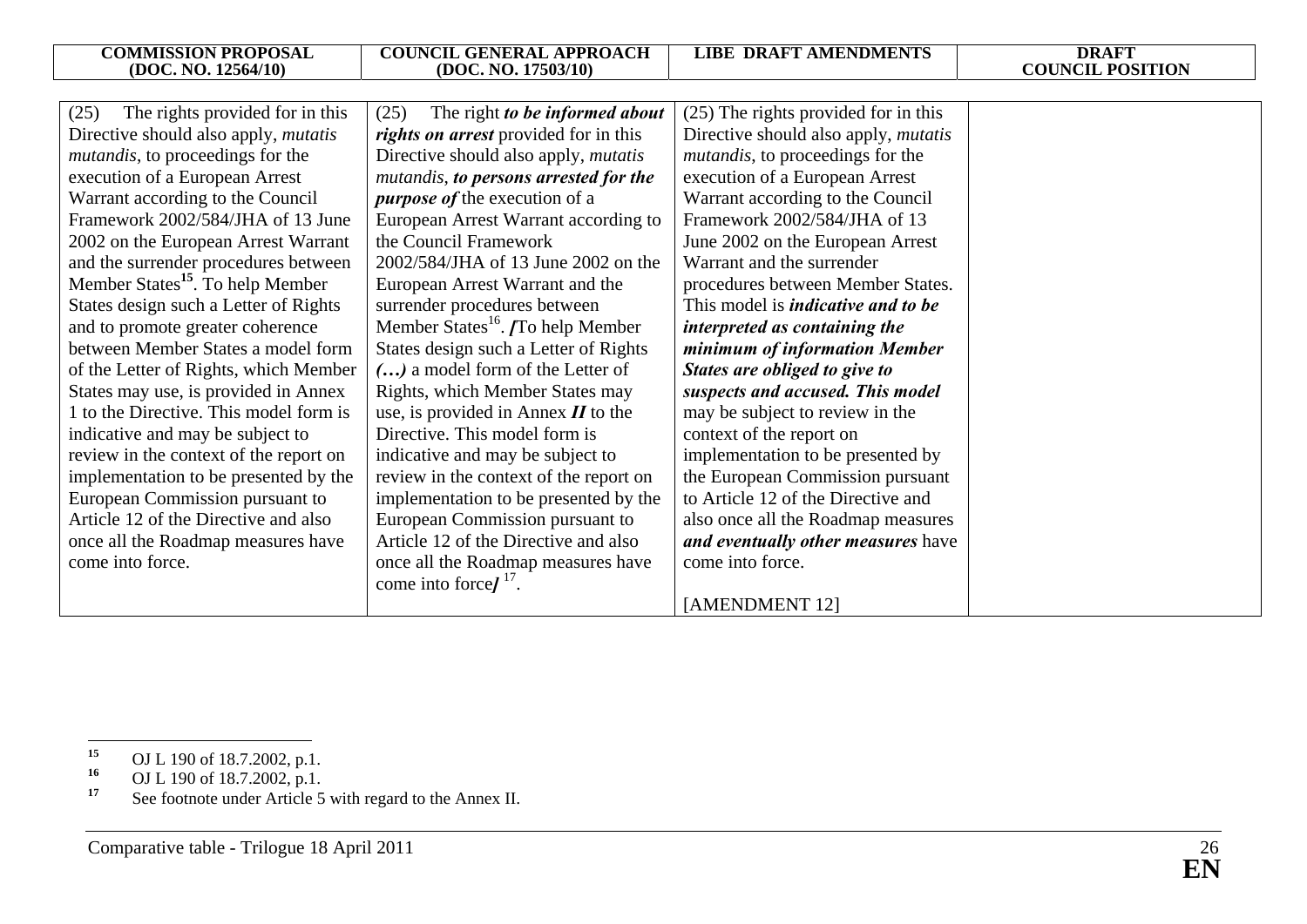| The rights provided for in this<br>(25)      | The right to be informed about<br>(25)                 | (25) The rights provided for in this        |
|----------------------------------------------|--------------------------------------------------------|---------------------------------------------|
| Directive should also apply, <i>mutatis</i>  | rights on arrest provided for in this                  | Directive should also apply, <i>mutatis</i> |
| <i>mutandis</i> , to proceedings for the     | Directive should also apply, <i>mutatis</i>            | <i>mutandis</i> , to proceedings for the    |
|                                              |                                                        |                                             |
| execution of a European Arrest               | mutandis, to persons arrested for the                  | execution of a European Arrest              |
| Warrant according to the Council             | <i>purpose of the execution of a</i>                   | Warrant according to the Council            |
| Framework 2002/584/JHA of 13 June            | European Arrest Warrant according to                   | Framework 2002/584/JHA of 13                |
| 2002 on the European Arrest Warrant          | the Council Framework                                  | June 2002 on the European Arrest            |
| and the surrender procedures between         | 2002/584/JHA of 13 June 2002 on the                    | Warrant and the surrender                   |
| Member States <sup>15</sup> . To help Member | European Arrest Warrant and the                        | procedures between Member States.           |
| States design such a Letter of Rights        | surrender procedures between                           | This model is <i>indicative and to be</i>   |
| and to promote greater coherence             | Member States <sup>16</sup> . <i>[To help Member</i> ] | interpreted as containing the               |
| between Member States a model form           | States design such a Letter of Rights                  | minimum of information Member               |
| of the Letter of Rights, which Member        | () a model form of the Letter of                       | States are obliged to give to               |
| States may use, is provided in Annex         | Rights, which Member States may                        | suspects and accused. This model            |
| 1 to the Directive. This model form is       | use, is provided in Annex $II$ to the                  | may be subject to review in the             |
| indicative and may be subject to             | Directive. This model form is                          | context of the report on                    |
| review in the context of the report on       | indicative and may be subject to                       | implementation to be presented by           |
| implementation to be presented by the        | review in the context of the report on                 | the European Commission pursuant            |
| European Commission pursuant to              | implementation to be presented by the                  | to Article 12 of the Directive and          |
| Article 12 of the Directive and also         | European Commission pursuant to                        | also once all the Roadmap measures          |
| once all the Roadmap measures have           | Article 12 of the Directive and also                   | and eventually other measures have          |
| come into force.                             | once all the Roadmap measures have                     | come into force.                            |
|                                              | come into force $I17$ .                                |                                             |
|                                              |                                                        | [AMENDMENT 12]                              |

<sup>&</sup>lt;sup>15</sup> OJ L 190 of 18.7.2002, p.1.<br> **16** OJ L 100 of 18.7.2002, p.1.

**<sup>16</sup>** OJ L 190 of 18.7.2002, p.1.

<sup>&</sup>lt;sup>17</sup> See footnote under Article 5 with regard to the Annex II.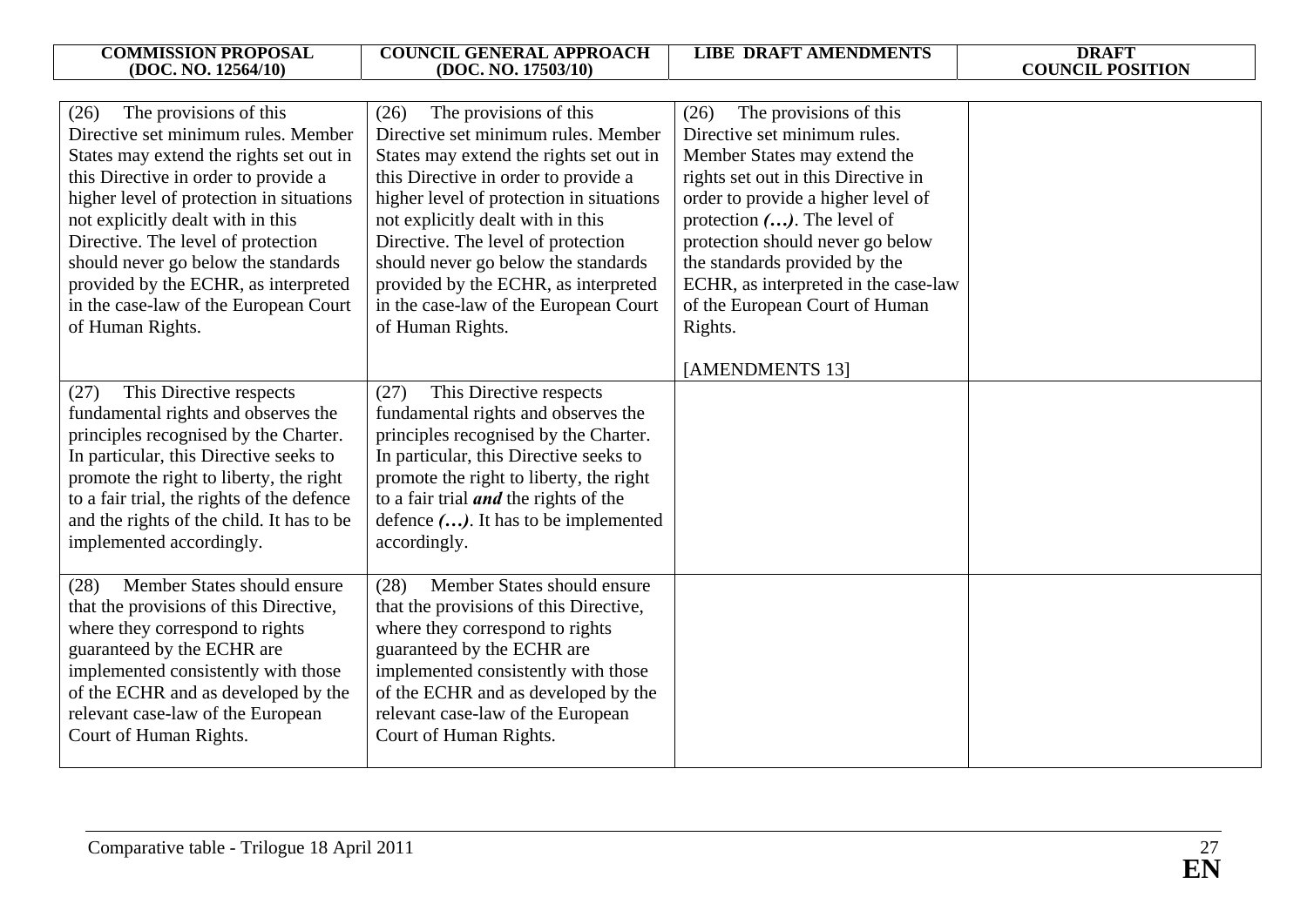| <b>COMMISSION PROPOSAL</b><br>(DOC. NO. 12564/10)                                                                                                                                                                                                                                                                                                                                                                           | <b>COUNCIL GENERAL APPROACH</b><br>(DOC. NO. 17503/10)                                                                                                                                                                                                                                                                                                                                                                      | <b>LIBE DRAFT AMENDMENTS</b>                                                                                                                                                                                                                                                                                                                                            | <b>DRAFT</b><br><b>COUNCIL POSITION</b> |
|-----------------------------------------------------------------------------------------------------------------------------------------------------------------------------------------------------------------------------------------------------------------------------------------------------------------------------------------------------------------------------------------------------------------------------|-----------------------------------------------------------------------------------------------------------------------------------------------------------------------------------------------------------------------------------------------------------------------------------------------------------------------------------------------------------------------------------------------------------------------------|-------------------------------------------------------------------------------------------------------------------------------------------------------------------------------------------------------------------------------------------------------------------------------------------------------------------------------------------------------------------------|-----------------------------------------|
|                                                                                                                                                                                                                                                                                                                                                                                                                             |                                                                                                                                                                                                                                                                                                                                                                                                                             |                                                                                                                                                                                                                                                                                                                                                                         |                                         |
| The provisions of this<br>(26)<br>Directive set minimum rules. Member<br>States may extend the rights set out in<br>this Directive in order to provide a<br>higher level of protection in situations<br>not explicitly dealt with in this<br>Directive. The level of protection<br>should never go below the standards<br>provided by the ECHR, as interpreted<br>in the case-law of the European Court<br>of Human Rights. | The provisions of this<br>(26)<br>Directive set minimum rules. Member<br>States may extend the rights set out in<br>this Directive in order to provide a<br>higher level of protection in situations<br>not explicitly dealt with in this<br>Directive. The level of protection<br>should never go below the standards<br>provided by the ECHR, as interpreted<br>in the case-law of the European Court<br>of Human Rights. | The provisions of this<br>(26)<br>Directive set minimum rules.<br>Member States may extend the<br>rights set out in this Directive in<br>order to provide a higher level of<br>protection $()$ . The level of<br>protection should never go below<br>the standards provided by the<br>ECHR, as interpreted in the case-law<br>of the European Court of Human<br>Rights. |                                         |
|                                                                                                                                                                                                                                                                                                                                                                                                                             |                                                                                                                                                                                                                                                                                                                                                                                                                             | [AMENDMENTS 13]                                                                                                                                                                                                                                                                                                                                                         |                                         |
| This Directive respects<br>(27)<br>fundamental rights and observes the<br>principles recognised by the Charter.<br>In particular, this Directive seeks to<br>promote the right to liberty, the right<br>to a fair trial, the rights of the defence<br>and the rights of the child. It has to be<br>implemented accordingly.                                                                                                 | This Directive respects<br>(27)<br>fundamental rights and observes the<br>principles recognised by the Charter.<br>In particular, this Directive seeks to<br>promote the right to liberty, the right<br>to a fair trial <i>and</i> the rights of the<br>defence (). It has to be implemented<br>accordingly.                                                                                                                |                                                                                                                                                                                                                                                                                                                                                                         |                                         |
| Member States should ensure<br>(28)<br>that the provisions of this Directive,<br>where they correspond to rights<br>guaranteed by the ECHR are<br>implemented consistently with those<br>of the ECHR and as developed by the<br>relevant case-law of the European<br>Court of Human Rights.                                                                                                                                 | Member States should ensure<br>(28)<br>that the provisions of this Directive,<br>where they correspond to rights<br>guaranteed by the ECHR are<br>implemented consistently with those<br>of the ECHR and as developed by the<br>relevant case-law of the European<br>Court of Human Rights.                                                                                                                                 |                                                                                                                                                                                                                                                                                                                                                                         |                                         |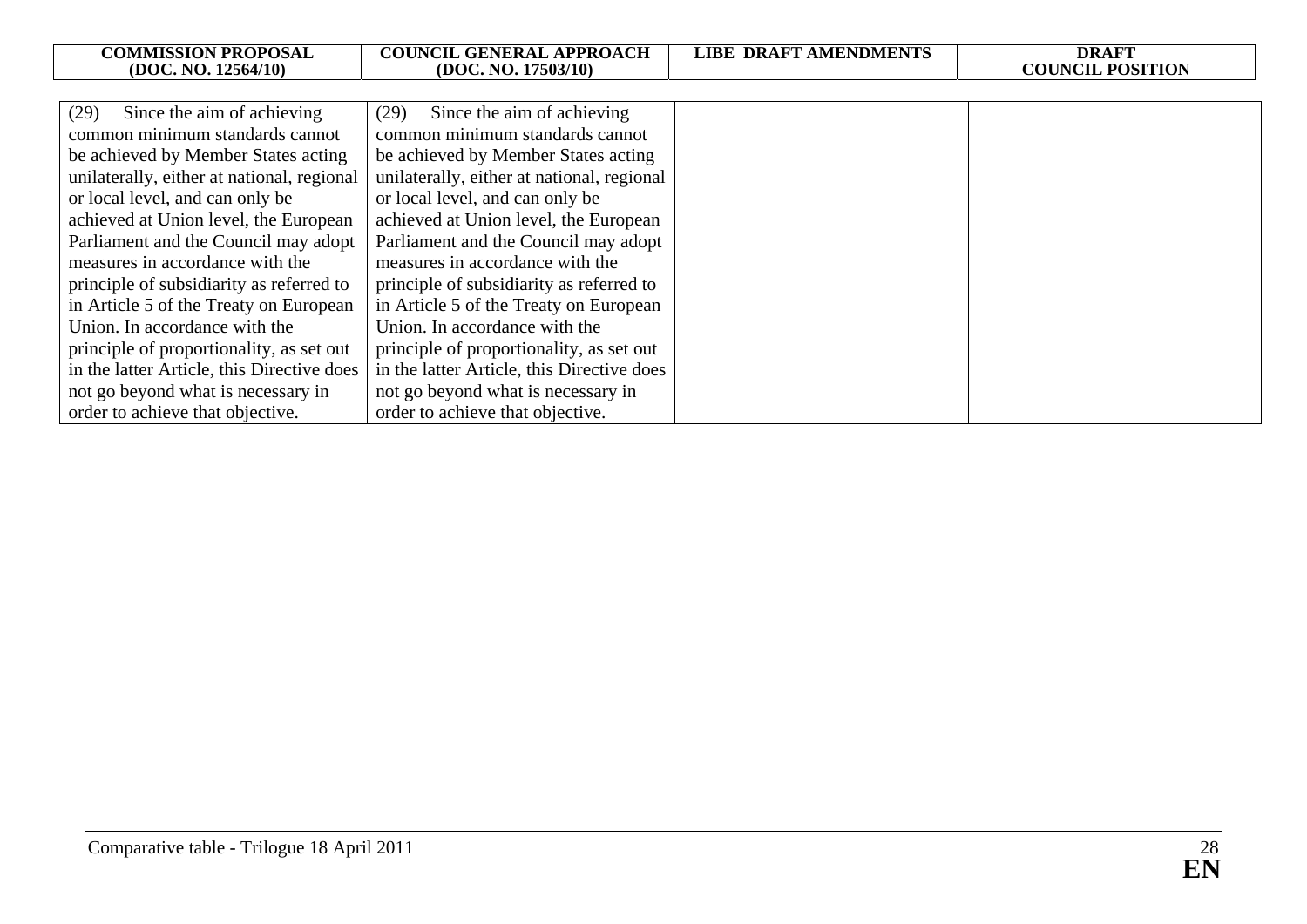| <b>COMMISSION PROPOSAL</b><br>(DOC. NO. 12564/10) | <b>COUNCIL GENERAL APPROACH</b><br>(DOC. NO. 17503/10) | <b>LIBE DRAFT AMENDMENTS</b> | <b>DRAFT</b><br><b>COUNCIL POSITION</b> |
|---------------------------------------------------|--------------------------------------------------------|------------------------------|-----------------------------------------|
|                                                   |                                                        |                              |                                         |
| Since the aim of achieving<br>(29)                | Since the aim of achieving<br>(29)                     |                              |                                         |
| common minimum standards cannot                   | common minimum standards cannot                        |                              |                                         |
| be achieved by Member States acting               | be achieved by Member States acting                    |                              |                                         |
| unilaterally, either at national, regional        | unilaterally, either at national, regional             |                              |                                         |
| or local level, and can only be                   | or local level, and can only be                        |                              |                                         |
| achieved at Union level, the European             | achieved at Union level, the European                  |                              |                                         |
| Parliament and the Council may adopt              | Parliament and the Council may adopt                   |                              |                                         |
| measures in accordance with the                   | measures in accordance with the                        |                              |                                         |
| principle of subsidiarity as referred to          | principle of subsidiarity as referred to               |                              |                                         |
| in Article 5 of the Treaty on European            | in Article 5 of the Treaty on European                 |                              |                                         |
| Union. In accordance with the                     | Union. In accordance with the                          |                              |                                         |
| principle of proportionality, as set out          | principle of proportionality, as set out               |                              |                                         |
| in the latter Article, this Directive does        | in the latter Article, this Directive does             |                              |                                         |
| not go beyond what is necessary in                | not go beyond what is necessary in                     |                              |                                         |
| order to achieve that objective.                  | order to achieve that objective.                       |                              |                                         |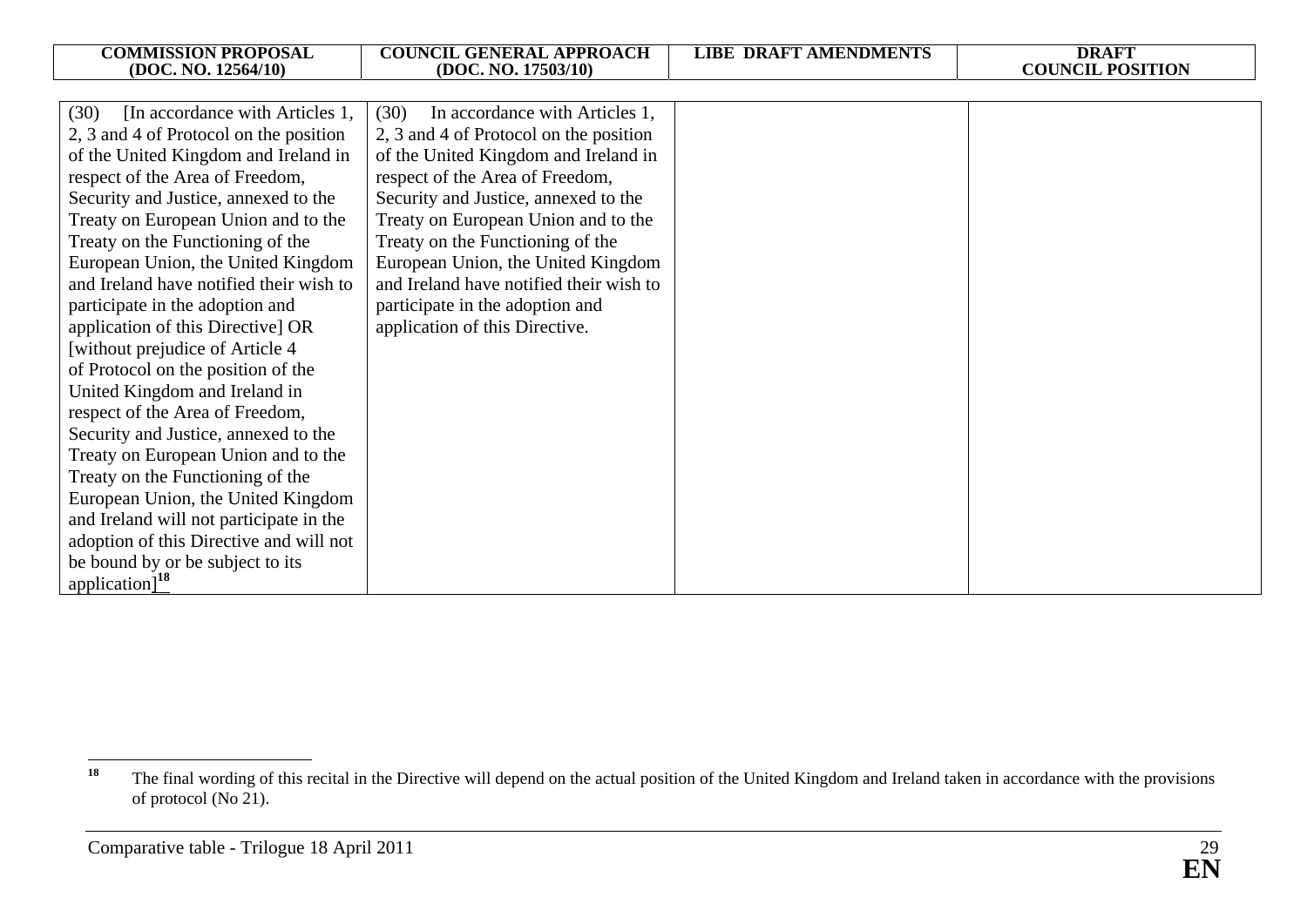| <b>COMMISSION PROPOSAL</b><br>(DOC. NO. 12564/10) | <b>COUNCIL GENERAL APPROACH</b><br>(DOC. NO. 17503/10) | <b>LIBE DRAFT AMENDMENTS</b> | <b>DRAFT</b><br><b>COUNCIL POSITION</b> |
|---------------------------------------------------|--------------------------------------------------------|------------------------------|-----------------------------------------|
|                                                   |                                                        |                              |                                         |
| (30)<br>[In accordance with Articles 1,           | (30)<br>In accordance with Articles 1,                 |                              |                                         |
| 2, 3 and 4 of Protocol on the position            | 2, 3 and 4 of Protocol on the position                 |                              |                                         |
| of the United Kingdom and Ireland in              | of the United Kingdom and Ireland in                   |                              |                                         |
| respect of the Area of Freedom,                   | respect of the Area of Freedom,                        |                              |                                         |
| Security and Justice, annexed to the              | Security and Justice, annexed to the                   |                              |                                         |
| Treaty on European Union and to the               | Treaty on European Union and to the                    |                              |                                         |
| Treaty on the Functioning of the                  | Treaty on the Functioning of the                       |                              |                                         |
| European Union, the United Kingdom                | European Union, the United Kingdom                     |                              |                                         |
| and Ireland have notified their wish to           | and Ireland have notified their wish to                |                              |                                         |
| participate in the adoption and                   | participate in the adoption and                        |                              |                                         |
| application of this Directive] OR                 | application of this Directive.                         |                              |                                         |
| [without prejudice of Article 4]                  |                                                        |                              |                                         |
| of Protocol on the position of the                |                                                        |                              |                                         |
| United Kingdom and Ireland in                     |                                                        |                              |                                         |
| respect of the Area of Freedom,                   |                                                        |                              |                                         |
| Security and Justice, annexed to the              |                                                        |                              |                                         |
| Treaty on European Union and to the               |                                                        |                              |                                         |
| Treaty on the Functioning of the                  |                                                        |                              |                                         |
| European Union, the United Kingdom                |                                                        |                              |                                         |
| and Ireland will not participate in the           |                                                        |                              |                                         |
| adoption of this Directive and will not           |                                                        |                              |                                         |
| be bound by or be subject to its                  |                                                        |                              |                                         |
| application] $^{18}$                              |                                                        |                              |                                         |

<sup>&</sup>lt;sup>18</sup> The final wording of this recital in the Directive will depend on the actual position of the United Kingdom and Ireland taken in accordance with the provisions of protocol (No 21).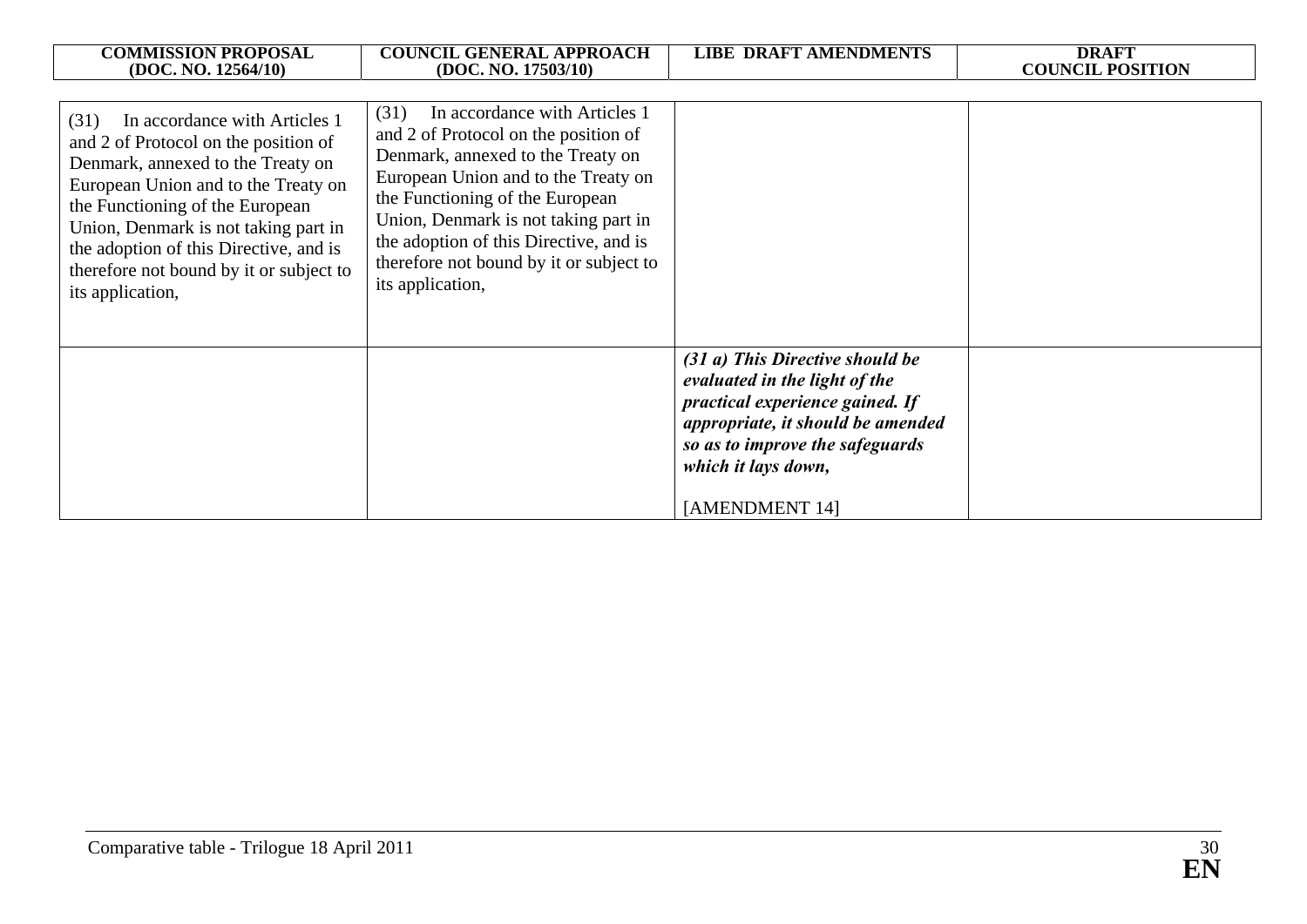| <b>COMMISSION PROPOSAL</b><br>(DOC. NO. 12564/10)                                                                                                                                                                                                                                                                                             | <b>COUNCIL GENERAL APPROACH</b><br>(DOC. NO. 17503/10)                                                                                                                                                                                                                                                                                        | <b>LIBE DRAFT AMENDMENTS</b>                                                                                                                                                      | <b>DRAFT</b><br><b>COUNCIL POSITION</b> |
|-----------------------------------------------------------------------------------------------------------------------------------------------------------------------------------------------------------------------------------------------------------------------------------------------------------------------------------------------|-----------------------------------------------------------------------------------------------------------------------------------------------------------------------------------------------------------------------------------------------------------------------------------------------------------------------------------------------|-----------------------------------------------------------------------------------------------------------------------------------------------------------------------------------|-----------------------------------------|
| In accordance with Articles 1<br>(31)<br>and 2 of Protocol on the position of<br>Denmark, annexed to the Treaty on<br>European Union and to the Treaty on<br>the Functioning of the European<br>Union, Denmark is not taking part in<br>the adoption of this Directive, and is<br>therefore not bound by it or subject to<br>its application, | (31)<br>In accordance with Articles 1<br>and 2 of Protocol on the position of<br>Denmark, annexed to the Treaty on<br>European Union and to the Treaty on<br>the Functioning of the European<br>Union, Denmark is not taking part in<br>the adoption of this Directive, and is<br>therefore not bound by it or subject to<br>its application, | (31 a) This Directive should be                                                                                                                                                   |                                         |
|                                                                                                                                                                                                                                                                                                                                               |                                                                                                                                                                                                                                                                                                                                               | evaluated in the light of the<br>practical experience gained. If<br>appropriate, it should be amended<br>so as to improve the safeguards<br>which it lays down,<br>[AMENDMENT 14] |                                         |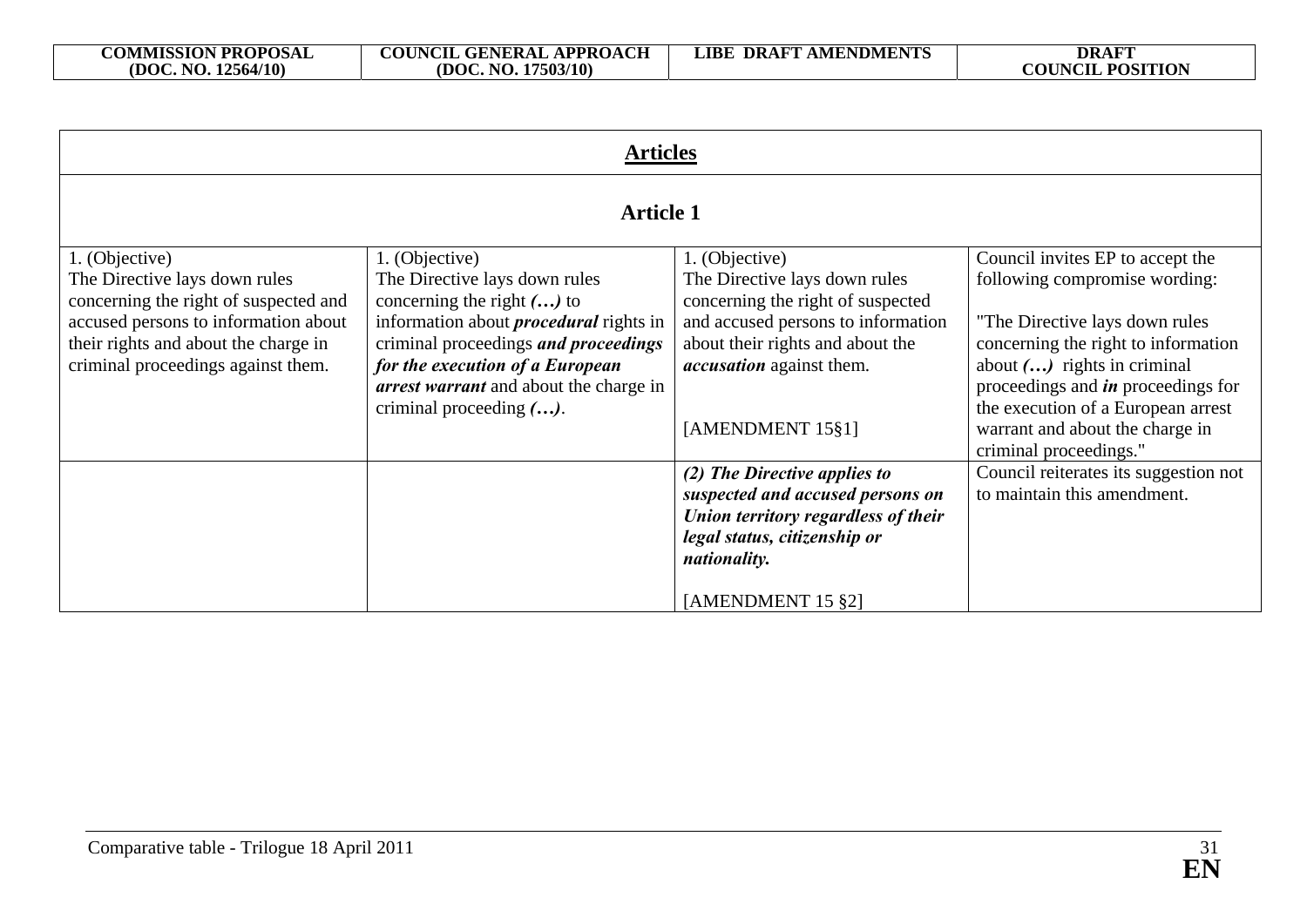| <b>Articles</b>                                                                                                                                             |                                                                                                                                                                                                                                               |                                                                                                                                                                              |                                                                                                                                                                                                                                                         |
|-------------------------------------------------------------------------------------------------------------------------------------------------------------|-----------------------------------------------------------------------------------------------------------------------------------------------------------------------------------------------------------------------------------------------|------------------------------------------------------------------------------------------------------------------------------------------------------------------------------|---------------------------------------------------------------------------------------------------------------------------------------------------------------------------------------------------------------------------------------------------------|
| <b>Article 1</b>                                                                                                                                            |                                                                                                                                                                                                                                               |                                                                                                                                                                              |                                                                                                                                                                                                                                                         |
| 1. (Objective)<br>The Directive lays down rules                                                                                                             | 1. (Objective)<br>The Directive lays down rules                                                                                                                                                                                               | 1. (Objective)<br>The Directive lays down rules                                                                                                                              | Council invites EP to accept the<br>following compromise wording:                                                                                                                                                                                       |
| concerning the right of suspected and<br>accused persons to information about<br>their rights and about the charge in<br>criminal proceedings against them. | concerning the right $()$ to<br>information about <i>procedural</i> rights in<br>criminal proceedings and proceedings<br>for the execution of a European<br><i>arrest warrant</i> and about the charge in<br>criminal proceeding $(\ldots)$ . | concerning the right of suspected<br>and accused persons to information<br>about their rights and about the<br><i>accusation</i> against them.<br>[AMENDMENT 15§1]           | "The Directive lays down rules"<br>concerning the right to information<br>about $()$ rights in criminal<br>proceedings and <i>in</i> proceedings for<br>the execution of a European arrest<br>warrant and about the charge in<br>criminal proceedings." |
|                                                                                                                                                             |                                                                                                                                                                                                                                               | (2) The Directive applies to<br>suspected and accused persons on<br>Union territory regardless of their<br>legal status, citizenship or<br>nationality.<br>[AMENDMENT 15 §2] | Council reiterates its suggestion not<br>to maintain this amendment.                                                                                                                                                                                    |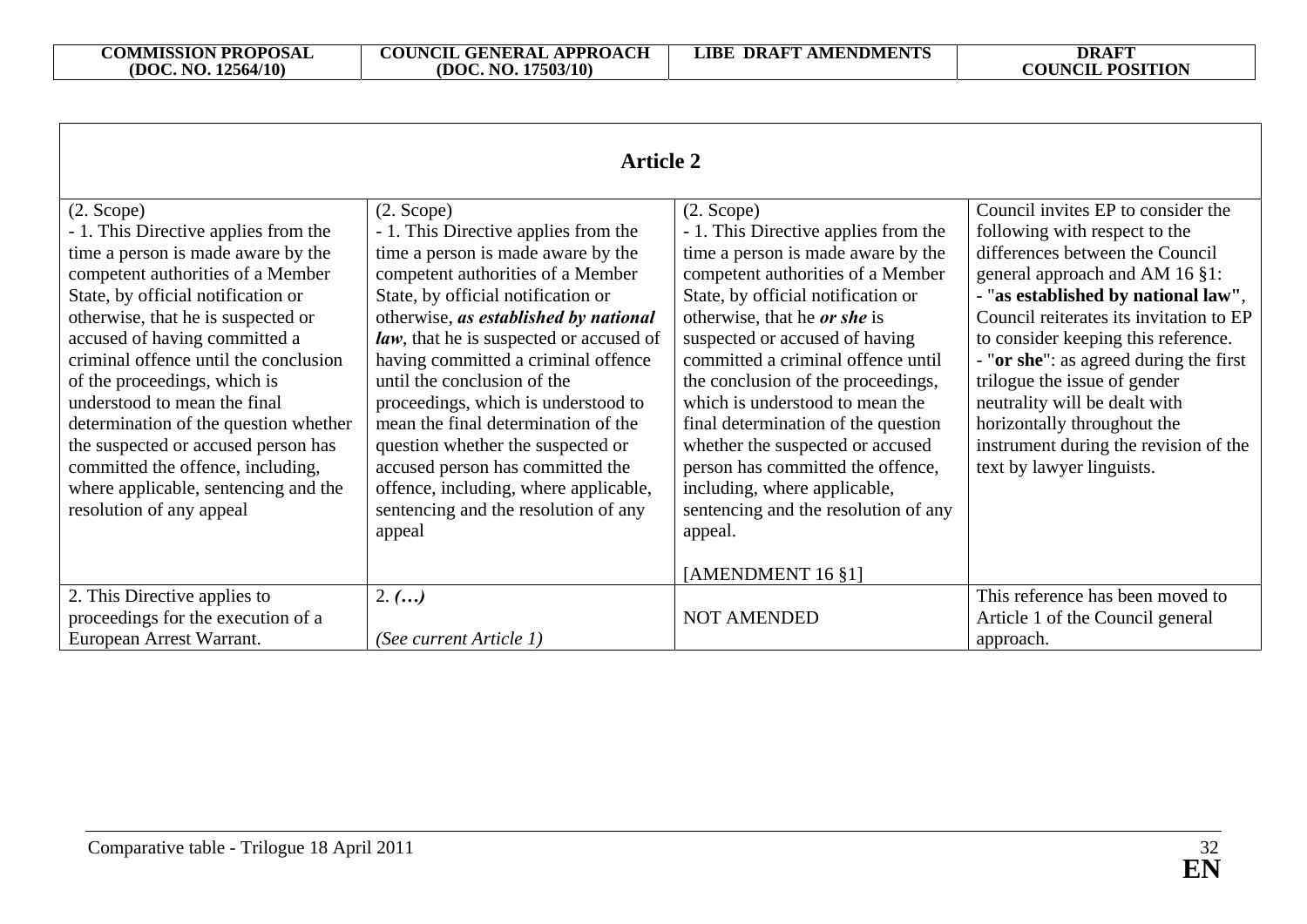| <b>Article 2</b>                                                                                                                                                                                                                                                                                                                                                                                                                                                                                                                                      |                                                                                                                                                                                                                                                                                                                                                                                                                                                                                                                                                                                          |                                                                                                                                                                                                                                                                                                                                                                                                                                                                                                                                                                                       |                                                                                                                                                                                                                                                                                                                                                                                                                                                                                   |
|-------------------------------------------------------------------------------------------------------------------------------------------------------------------------------------------------------------------------------------------------------------------------------------------------------------------------------------------------------------------------------------------------------------------------------------------------------------------------------------------------------------------------------------------------------|------------------------------------------------------------------------------------------------------------------------------------------------------------------------------------------------------------------------------------------------------------------------------------------------------------------------------------------------------------------------------------------------------------------------------------------------------------------------------------------------------------------------------------------------------------------------------------------|---------------------------------------------------------------------------------------------------------------------------------------------------------------------------------------------------------------------------------------------------------------------------------------------------------------------------------------------------------------------------------------------------------------------------------------------------------------------------------------------------------------------------------------------------------------------------------------|-----------------------------------------------------------------------------------------------------------------------------------------------------------------------------------------------------------------------------------------------------------------------------------------------------------------------------------------------------------------------------------------------------------------------------------------------------------------------------------|
| $(2. \text{Scope})$<br>- 1. This Directive applies from the<br>time a person is made aware by the<br>competent authorities of a Member<br>State, by official notification or<br>otherwise, that he is suspected or<br>accused of having committed a<br>criminal offence until the conclusion<br>of the proceedings, which is<br>understood to mean the final<br>determination of the question whether<br>the suspected or accused person has<br>committed the offence, including,<br>where applicable, sentencing and the<br>resolution of any appeal | $(2. \text{Scope})$<br>- 1. This Directive applies from the<br>time a person is made aware by the<br>competent authorities of a Member<br>State, by official notification or<br>otherwise, as established by national<br>law, that he is suspected or accused of<br>having committed a criminal offence<br>until the conclusion of the<br>proceedings, which is understood to<br>mean the final determination of the<br>question whether the suspected or<br>accused person has committed the<br>offence, including, where applicable,<br>sentencing and the resolution of any<br>appeal | $(2. \text{Scope})$<br>- 1. This Directive applies from the<br>time a person is made aware by the<br>competent authorities of a Member<br>State, by official notification or<br>otherwise, that he or she is<br>suspected or accused of having<br>committed a criminal offence until<br>the conclusion of the proceedings,<br>which is understood to mean the<br>final determination of the question<br>whether the suspected or accused<br>person has committed the offence,<br>including, where applicable,<br>sentencing and the resolution of any<br>appeal.<br>[AMENDMENT 16 §1] | Council invites EP to consider the<br>following with respect to the<br>differences between the Council<br>general approach and AM 16 §1:<br>- "as established by national law",<br>Council reiterates its invitation to EP<br>to consider keeping this reference.<br>- "or she": as agreed during the first<br>trilogue the issue of gender<br>neutrality will be dealt with<br>horizontally throughout the<br>instrument during the revision of the<br>text by lawyer linguists. |
| 2. This Directive applies to<br>proceedings for the execution of a<br>European Arrest Warrant.                                                                                                                                                                                                                                                                                                                                                                                                                                                        | 2. ()<br>(See current Article 1)                                                                                                                                                                                                                                                                                                                                                                                                                                                                                                                                                         | <b>NOT AMENDED</b>                                                                                                                                                                                                                                                                                                                                                                                                                                                                                                                                                                    | This reference has been moved to<br>Article 1 of the Council general<br>approach.                                                                                                                                                                                                                                                                                                                                                                                                 |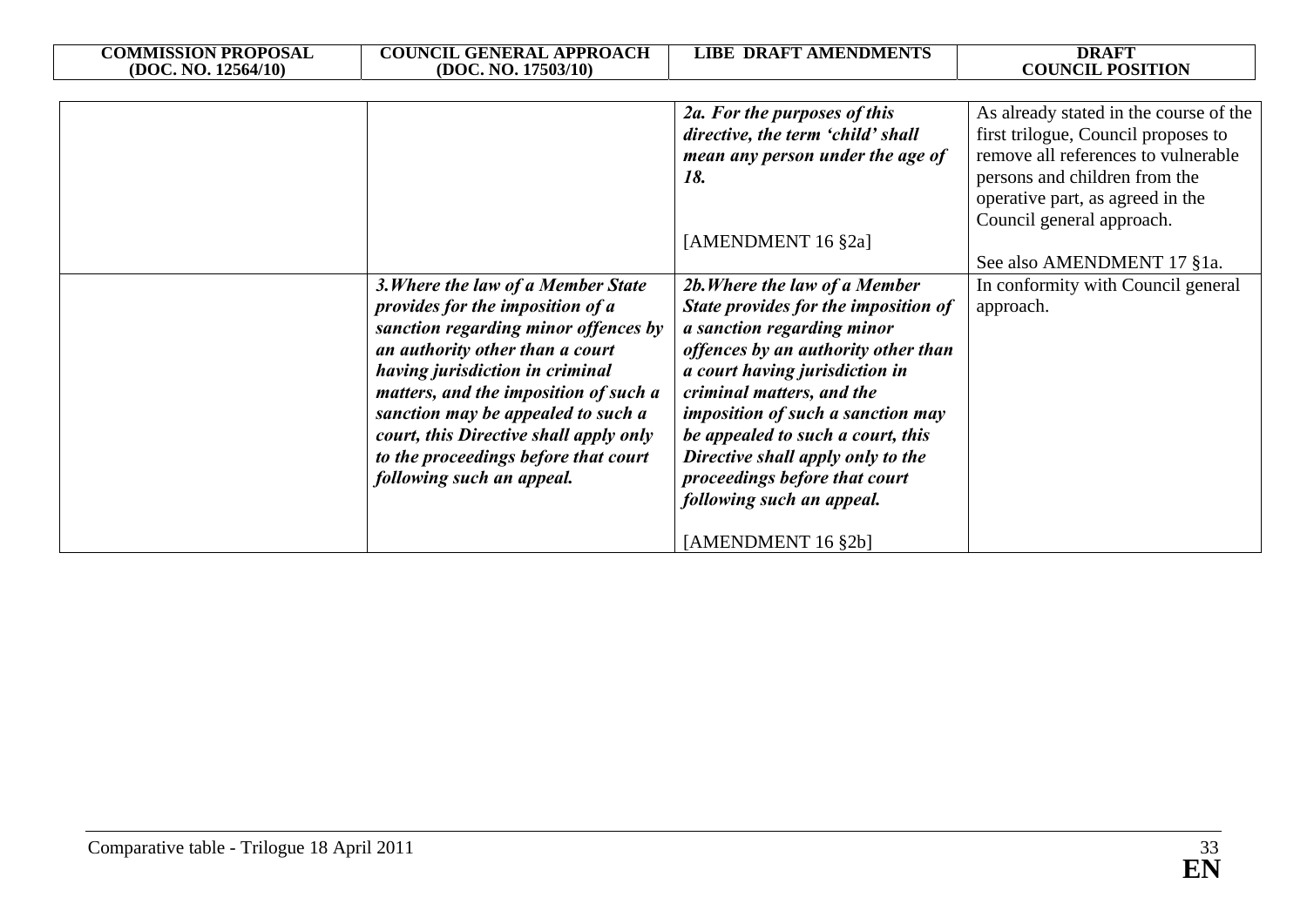| <b>COMMISSION PROPOSAL</b> | <b>COUNCIL GENERAL APPROACH</b>        | <b>LIBE DRAFT AMENDMENTS</b>             | <b>DRAFT</b>                           |
|----------------------------|----------------------------------------|------------------------------------------|----------------------------------------|
| (DOC. NO. 12564/10)        | (DOC. NO. 17503/10)                    |                                          | <b>COUNCIL POSITION</b>                |
|                            |                                        |                                          |                                        |
|                            |                                        | 2a. For the purposes of this             | As already stated in the course of the |
|                            |                                        | directive, the term 'child' shall        | first trilogue, Council proposes to    |
|                            |                                        | mean any person under the age of         | remove all references to vulnerable    |
|                            |                                        | 18.                                      | persons and children from the          |
|                            |                                        |                                          | operative part, as agreed in the       |
|                            |                                        |                                          | Council general approach.              |
|                            |                                        | [AMENDMENT 16 §2a]                       |                                        |
|                            |                                        |                                          | See also AMENDMENT 17 §1a.             |
|                            | 3. Where the law of a Member State     | 2b. Where the law of a Member            | In conformity with Council general     |
|                            | provides for the imposition of a       | State provides for the imposition of     | approach.                              |
|                            | sanction regarding minor offences by   | a sanction regarding minor               |                                        |
|                            | an authority other than a court        | offences by an authority other than      |                                        |
|                            | having jurisdiction in criminal        | a court having jurisdiction in           |                                        |
|                            | matters, and the imposition of such a  | criminal matters, and the                |                                        |
|                            | sanction may be appealed to such a     | <i>imposition of such a sanction may</i> |                                        |
|                            | court, this Directive shall apply only | be appealed to such a court, this        |                                        |
|                            | to the proceedings before that court   | Directive shall apply only to the        |                                        |
|                            | following such an appeal.              | proceedings before that court            |                                        |
|                            |                                        | following such an appeal.                |                                        |
|                            |                                        |                                          |                                        |
|                            |                                        | [AMENDMENT 16 §2b]                       |                                        |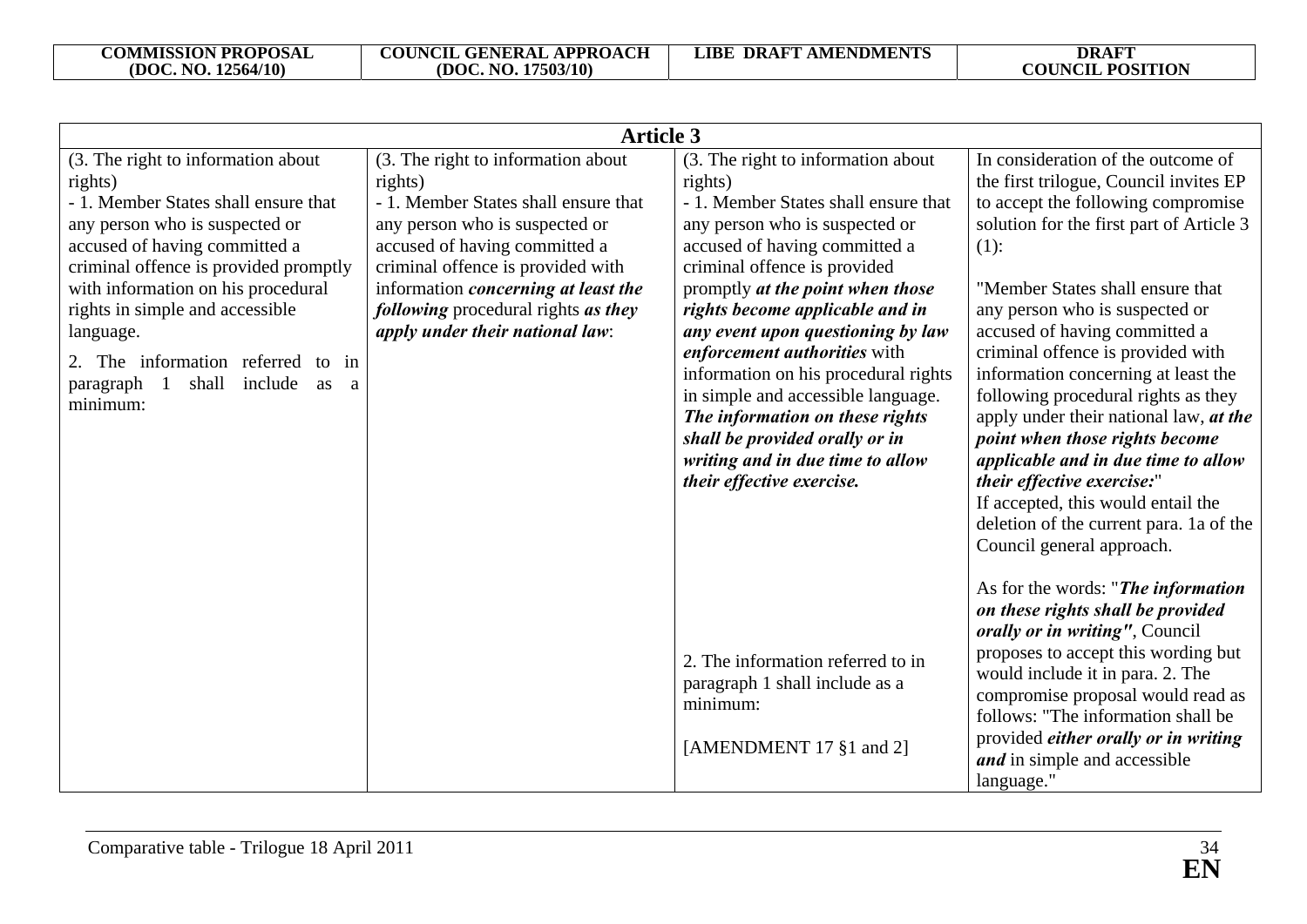| <b>Article 3</b>                                                                                                                                                                                                                                                                                                                                                                                    |                                                                                                                                                                                                                                                                                                                       |                                                                                                                                                                                                                                                                                                                                                                                                                                                                                                                                                          |                                                                                                                                                                                                                                                                                                                                                                                                                                                                                                                                                                                                                                                                    |
|-----------------------------------------------------------------------------------------------------------------------------------------------------------------------------------------------------------------------------------------------------------------------------------------------------------------------------------------------------------------------------------------------------|-----------------------------------------------------------------------------------------------------------------------------------------------------------------------------------------------------------------------------------------------------------------------------------------------------------------------|----------------------------------------------------------------------------------------------------------------------------------------------------------------------------------------------------------------------------------------------------------------------------------------------------------------------------------------------------------------------------------------------------------------------------------------------------------------------------------------------------------------------------------------------------------|--------------------------------------------------------------------------------------------------------------------------------------------------------------------------------------------------------------------------------------------------------------------------------------------------------------------------------------------------------------------------------------------------------------------------------------------------------------------------------------------------------------------------------------------------------------------------------------------------------------------------------------------------------------------|
| (3. The right to information about<br>rights)<br>- 1. Member States shall ensure that<br>any person who is suspected or<br>accused of having committed a<br>criminal offence is provided promptly<br>with information on his procedural<br>rights in simple and accessible<br>language.<br>2. The information referred to in<br>shall include<br>paragraph<br>$\overline{1}$<br>as<br>a<br>minimum: | (3. The right to information about<br>rights)<br>- 1. Member States shall ensure that<br>any person who is suspected or<br>accused of having committed a<br>criminal offence is provided with<br>information <i>concerning at least the</i><br>following procedural rights as they<br>apply under their national law: | (3. The right to information about<br>rights)<br>- 1. Member States shall ensure that<br>any person who is suspected or<br>accused of having committed a<br>criminal offence is provided<br>promptly at the point when those<br>rights become applicable and in<br>any event upon questioning by law<br>enforcement authorities with<br>information on his procedural rights<br>in simple and accessible language.<br>The information on these rights<br>shall be provided orally or in<br>writing and in due time to allow<br>their effective exercise. | In consideration of the outcome of<br>the first trilogue, Council invites EP<br>to accept the following compromise<br>solution for the first part of Article 3<br>$(1)$ :<br>"Member States shall ensure that<br>any person who is suspected or<br>accused of having committed a<br>criminal offence is provided with<br>information concerning at least the<br>following procedural rights as they<br>apply under their national law, at the<br>point when those rights become<br>applicable and in due time to allow<br>their effective exercise:"<br>If accepted, this would entail the<br>deletion of the current para. 1a of the<br>Council general approach. |
|                                                                                                                                                                                                                                                                                                                                                                                                     |                                                                                                                                                                                                                                                                                                                       | 2. The information referred to in<br>paragraph 1 shall include as a<br>minimum:<br>[AMENDMENT 17 §1 and 2]                                                                                                                                                                                                                                                                                                                                                                                                                                               | As for the words: "The information"<br>on these rights shall be provided<br>orally or in writing", Council<br>proposes to accept this wording but<br>would include it in para. 2. The<br>compromise proposal would read as<br>follows: "The information shall be<br>provided <i>either orally or in writing</i><br>and in simple and accessible<br>language."                                                                                                                                                                                                                                                                                                      |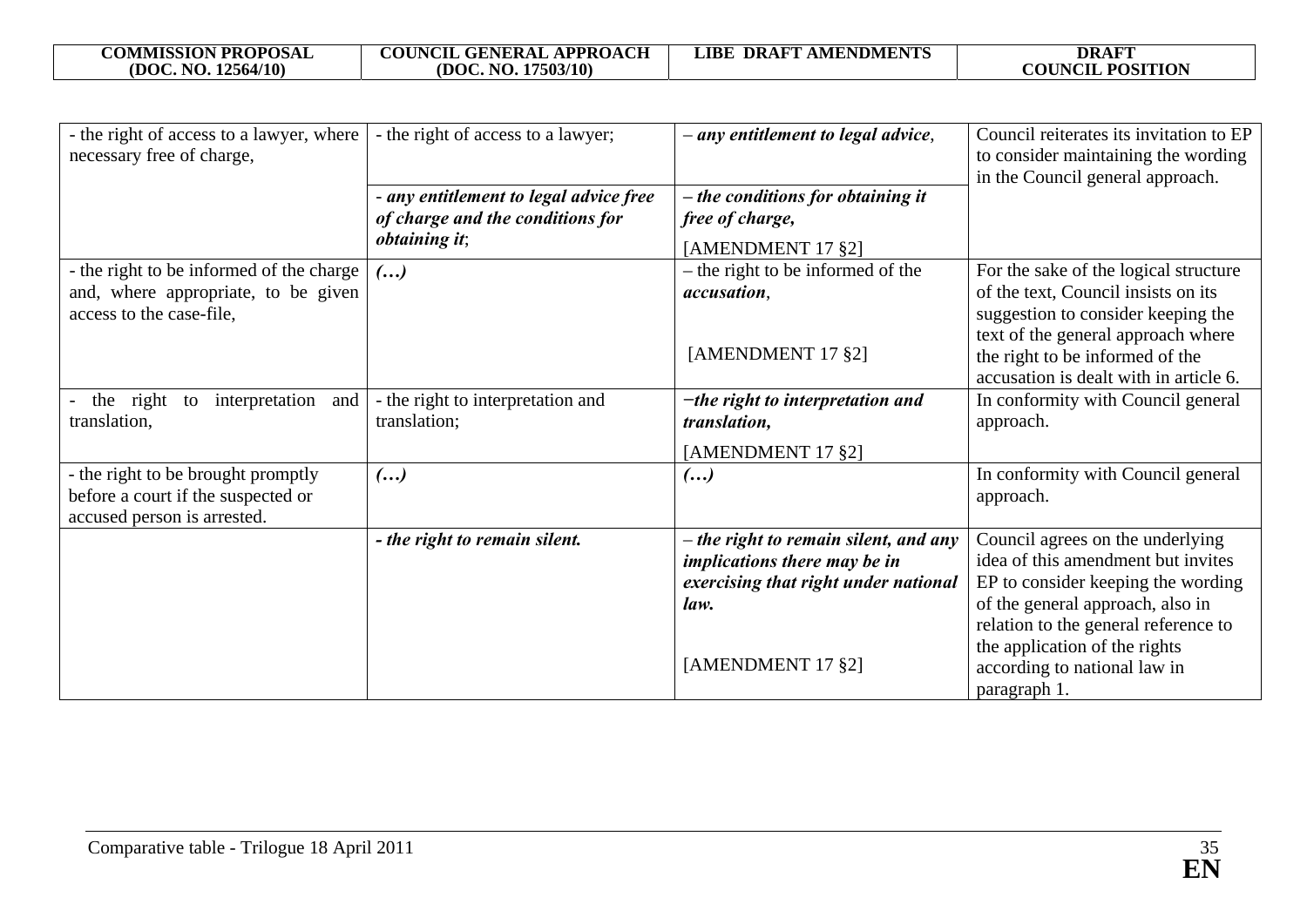| <b>COMMISSION PROPOSAL</b> |  |
|----------------------------|--|
| (DOC. NO. 12564/10)        |  |

| - the right of access to a lawyer, where<br>necessary free of charge,                                   | - the right of access to a lawyer;                                         | - any entitlement to legal advice,                   | Council reiterates its invitation to EP<br>to consider maintaining the wording<br>in the Council general approach.                                    |
|---------------------------------------------------------------------------------------------------------|----------------------------------------------------------------------------|------------------------------------------------------|-------------------------------------------------------------------------------------------------------------------------------------------------------|
|                                                                                                         | - any entitlement to legal advice free<br>of charge and the conditions for | - the conditions for obtaining it<br>free of charge, |                                                                                                                                                       |
|                                                                                                         | <i>obtaining it;</i>                                                       | [AMENDMENT 17 §2]                                    |                                                                                                                                                       |
| - the right to be informed of the charge                                                                | $($ )                                                                      | - the right to be informed of the                    | For the sake of the logical structure                                                                                                                 |
| and, where appropriate, to be given                                                                     |                                                                            | accusation,                                          | of the text, Council insists on its                                                                                                                   |
| access to the case-file,                                                                                |                                                                            | [AMENDMENT 17 §2]                                    | suggestion to consider keeping the<br>text of the general approach where<br>the right to be informed of the<br>accusation is dealt with in article 6. |
| the right<br>interpretation<br>and<br>to<br>translation,                                                | - the right to interpretation and<br>translation;                          | $-$ the right to interpretation and<br>translation,  | In conformity with Council general<br>approach.                                                                                                       |
|                                                                                                         |                                                                            | [AMENDMENT 17 §2]                                    |                                                                                                                                                       |
| - the right to be brought promptly<br>before a court if the suspected or<br>accused person is arrested. | $\left( \ldots \right)$                                                    | $\left( \ldots \right)$                              | In conformity with Council general<br>approach.                                                                                                       |
|                                                                                                         | - the right to remain silent.                                              | - the right to remain silent, and any                | Council agrees on the underlying                                                                                                                      |
|                                                                                                         |                                                                            | <i>implications there may be in</i>                  | idea of this amendment but invites                                                                                                                    |
|                                                                                                         |                                                                            | exercising that right under national                 | EP to consider keeping the wording                                                                                                                    |
|                                                                                                         |                                                                            | law.                                                 | of the general approach, also in                                                                                                                      |
|                                                                                                         |                                                                            |                                                      | relation to the general reference to                                                                                                                  |
|                                                                                                         |                                                                            | [AMENDMENT 17 §2]                                    | the application of the rights<br>according to national law in<br>paragraph 1.                                                                         |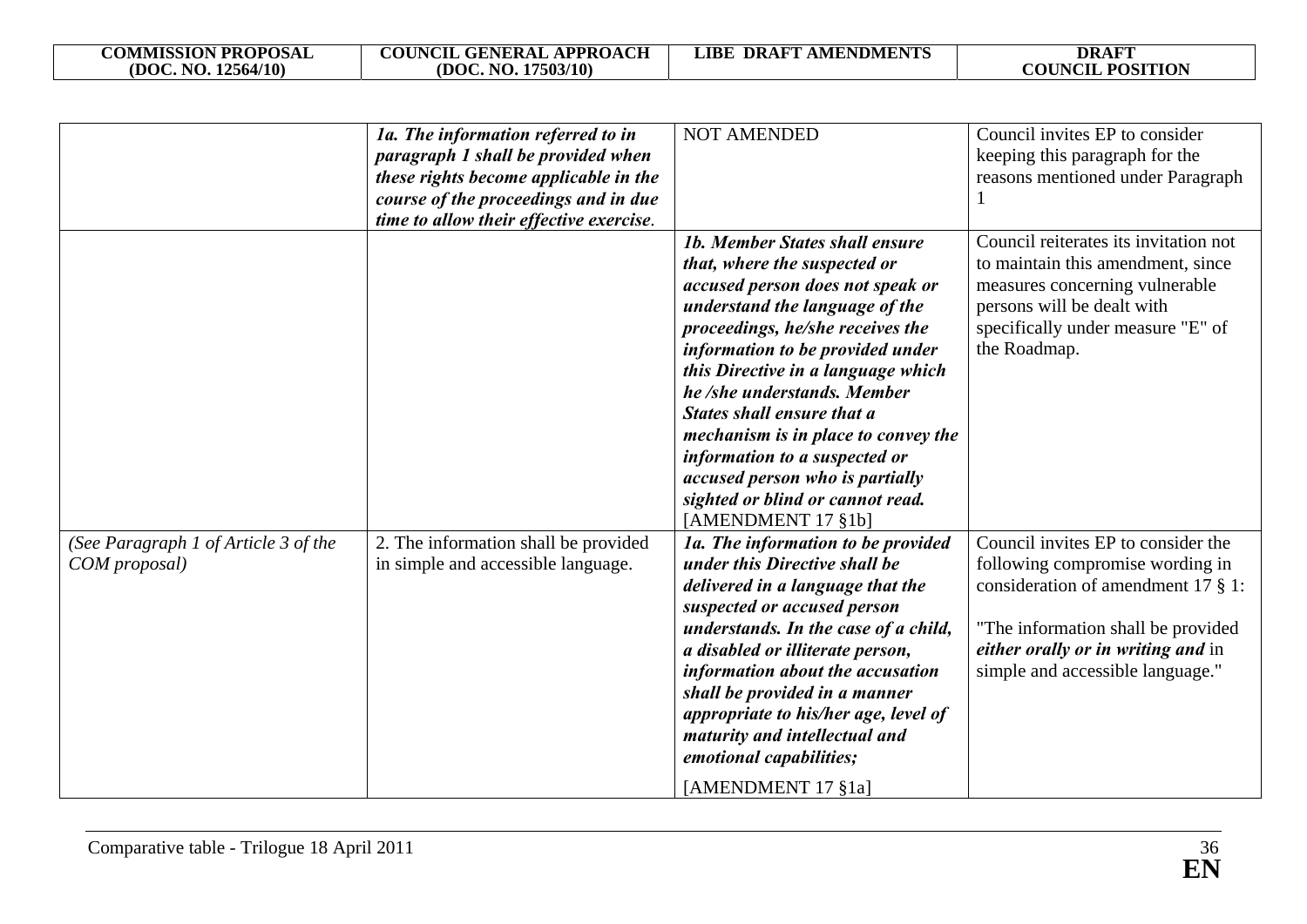| <b>COMMISSION PROPOSAL</b> | <b>COUNCIL GENERAL APPROACH</b> | <b>LIBE DRAFT AMENDMENTS</b> | <b>DRAFT</b>            |
|----------------------------|---------------------------------|------------------------------|-------------------------|
| (DOC. NO. 12564/10)        | (DOC. NO. 17503/10)             |                              | <b>COUNCIL POSITION</b> |

|                                      | 1a. The information referred to in      | <b>NOT AMENDED</b>                                                   | Council invites EP to consider        |
|--------------------------------------|-----------------------------------------|----------------------------------------------------------------------|---------------------------------------|
|                                      | paragraph 1 shall be provided when      |                                                                      | keeping this paragraph for the        |
|                                      | these rights become applicable in the   |                                                                      | reasons mentioned under Paragraph     |
|                                      | course of the proceedings and in due    |                                                                      |                                       |
|                                      | time to allow their effective exercise. |                                                                      |                                       |
|                                      |                                         | <b>1b. Member States shall ensure</b>                                | Council reiterates its invitation not |
|                                      |                                         | that, where the suspected or                                         | to maintain this amendment, since     |
|                                      |                                         | accused person does not speak or                                     | measures concerning vulnerable        |
|                                      |                                         | understand the language of the                                       | persons will be dealt with            |
|                                      |                                         | proceedings, he/she receives the                                     | specifically under measure "E" of     |
|                                      |                                         | information to be provided under                                     | the Roadmap.                          |
|                                      |                                         | this Directive in a language which<br>he /she understands. Member    |                                       |
|                                      |                                         | <b>States shall ensure that a</b>                                    |                                       |
|                                      |                                         |                                                                      |                                       |
|                                      |                                         | mechanism is in place to convey the<br>information to a suspected or |                                       |
|                                      |                                         | accused person who is partially                                      |                                       |
|                                      |                                         | sighted or blind or cannot read.                                     |                                       |
|                                      |                                         | [AMENDMENT 17 §1b]                                                   |                                       |
| (See Paragraph 1 of Article 3 of the | 2. The information shall be provided    | 1a. The information to be provided                                   | Council invites EP to consider the    |
| COM proposal)                        | in simple and accessible language.      | under this Directive shall be                                        | following compromise wording in       |
|                                      |                                         | delivered in a language that the                                     | consideration of amendment 17 $\S$ 1: |
|                                      |                                         | suspected or accused person                                          |                                       |
|                                      |                                         | understands. In the case of a child,                                 | "The information shall be provided    |
|                                      |                                         | a disabled or illiterate person,                                     | either orally or in writing and in    |
|                                      |                                         | information about the accusation                                     | simple and accessible language."      |
|                                      |                                         | shall be provided in a manner                                        |                                       |
|                                      |                                         | appropriate to his/her age, level of                                 |                                       |
|                                      |                                         | maturity and intellectual and                                        |                                       |
|                                      |                                         | emotional capabilities;                                              |                                       |
|                                      |                                         | [AMENDMENT 17 §1a]                                                   |                                       |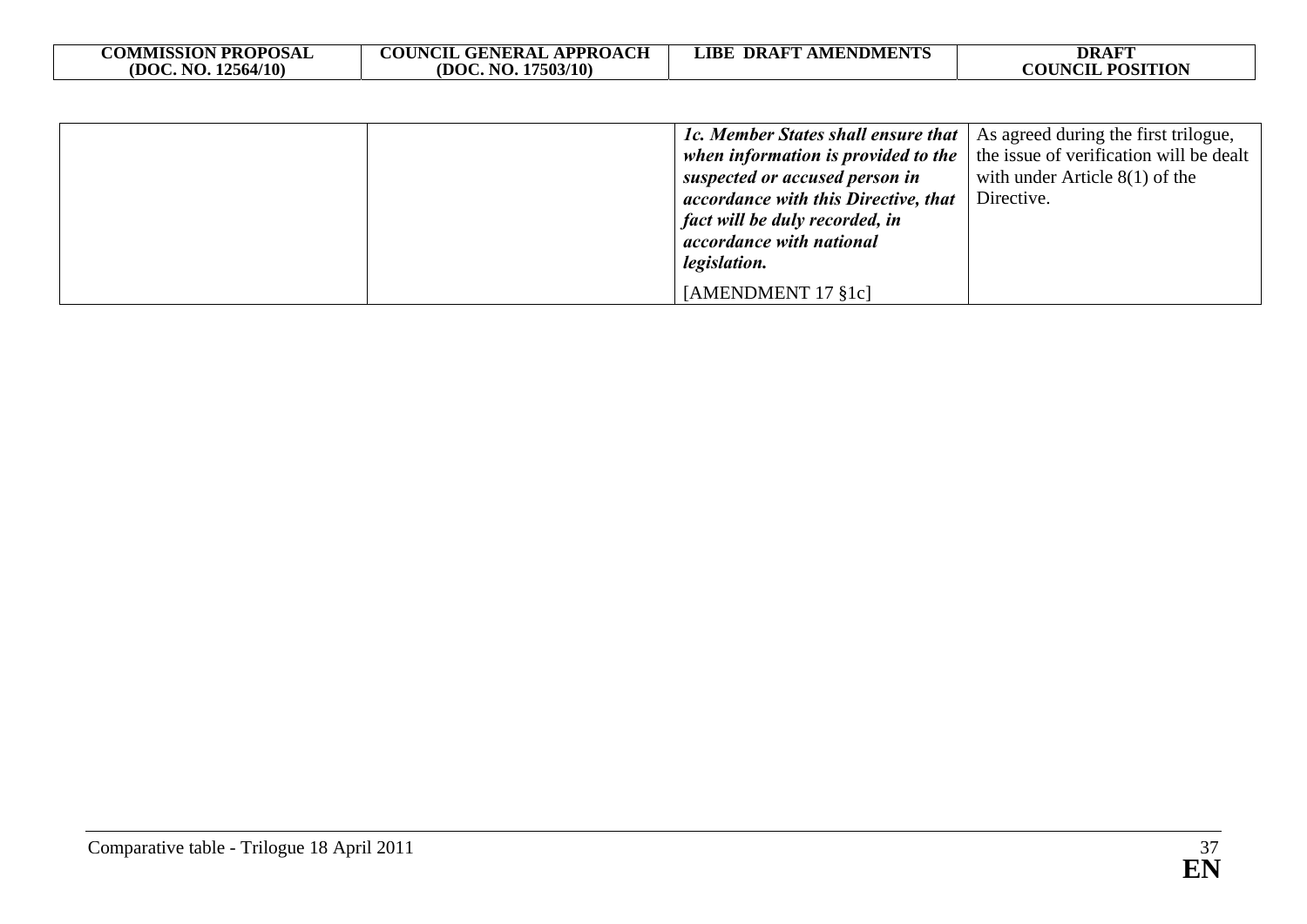| <b>COMMISSION PROPOSAL</b><br>(DOC. NO. 12564/10) | <b>COUNCIL GENERAL APPROACH</b><br>(DOC, NO. 17503/10) | <b>LIBE DRAFT AMENDMENTS</b>         | <b>DRAFT</b><br><b>COUNCIL POSITION</b> |
|---------------------------------------------------|--------------------------------------------------------|--------------------------------------|-----------------------------------------|
|                                                   |                                                        |                                      |                                         |
|                                                   |                                                        | 1c. Member States shall ensure that  | As agreed during the first trilogue,    |
|                                                   |                                                        | when information is provided to the  | the issue of verification will be dealt |
|                                                   |                                                        | suspected or accused person in       | with under Article $8(1)$ of the        |
|                                                   |                                                        | accordance with this Directive, that | Directive.                              |
|                                                   |                                                        | fact will be duly recorded, in       |                                         |
|                                                   |                                                        | accordance with national             |                                         |
|                                                   |                                                        | <i>legislation.</i>                  |                                         |
|                                                   |                                                        | [AMENDMENT 17 §1c]                   |                                         |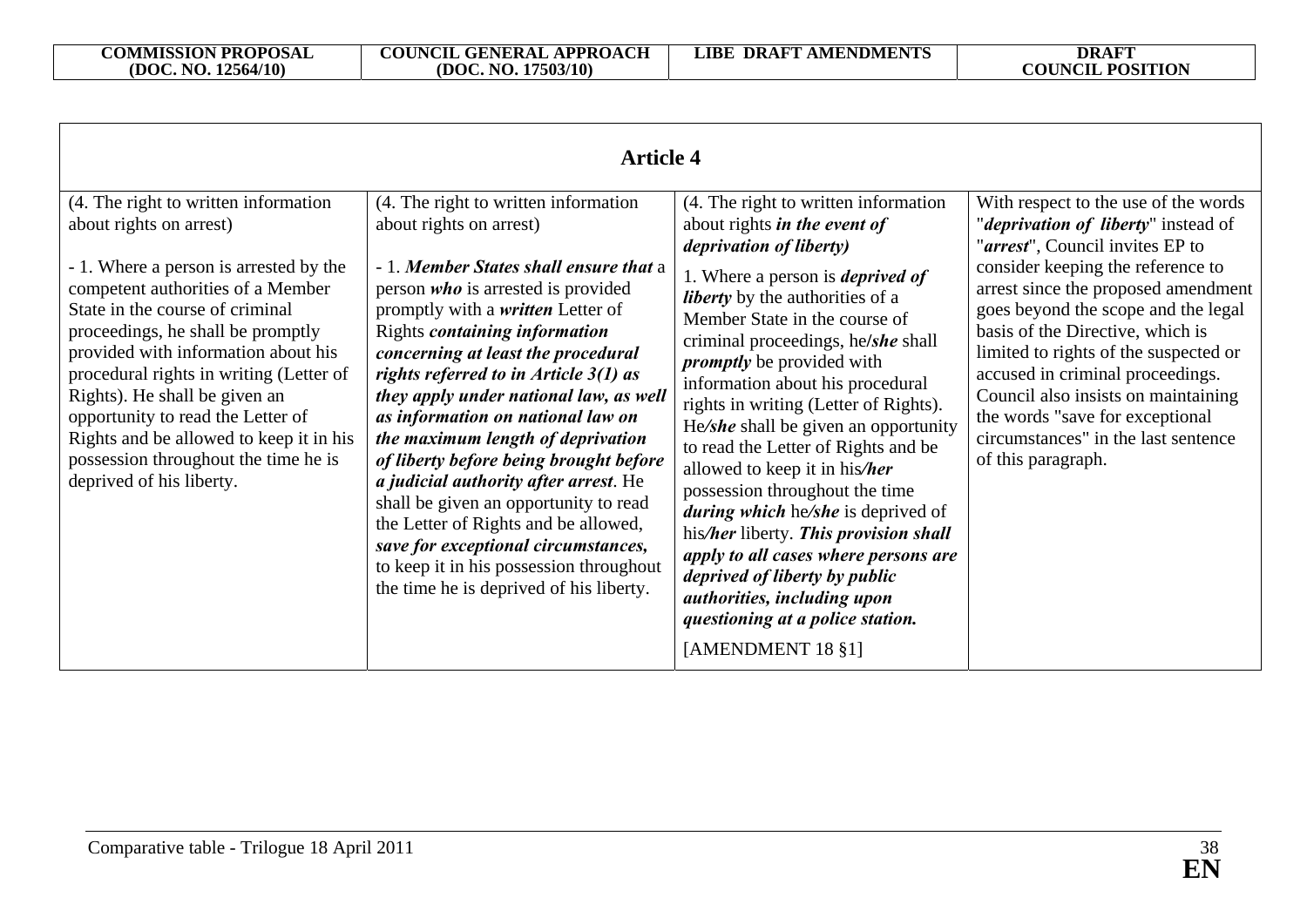| <b>Article 4</b>                                                                                                                                                                                                                                                                                                                                                                                                                                                                              |                                                                                                                                                                                                                                                                                                                                                                                                                                                                                                                                                                                                                                                                                                                                                         |                                                                                                                                                                                                                                                                                                                                                                                                                                                                                                                                                                                                                                                                                                                                                                                                     |                                                                                                                                                                                                                                                                                                                                                                                                                                                                                                    |  |
|-----------------------------------------------------------------------------------------------------------------------------------------------------------------------------------------------------------------------------------------------------------------------------------------------------------------------------------------------------------------------------------------------------------------------------------------------------------------------------------------------|---------------------------------------------------------------------------------------------------------------------------------------------------------------------------------------------------------------------------------------------------------------------------------------------------------------------------------------------------------------------------------------------------------------------------------------------------------------------------------------------------------------------------------------------------------------------------------------------------------------------------------------------------------------------------------------------------------------------------------------------------------|-----------------------------------------------------------------------------------------------------------------------------------------------------------------------------------------------------------------------------------------------------------------------------------------------------------------------------------------------------------------------------------------------------------------------------------------------------------------------------------------------------------------------------------------------------------------------------------------------------------------------------------------------------------------------------------------------------------------------------------------------------------------------------------------------------|----------------------------------------------------------------------------------------------------------------------------------------------------------------------------------------------------------------------------------------------------------------------------------------------------------------------------------------------------------------------------------------------------------------------------------------------------------------------------------------------------|--|
| (4. The right to written information<br>about rights on arrest)<br>- 1. Where a person is arrested by the<br>competent authorities of a Member<br>State in the course of criminal<br>proceedings, he shall be promptly<br>provided with information about his<br>procedural rights in writing (Letter of<br>Rights). He shall be given an<br>opportunity to read the Letter of<br>Rights and be allowed to keep it in his<br>possession throughout the time he is<br>deprived of his liberty. | (4. The right to written information<br>about rights on arrest)<br>- 1. Member States shall ensure that a<br>person <i>who</i> is arrested is provided<br>promptly with a <i>written</i> Letter of<br>Rights <i>containing information</i><br>concerning at least the procedural<br>rights referred to in Article $3(1)$ as<br>they apply under national law, as well<br>as information on national law on<br>the maximum length of deprivation<br>of liberty before being brought before<br><i>a judicial authority after arrest.</i> He<br>shall be given an opportunity to read<br>the Letter of Rights and be allowed,<br>save for exceptional circumstances,<br>to keep it in his possession throughout<br>the time he is deprived of his liberty. | (4. The right to written information<br>about rights <i>in the event of</i><br><i>deprivation of liberty)</i><br>1. Where a person is <i>deprived of</i><br><i>liberty</i> by the authorities of a<br>Member State in the course of<br>criminal proceedings, he/she shall<br><i>promptly</i> be provided with<br>information about his procedural<br>rights in writing (Letter of Rights).<br>He/she shall be given an opportunity<br>to read the Letter of Rights and be<br>allowed to keep it in his/her<br>possession throughout the time<br><i>during which</i> he/she is deprived of<br>his/her liberty. This provision shall<br>apply to all cases where persons are<br>deprived of liberty by public<br>authorities, including upon<br>questioning at a police station.<br>[AMENDMENT 18 §1] | With respect to the use of the words<br>" <i>deprivation of liberty</i> " instead of<br>"arrest", Council invites EP to<br>consider keeping the reference to<br>arrest since the proposed amendment<br>goes beyond the scope and the legal<br>basis of the Directive, which is<br>limited to rights of the suspected or<br>accused in criminal proceedings.<br>Council also insists on maintaining<br>the words "save for exceptional<br>circumstances" in the last sentence<br>of this paragraph. |  |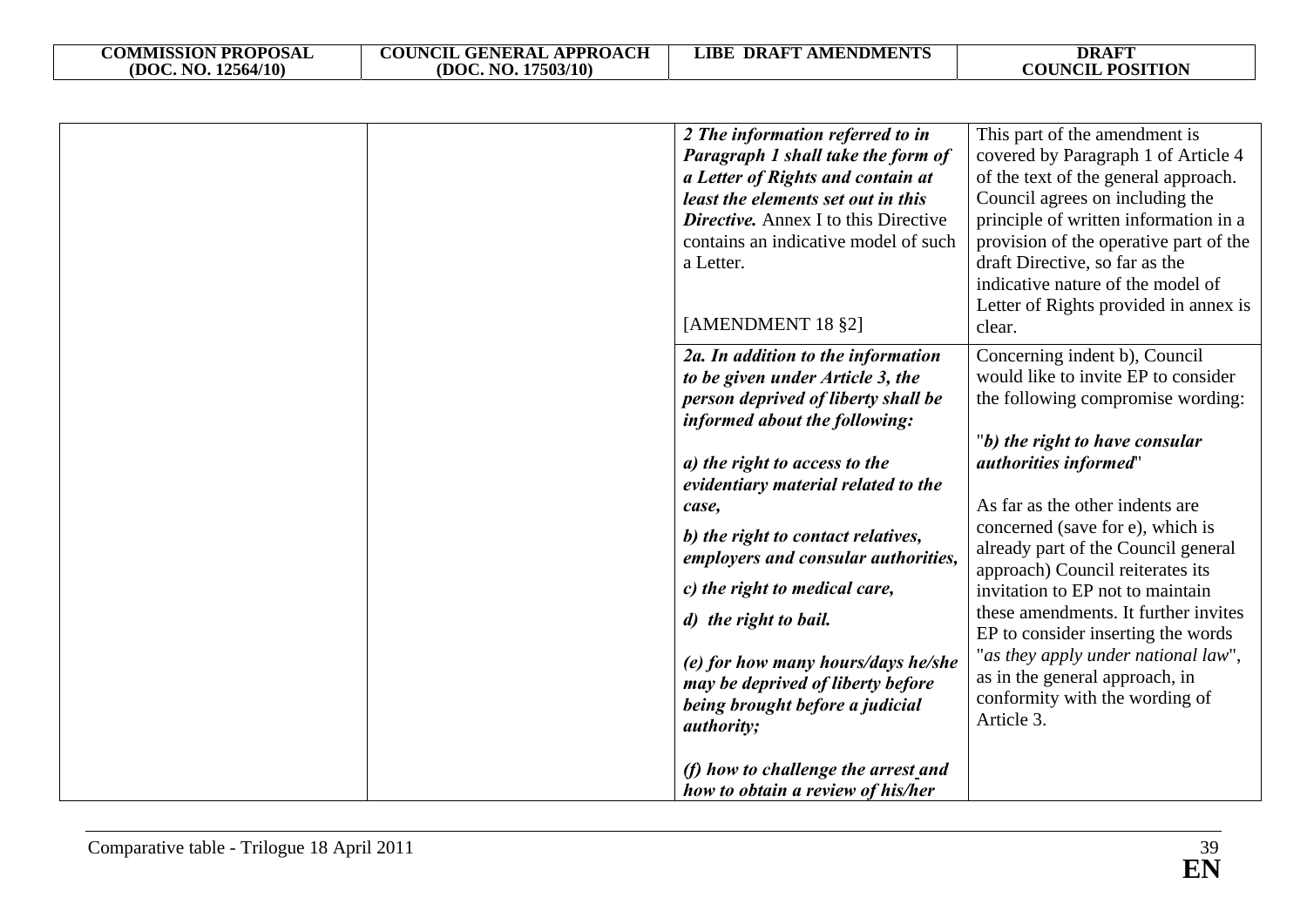|  | 2 The information referred to in<br>Paragraph 1 shall take the form of<br>a Letter of Rights and contain at<br>least the elements set out in this<br><b>Directive.</b> Annex I to this Directive<br>contains an indicative model of such<br>a Letter.<br>[AMENDMENT 18 §2]                                                                                                                                                                                                                                                                       | This part of the amendment is<br>covered by Paragraph 1 of Article 4<br>of the text of the general approach.<br>Council agrees on including the<br>principle of written information in a<br>provision of the operative part of the<br>draft Directive, so far as the<br>indicative nature of the model of<br>Letter of Rights provided in annex is<br>clear.                                                                                                                                                                                                      |
|--|--------------------------------------------------------------------------------------------------------------------------------------------------------------------------------------------------------------------------------------------------------------------------------------------------------------------------------------------------------------------------------------------------------------------------------------------------------------------------------------------------------------------------------------------------|-------------------------------------------------------------------------------------------------------------------------------------------------------------------------------------------------------------------------------------------------------------------------------------------------------------------------------------------------------------------------------------------------------------------------------------------------------------------------------------------------------------------------------------------------------------------|
|  | 2a. In addition to the information<br>to be given under Article 3, the<br>person deprived of liberty shall be<br>informed about the following:<br>a) the right to access to the<br>evidentiary material related to the<br>case,<br>b) the right to contact relatives,<br>employers and consular authorities,<br>c) the right to medical care,<br>d) the right to bail.<br>(e) for how many hours/days he/she<br>may be deprived of liberty before<br>being brought before a judicial<br><i>authority;</i><br>(f) how to challenge the arrest and | Concerning indent b), Council<br>would like to invite EP to consider<br>the following compromise wording:<br>"b) the right to have consular<br>authorities informed"<br>As far as the other indents are<br>concerned (save for e), which is<br>already part of the Council general<br>approach) Council reiterates its<br>invitation to EP not to maintain<br>these amendments. It further invites<br>EP to consider inserting the words<br>"as they apply under national law",<br>as in the general approach, in<br>conformity with the wording of<br>Article 3. |
|  | how to obtain a review of his/her                                                                                                                                                                                                                                                                                                                                                                                                                                                                                                                |                                                                                                                                                                                                                                                                                                                                                                                                                                                                                                                                                                   |

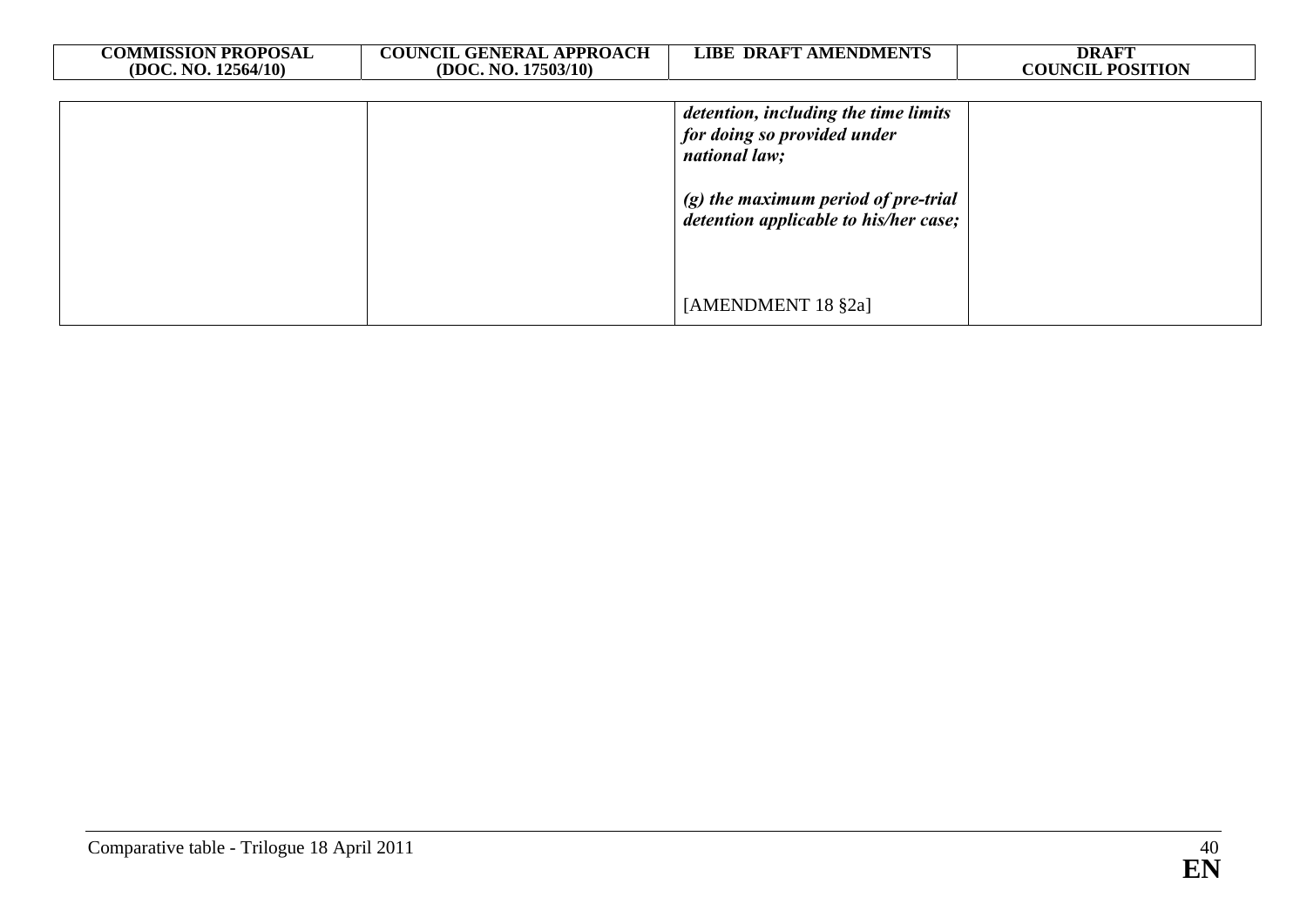| <b>COMMISSION PROPOSAL</b><br>(DOC. NO. 12564/10) | <b>COUNCIL GENERAL APPROACH</b><br>(DOC. NO. 17503/10) | <b>LIBE DRAFT AMENDMENTS</b>                                                                                                                                           | <b>DRAFT</b><br><b>COUNCIL POSITION</b> |
|---------------------------------------------------|--------------------------------------------------------|------------------------------------------------------------------------------------------------------------------------------------------------------------------------|-----------------------------------------|
|                                                   |                                                        | detention, including the time limits<br>for doing so provided under<br>national law;<br>$(g)$ the maximum period of pre-trial<br>detention applicable to his/her case; |                                         |
|                                                   |                                                        | [AMENDMENT 18 §2a]                                                                                                                                                     |                                         |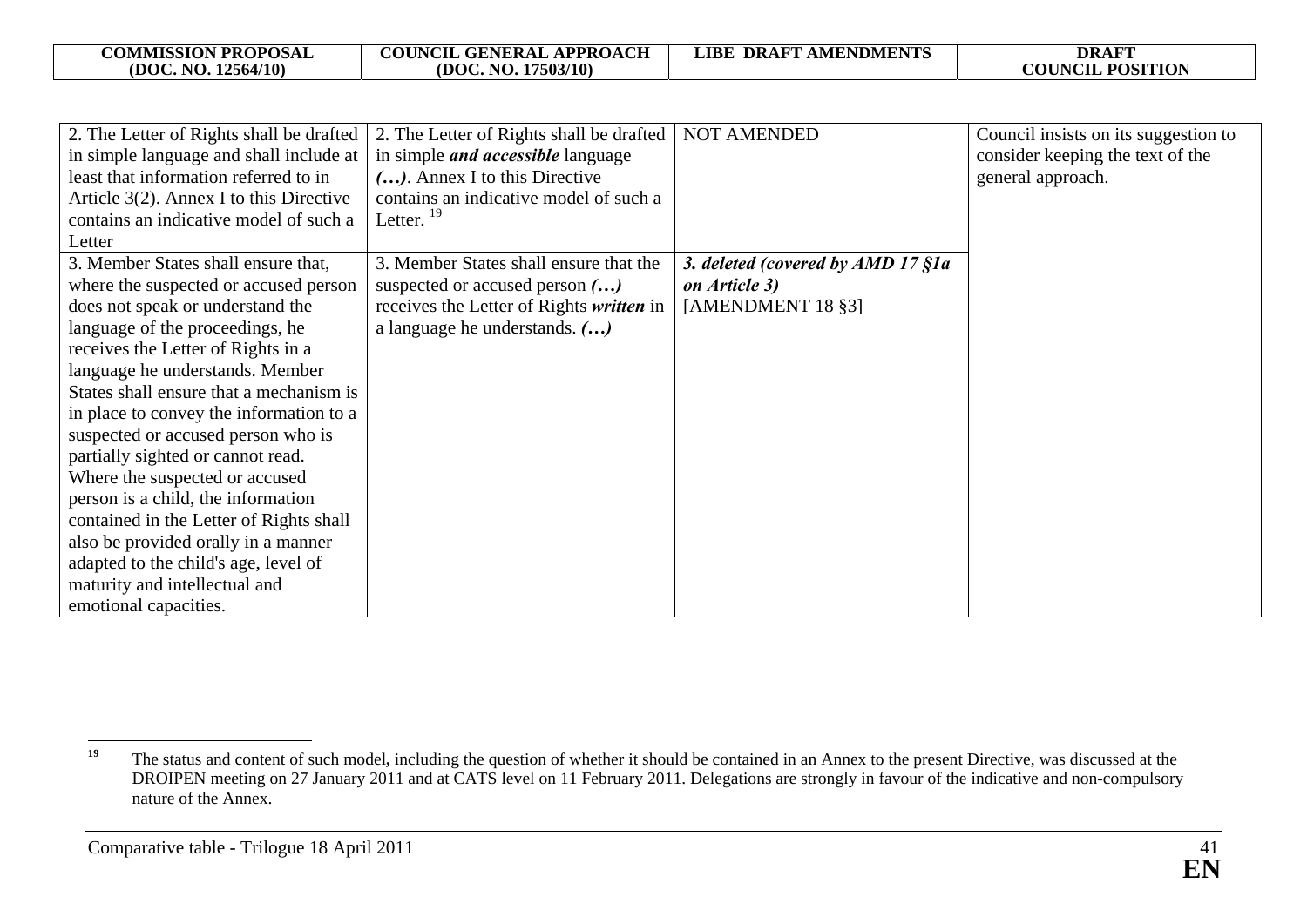| <b>COMMISSION PROPOSAL</b> | <b>COUNCIL GENERAL APPROACH</b> | <b>DRAFT AMENDMENTS</b> | DRAFT                   |
|----------------------------|---------------------------------|-------------------------|-------------------------|
| (DOC, NO. 12564/10)        | (DOC. NO. 17503/10)             | LIBE                    | <b>COUNCIL POSITION</b> |
|                            |                                 |                         |                         |

| 2. The Letter of Rights shall be drafted<br>in simple language and shall include at<br>least that information referred to in<br>Article $3(2)$ . Annex I to this Directive<br>contains an indicative model of such a<br>Letter                                                                                                                                                                                                                                                                                                                                                                                                                            | 2. The Letter of Rights shall be drafted<br>in simple <i>and accessible</i> language<br>(). Annex I to this Directive<br>contains an indicative model of such a<br>Letter. $^{19}$ | <b>NOT AMENDED</b>                                                      | Council insists on its suggestion to<br>consider keeping the text of the<br>general approach. |
|-----------------------------------------------------------------------------------------------------------------------------------------------------------------------------------------------------------------------------------------------------------------------------------------------------------------------------------------------------------------------------------------------------------------------------------------------------------------------------------------------------------------------------------------------------------------------------------------------------------------------------------------------------------|------------------------------------------------------------------------------------------------------------------------------------------------------------------------------------|-------------------------------------------------------------------------|-----------------------------------------------------------------------------------------------|
| 3. Member States shall ensure that,<br>where the suspected or accused person<br>does not speak or understand the<br>language of the proceedings, he<br>receives the Letter of Rights in a<br>language he understands. Member<br>States shall ensure that a mechanism is<br>in place to convey the information to a<br>suspected or accused person who is<br>partially sighted or cannot read.<br>Where the suspected or accused<br>person is a child, the information<br>contained in the Letter of Rights shall<br>also be provided orally in a manner<br>adapted to the child's age, level of<br>maturity and intellectual and<br>emotional capacities. | 3. Member States shall ensure that the<br>suspected or accused person ()<br>receives the Letter of Rights written in<br>a language he understands. ()                              | 3. deleted (covered by AMD 17 §1a<br>on Article 3)<br>[AMENDMENT 18 §3] |                                                                                               |

<sup>&</sup>lt;sup>19</sup> The status and content of such model, including the question of whether it should be contained in an Annex to the present Directive, was discussed at the DROIPEN meeting on 27 January 2011 and at CATS level on 11 February 2011. Delegations are strongly in favour of the indicative and non-compulsory nature of the Annex.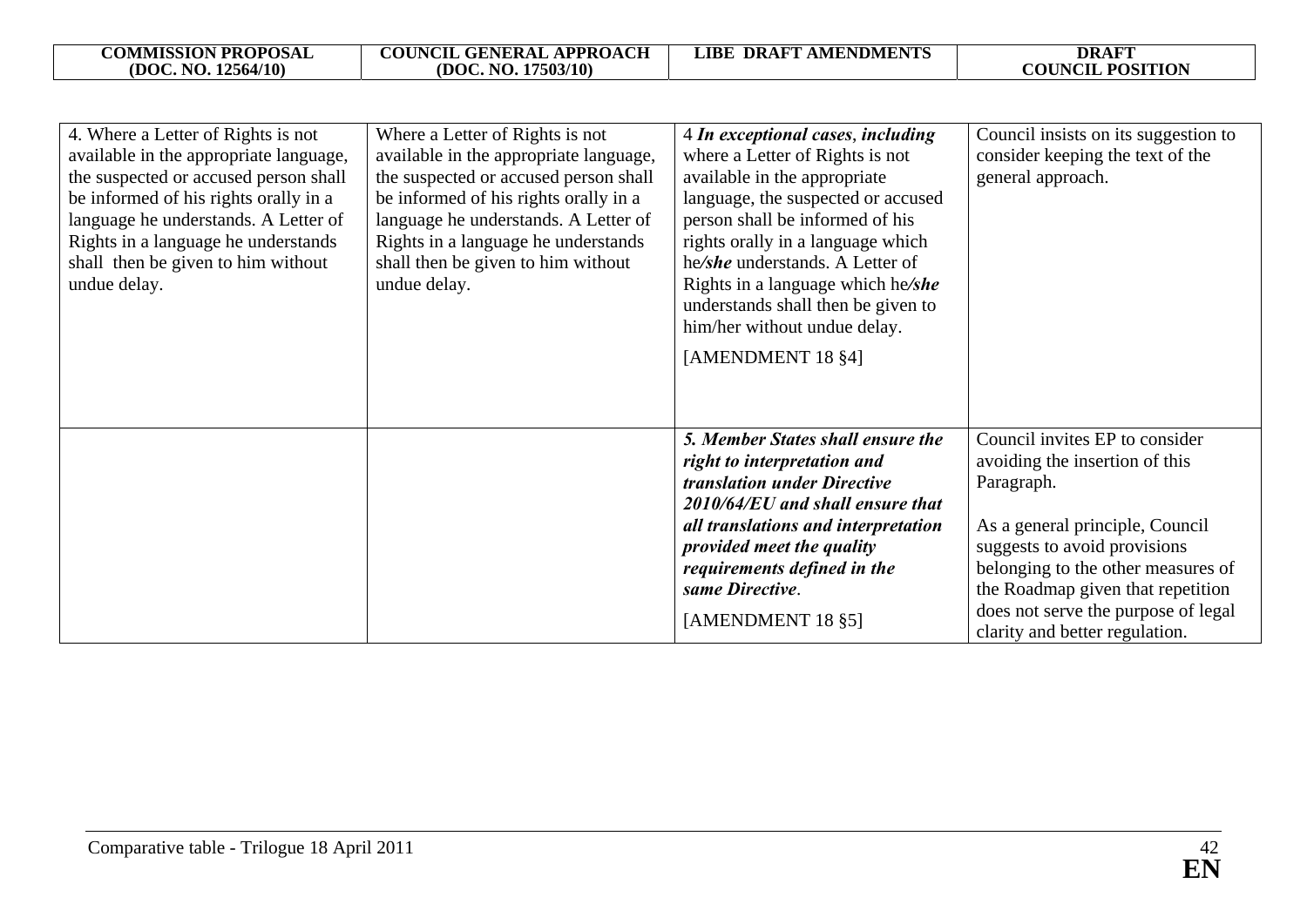| 4. Where a Letter of Rights is not<br>available in the appropriate language,<br>the suspected or accused person shall<br>be informed of his rights orally in a<br>language he understands. A Letter of<br>Rights in a language he understands<br>shall then be given to him without<br>undue delay. | Where a Letter of Rights is not<br>available in the appropriate language,<br>the suspected or accused person shall<br>be informed of his rights orally in a<br>language he understands. A Letter of<br>Rights in a language he understands<br>shall then be given to him without<br>undue delay. | 4 In exceptional cases, including<br>where a Letter of Rights is not<br>available in the appropriate<br>language, the suspected or accused<br>person shall be informed of his<br>rights orally in a language which<br>he/she understands. A Letter of<br>Rights in a language which he/she<br>understands shall then be given to<br>him/her without undue delay.<br>[AMENDMENT 18 §4] | Council insists on its suggestion to<br>consider keeping the text of the<br>general approach.                                                                                                                                                                                                         |
|-----------------------------------------------------------------------------------------------------------------------------------------------------------------------------------------------------------------------------------------------------------------------------------------------------|--------------------------------------------------------------------------------------------------------------------------------------------------------------------------------------------------------------------------------------------------------------------------------------------------|---------------------------------------------------------------------------------------------------------------------------------------------------------------------------------------------------------------------------------------------------------------------------------------------------------------------------------------------------------------------------------------|-------------------------------------------------------------------------------------------------------------------------------------------------------------------------------------------------------------------------------------------------------------------------------------------------------|
|                                                                                                                                                                                                                                                                                                     |                                                                                                                                                                                                                                                                                                  | 5. Member States shall ensure the<br>right to interpretation and<br>translation under Directive<br>2010/64/EU and shall ensure that<br>all translations and interpretation<br>provided meet the quality<br>requirements defined in the<br>same Directive.<br>[AMENDMENT 18 §5]                                                                                                        | Council invites EP to consider<br>avoiding the insertion of this<br>Paragraph.<br>As a general principle, Council<br>suggests to avoid provisions<br>belonging to the other measures of<br>the Roadmap given that repetition<br>does not serve the purpose of legal<br>clarity and better regulation. |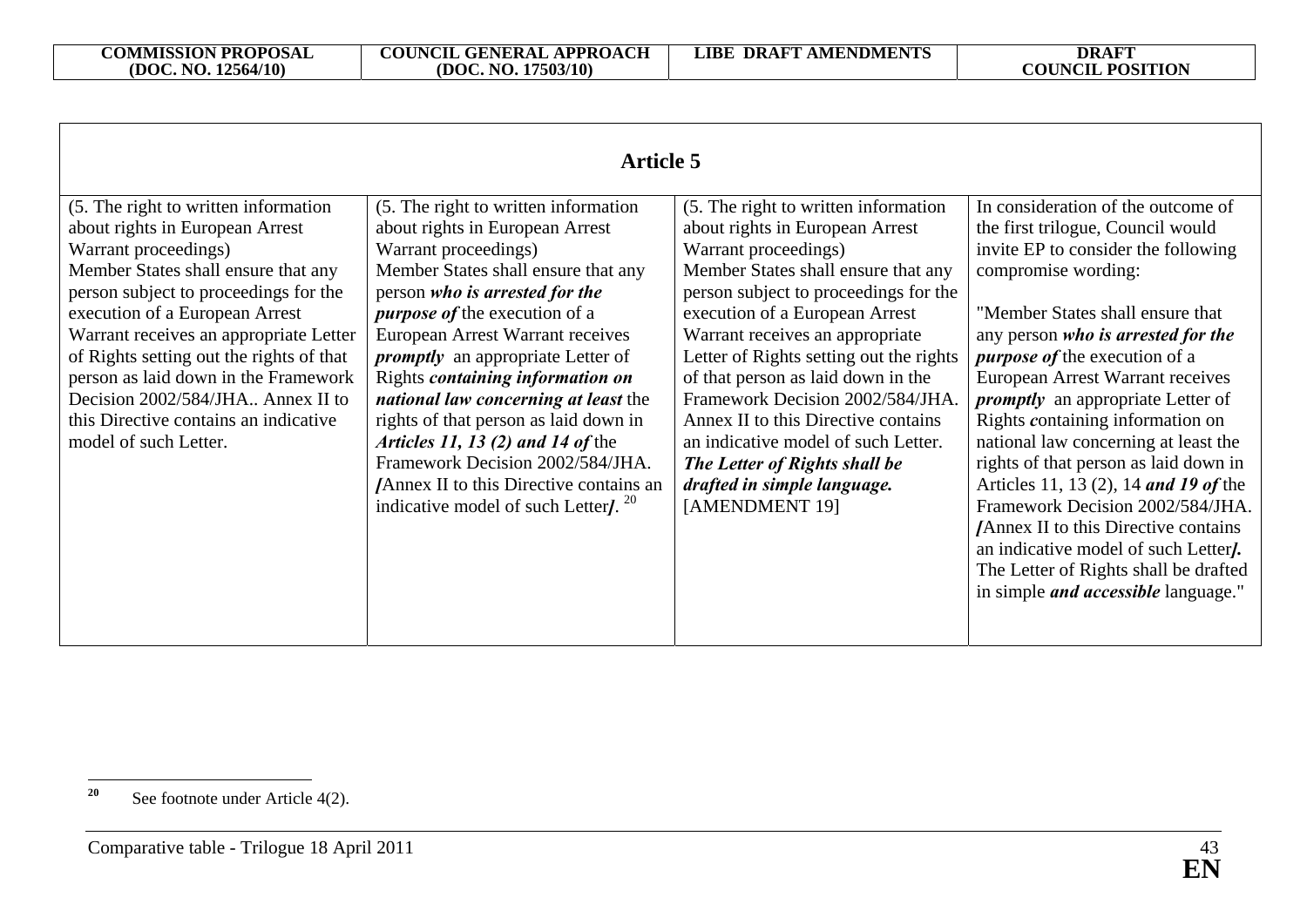| (5. The right to written information                                                                                                                                                                                                                                                                                                                                                                                                                                                                              | (5. The right to written information                                                                                                                                                                                                                                                                                                                                                                                                                                                              | In consideration of the outcome of                                                                                                                                                                                                                                                                                                                                                                                                                                                                                                                                                                                                                                              |
|-------------------------------------------------------------------------------------------------------------------------------------------------------------------------------------------------------------------------------------------------------------------------------------------------------------------------------------------------------------------------------------------------------------------------------------------------------------------------------------------------------------------|---------------------------------------------------------------------------------------------------------------------------------------------------------------------------------------------------------------------------------------------------------------------------------------------------------------------------------------------------------------------------------------------------------------------------------------------------------------------------------------------------|---------------------------------------------------------------------------------------------------------------------------------------------------------------------------------------------------------------------------------------------------------------------------------------------------------------------------------------------------------------------------------------------------------------------------------------------------------------------------------------------------------------------------------------------------------------------------------------------------------------------------------------------------------------------------------|
| Warrant proceedings)<br>Member States shall ensure that any<br>person who is arrested for the<br><i>purpose of the execution of a</i><br>European Arrest Warrant receives<br><i>promptly</i> an appropriate Letter of<br>Rights containing information on<br>national law concerning at least the<br>rights of that person as laid down in<br><i>Articles 11, 13 (2) and 14 of the</i><br>Framework Decision 2002/584/JHA.<br>/Annex II to this Directive contains an<br>indicative model of such Letter $l^{20}$ | about rights in European Arrest<br>Warrant proceedings)<br>Member States shall ensure that any<br>person subject to proceedings for the<br>execution of a European Arrest<br>Warrant receives an appropriate<br>Letter of Rights setting out the rights<br>of that person as laid down in the<br>Framework Decision 2002/584/JHA.<br>Annex II to this Directive contains<br>an indicative model of such Letter.<br>The Letter of Rights shall be<br>drafted in simple language.<br>[AMENDMENT 19] | the first trilogue, Council would<br>invite EP to consider the following<br>compromise wording:<br>"Member States shall ensure that<br>any person who is arrested for the<br><i>purpose of the execution of a</i><br>European Arrest Warrant receives<br><i>promptly</i> an appropriate Letter of<br>Rights containing information on<br>national law concerning at least the<br>rights of that person as laid down in<br>Articles 11, 13 (2), 14 and 19 of the<br>Framework Decision 2002/584/JHA.<br><b>Annex II to this Directive contains</b><br>an indicative model of such Letter.<br>The Letter of Rights shall be drafted<br>in simple <i>and accessible</i> language." |
|                                                                                                                                                                                                                                                                                                                                                                                                                                                                                                                   | about rights in European Arrest                                                                                                                                                                                                                                                                                                                                                                                                                                                                   |                                                                                                                                                                                                                                                                                                                                                                                                                                                                                                                                                                                                                                                                                 |

<sup>&</sup>lt;sup>20</sup> See footnote under Article 4(2).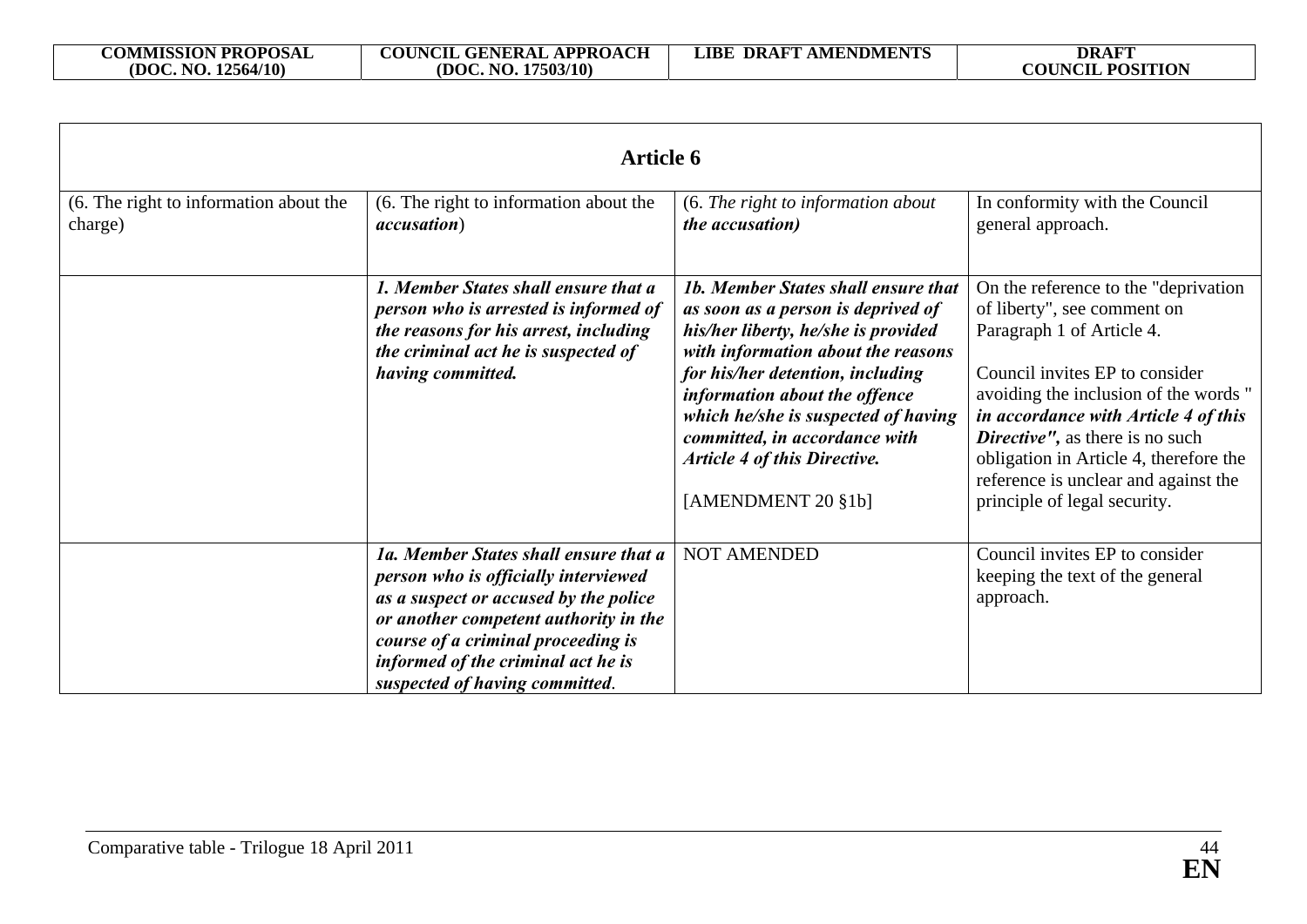| <b>Article 6</b>                                  |                                                                                                                                                                                                                                                                               |                                                                                                                                                                                                                                                                                                                                                                    |                                                                                                                                                                                                                                                                                                                                                                                    |
|---------------------------------------------------|-------------------------------------------------------------------------------------------------------------------------------------------------------------------------------------------------------------------------------------------------------------------------------|--------------------------------------------------------------------------------------------------------------------------------------------------------------------------------------------------------------------------------------------------------------------------------------------------------------------------------------------------------------------|------------------------------------------------------------------------------------------------------------------------------------------------------------------------------------------------------------------------------------------------------------------------------------------------------------------------------------------------------------------------------------|
| (6. The right to information about the<br>charge) | (6. The right to information about the<br><i>accusation</i> )                                                                                                                                                                                                                 | (6. The right to information about<br><i>the accusation</i> )                                                                                                                                                                                                                                                                                                      | In conformity with the Council<br>general approach.                                                                                                                                                                                                                                                                                                                                |
|                                                   | 1. Member States shall ensure that a<br>person who is arrested is informed of<br>the reasons for his arrest, including<br>the criminal act he is suspected of<br>having committed.                                                                                            | 1b. Member States shall ensure that<br>as soon as a person is deprived of<br>his/her liberty, he/she is provided<br>with information about the reasons<br>for his/her detention, including<br>information about the offence<br>which he/she is suspected of having<br>committed, in accordance with<br><b>Article 4 of this Directive.</b><br>[AMENDMENT $20$ §1b] | On the reference to the "deprivation"<br>of liberty", see comment on<br>Paragraph 1 of Article 4.<br>Council invites EP to consider<br>avoiding the inclusion of the words "<br>in accordance with Article 4 of this<br><b>Directive''</b> , as there is no such<br>obligation in Article 4, therefore the<br>reference is unclear and against the<br>principle of legal security. |
|                                                   | 1a. Member States shall ensure that a<br>person who is officially interviewed<br>as a suspect or accused by the police<br>or another competent authority in the<br>course of a criminal proceeding is<br>informed of the criminal act he is<br>suspected of having committed. | <b>NOT AMENDED</b>                                                                                                                                                                                                                                                                                                                                                 | Council invites EP to consider<br>keeping the text of the general<br>approach.                                                                                                                                                                                                                                                                                                     |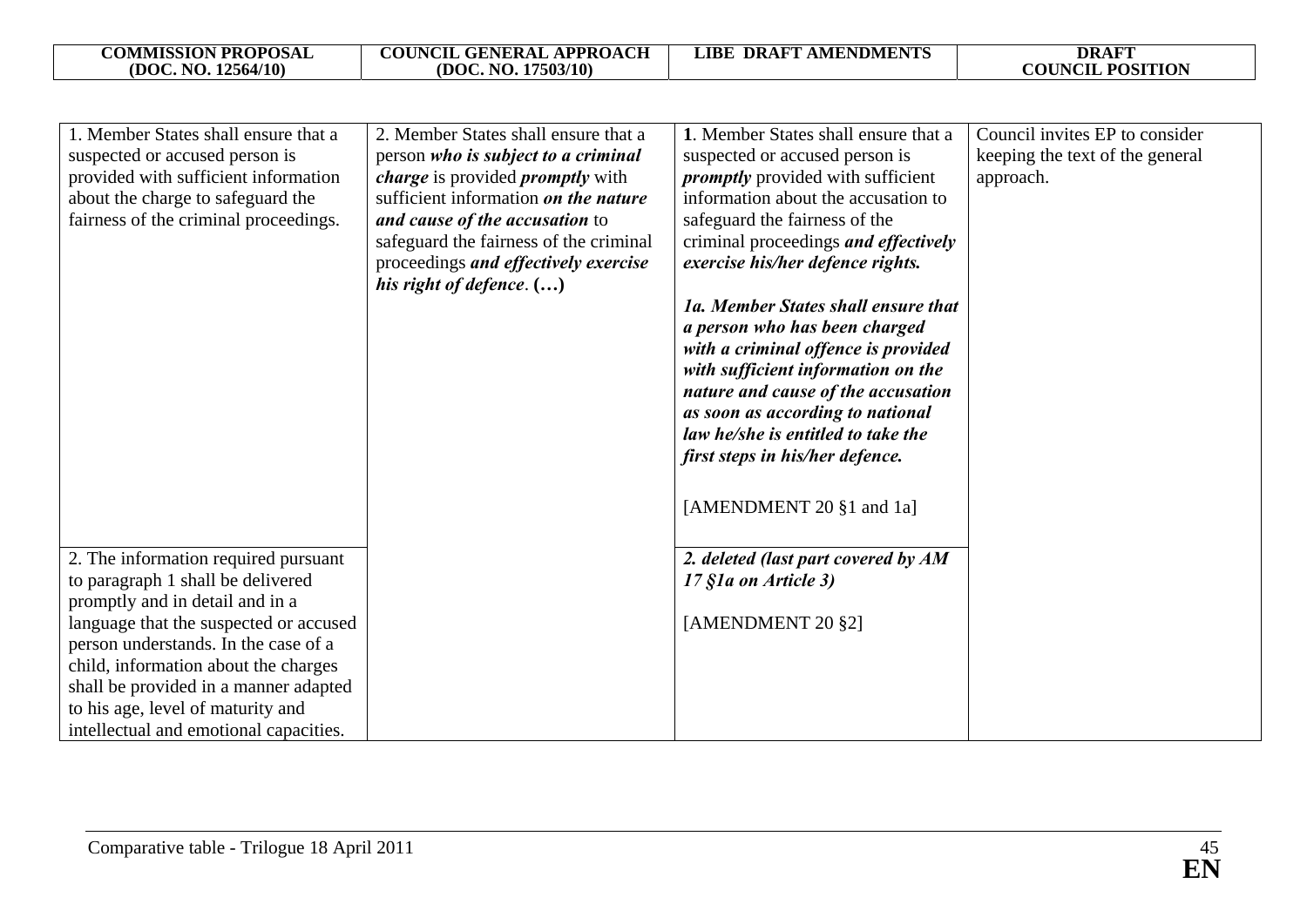**COUNCIL POSITION** 

| 1. Member States shall ensure that a   | 2. Member States shall ensure that a           | 1. Member States shall ensure that a     | Council invites EP to consider  |
|----------------------------------------|------------------------------------------------|------------------------------------------|---------------------------------|
| suspected or accused person is         | person who is subject to a criminal            | suspected or accused person is           | keeping the text of the general |
| provided with sufficient information   | <i>charge</i> is provided <i>promptly</i> with | <i>promptly</i> provided with sufficient | approach.                       |
| about the charge to safeguard the      | sufficient information on the nature           | information about the accusation to      |                                 |
| fairness of the criminal proceedings.  | and cause of the accusation to                 | safeguard the fairness of the            |                                 |
|                                        | safeguard the fairness of the criminal         | criminal proceedings and effectively     |                                 |
|                                        | proceedings and effectively exercise           | exercise his/her defence rights.         |                                 |
|                                        | his right of defence. $(\ldots)$               |                                          |                                 |
|                                        |                                                | 1a. Member States shall ensure that      |                                 |
|                                        |                                                | a person who has been charged            |                                 |
|                                        |                                                | with a criminal offence is provided      |                                 |
|                                        |                                                | with sufficient information on the       |                                 |
|                                        |                                                | nature and cause of the accusation       |                                 |
|                                        |                                                | as soon as according to national         |                                 |
|                                        |                                                | law he/she is entitled to take the       |                                 |
|                                        |                                                | first steps in his/her defence.          |                                 |
|                                        |                                                |                                          |                                 |
|                                        |                                                | [AMENDMENT 20 §1 and 1a]                 |                                 |
|                                        |                                                |                                          |                                 |
|                                        |                                                |                                          |                                 |
| 2. The information required pursuant   |                                                | 2. deleted (last part covered by AM      |                                 |
| to paragraph 1 shall be delivered      |                                                | 17 §1a on Article 3)                     |                                 |
| promptly and in detail and in a        |                                                |                                          |                                 |
| language that the suspected or accused |                                                | [AMENDMENT 20 §2]                        |                                 |
| person understands. In the case of a   |                                                |                                          |                                 |
| child, information about the charges   |                                                |                                          |                                 |
| shall be provided in a manner adapted  |                                                |                                          |                                 |
| to his age, level of maturity and      |                                                |                                          |                                 |
| intellectual and emotional capacities. |                                                |                                          |                                 |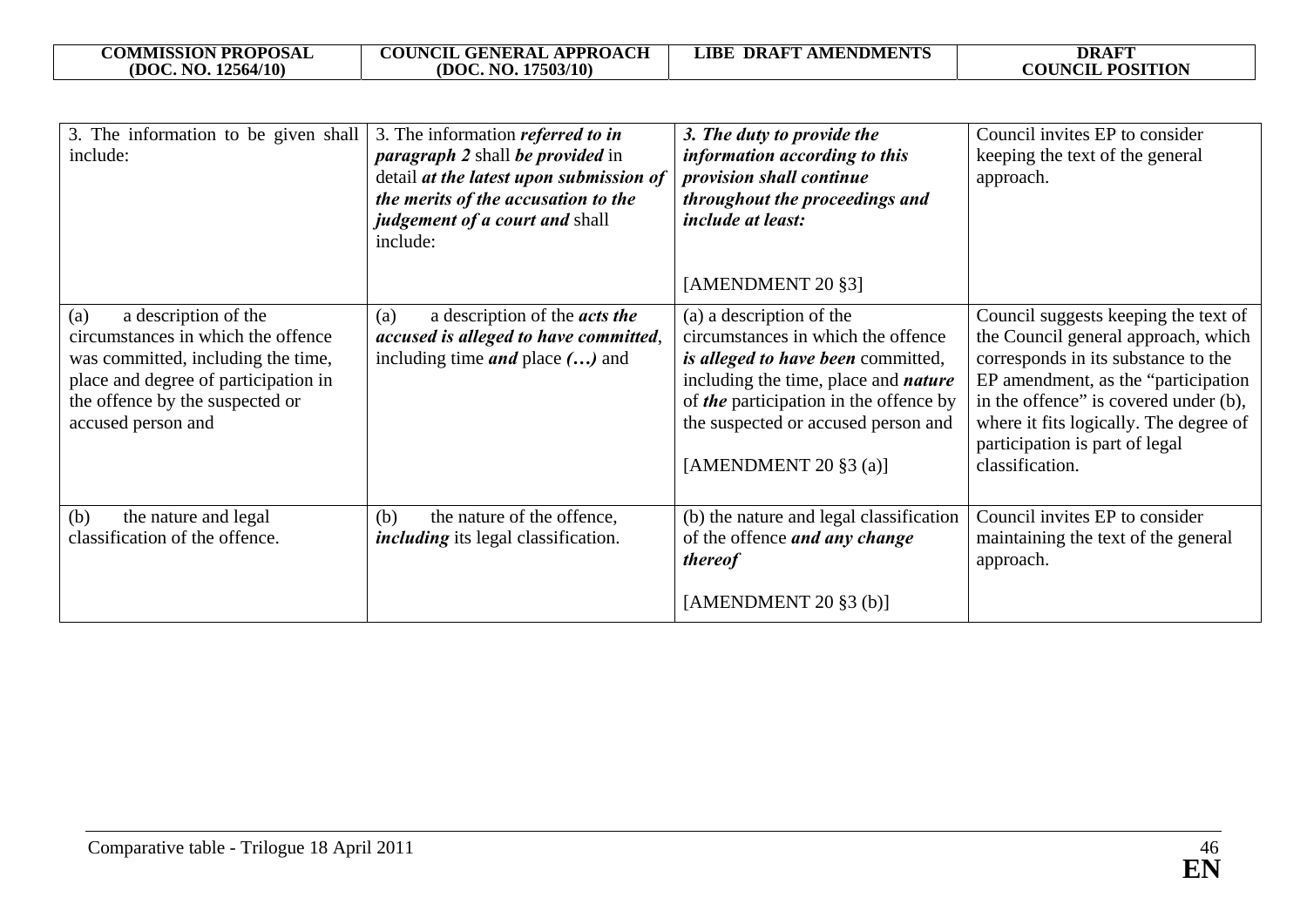| <b>COMMISSION PROPOSAL</b> | <b>APPROACH</b><br><b>COUNCIL</b><br><b>GENERAL</b> | <b>AMENDMENTS</b><br><b>DRAFT</b><br>.IBF | <b>DRAFT</b>    |
|----------------------------|-----------------------------------------------------|-------------------------------------------|-----------------|
| 12564/10)                  | .17503/10)                                          |                                           | <b>POSITION</b> |
| (DOC. NO.                  | (DOC. NO.                                           |                                           | <b>COUNCIL</b>  |

| 3. The information to be given shall<br>include:                                                                                                                                                         | 3. The information <i>referred to in</i><br><i>paragraph 2</i> shall <i>be provided</i> in<br>detail at the latest upon submission of<br>the merits of the accusation to the<br>judgement of a court and shall<br>include: | 3. The duty to provide the<br>information according to this<br>provision shall continue<br>throughout the proceedings and<br><i>include at least:</i><br>[AMENDMENT 20 §3]                                                                                        | Council invites EP to consider<br>keeping the text of the general<br>approach.                                                                                                                                                                                                                     |
|----------------------------------------------------------------------------------------------------------------------------------------------------------------------------------------------------------|----------------------------------------------------------------------------------------------------------------------------------------------------------------------------------------------------------------------------|-------------------------------------------------------------------------------------------------------------------------------------------------------------------------------------------------------------------------------------------------------------------|----------------------------------------------------------------------------------------------------------------------------------------------------------------------------------------------------------------------------------------------------------------------------------------------------|
| a description of the<br>(a)<br>circumstances in which the offence<br>was committed, including the time,<br>place and degree of participation in<br>the offence by the suspected or<br>accused person and | a description of the <i>acts the</i><br>(a)<br>accused is alleged to have committed,<br>including time $and$ place $()$ and                                                                                                | (a) a description of the<br>circumstances in which the offence<br>is alleged to have been committed,<br>including the time, place and <i>nature</i><br>of the participation in the offence by<br>the suspected or accused person and<br>[AMENDMENT 20 $\S$ 3 (a)] | Council suggests keeping the text of<br>the Council general approach, which<br>corresponds in its substance to the<br>EP amendment, as the "participation"<br>in the offence" is covered under (b),<br>where it fits logically. The degree of<br>participation is part of legal<br>classification. |
| the nature and legal<br>(b)<br>classification of the offence.                                                                                                                                            | the nature of the offence,<br>(b)<br><i>including</i> its legal classification.                                                                                                                                            | (b) the nature and legal classification<br>of the offence <i>and any change</i><br><i>thereof</i><br>[AMENDMENT $20$ §3 (b)]                                                                                                                                      | Council invites EP to consider<br>maintaining the text of the general<br>approach.                                                                                                                                                                                                                 |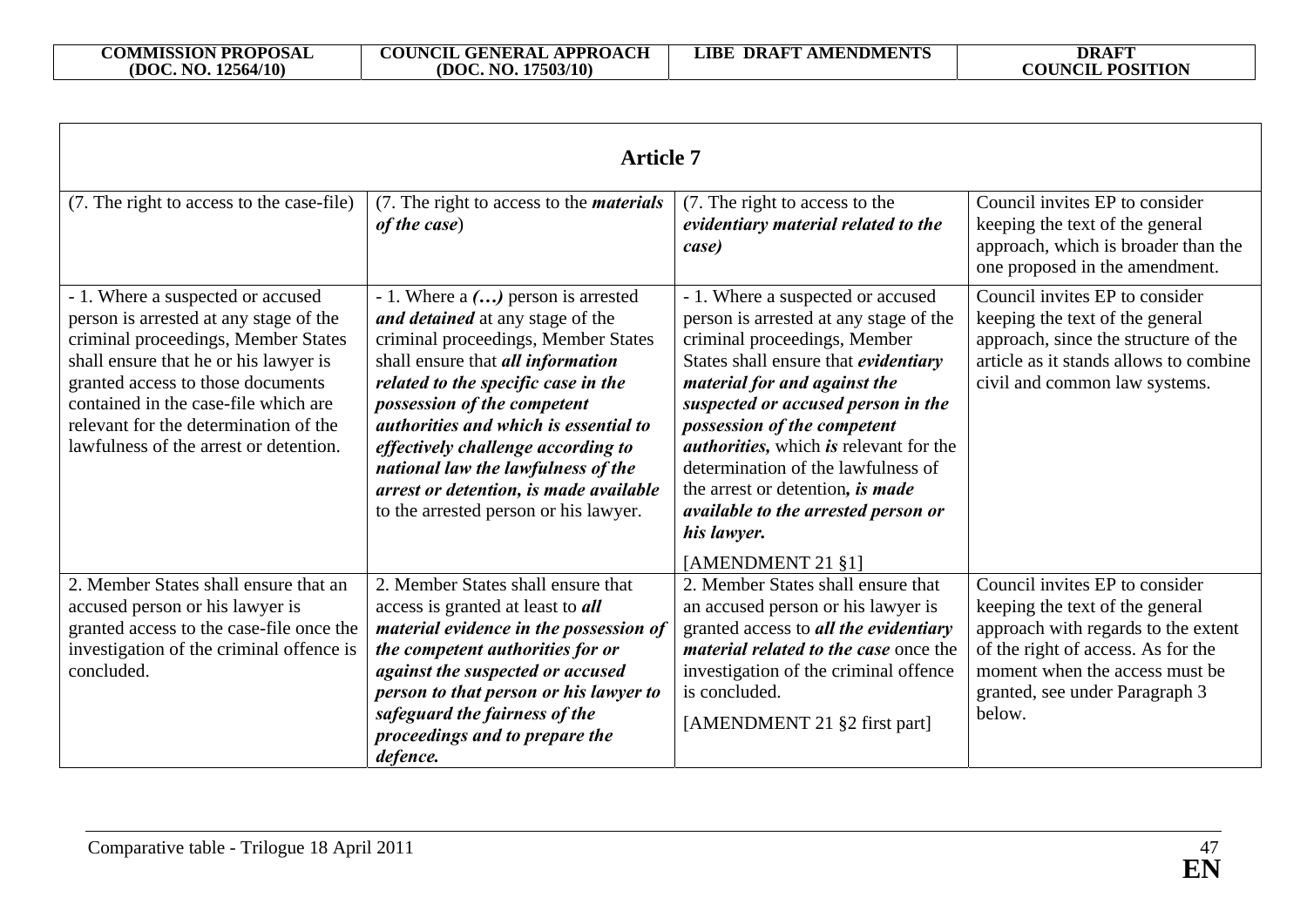| <b>Article 7</b>                                                                                                                                                                                                                                                                                                            |                                                                                                                                                                                                                                                                                                                                                                                                                                             |                                                                                                                                                                                                                                                                                                                                                                                                                                                                               |                                                                                                                                                                                                                              |
|-----------------------------------------------------------------------------------------------------------------------------------------------------------------------------------------------------------------------------------------------------------------------------------------------------------------------------|---------------------------------------------------------------------------------------------------------------------------------------------------------------------------------------------------------------------------------------------------------------------------------------------------------------------------------------------------------------------------------------------------------------------------------------------|-------------------------------------------------------------------------------------------------------------------------------------------------------------------------------------------------------------------------------------------------------------------------------------------------------------------------------------------------------------------------------------------------------------------------------------------------------------------------------|------------------------------------------------------------------------------------------------------------------------------------------------------------------------------------------------------------------------------|
| (7. The right to access to the case-file)                                                                                                                                                                                                                                                                                   | (7. The right to access to the <i>materials</i><br>of the case)                                                                                                                                                                                                                                                                                                                                                                             | (7. The right to access to the<br>evidentiary material related to the<br>case)                                                                                                                                                                                                                                                                                                                                                                                                | Council invites EP to consider<br>keeping the text of the general<br>approach, which is broader than the<br>one proposed in the amendment.                                                                                   |
| - 1. Where a suspected or accused<br>person is arrested at any stage of the<br>criminal proceedings, Member States<br>shall ensure that he or his lawyer is<br>granted access to those documents<br>contained in the case-file which are<br>relevant for the determination of the<br>lawfulness of the arrest or detention. | - 1. Where $a$ $()$ person is arrested<br>and detained at any stage of the<br>criminal proceedings, Member States<br>shall ensure that all information<br>related to the specific case in the<br>possession of the competent<br><i>authorities and which is essential to</i><br>effectively challenge according to<br>national law the lawfulness of the<br>arrest or detention, is made available<br>to the arrested person or his lawyer. | - 1. Where a suspected or accused<br>person is arrested at any stage of the<br>criminal proceedings, Member<br>States shall ensure that evidentiary<br>material for and against the<br>suspected or accused person in the<br>possession of the competent<br><i>authorities</i> , which <i>is</i> relevant for the<br>determination of the lawfulness of<br>the arrest or detention, is made<br><i>available to the arrested person or</i><br>his lawyer.<br>[AMENDMENT 21 §1] | Council invites EP to consider<br>keeping the text of the general<br>approach, since the structure of the<br>article as it stands allows to combine<br>civil and common law systems.                                         |
| 2. Member States shall ensure that an<br>accused person or his lawyer is<br>granted access to the case-file once the<br>investigation of the criminal offence is<br>concluded.                                                                                                                                              | 2. Member States shall ensure that<br>access is granted at least to <b>all</b><br>material evidence in the possession of<br>the competent authorities for or<br>against the suspected or accused<br>person to that person or his lawyer to<br>safeguard the fairness of the<br>proceedings and to prepare the<br>defence.                                                                                                                   | 2. Member States shall ensure that<br>an accused person or his lawyer is<br>granted access to all the evidentiary<br><i>material related to the case once the</i><br>investigation of the criminal offence<br>is concluded.<br>[AMENDMENT 21 §2 first part]                                                                                                                                                                                                                   | Council invites EP to consider<br>keeping the text of the general<br>approach with regards to the extent<br>of the right of access. As for the<br>moment when the access must be<br>granted, see under Paragraph 3<br>below. |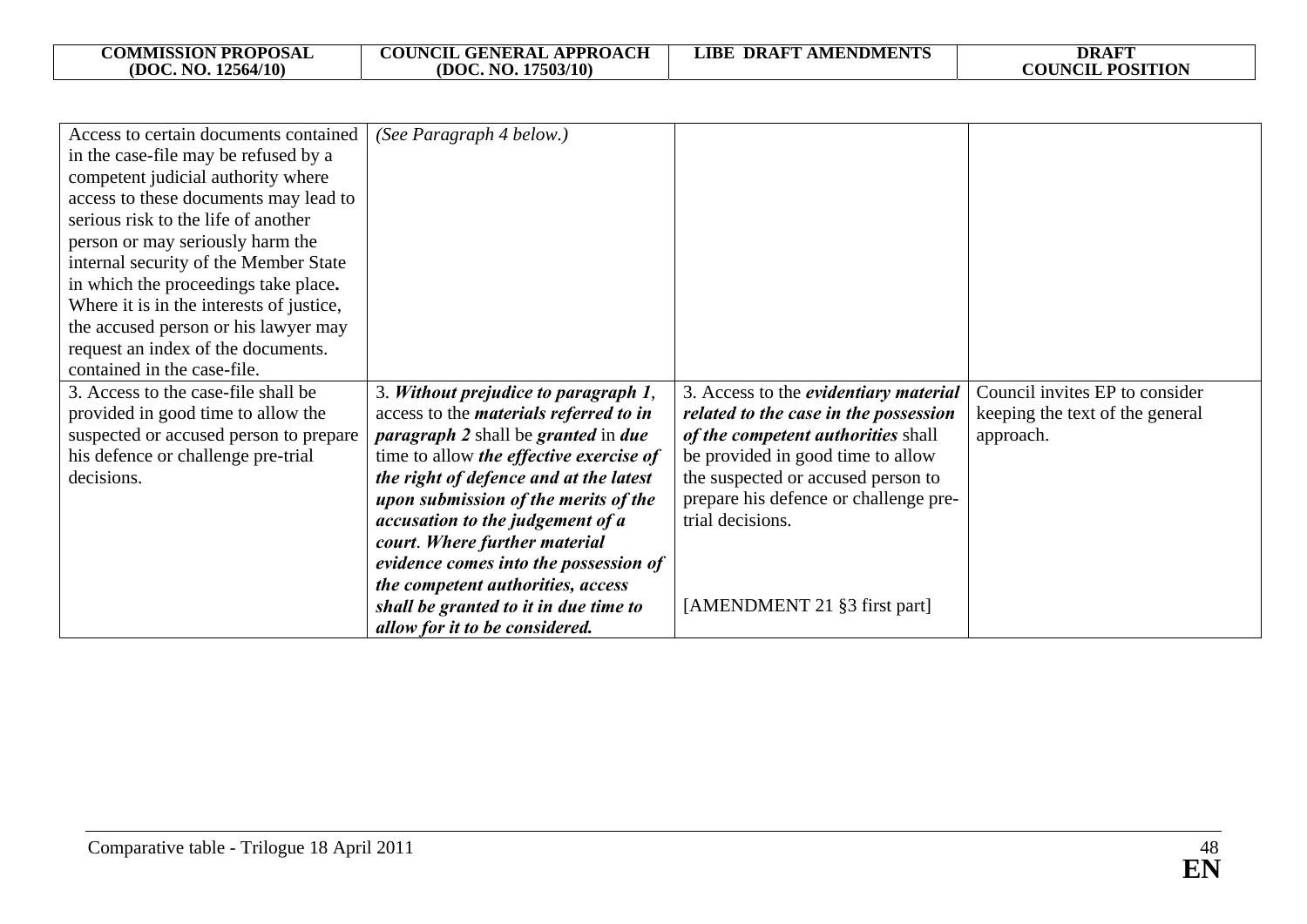| <b>COUNCIL GENERAL APPROACH</b><br><b>COMMISSION PROPOSAL</b><br><b>DRAFT</b><br><b>DRAFT AMENDMENTS</b><br>LIBE<br><b>COUNCIL POSITION</b><br>(DOC. NO. 12564/10)<br>17503/10<br>(DOC. NO. |  |
|---------------------------------------------------------------------------------------------------------------------------------------------------------------------------------------------|--|
|---------------------------------------------------------------------------------------------------------------------------------------------------------------------------------------------|--|

| Access to certain documents contained    | (See Paragraph 4 below.)                                 |                                       |                                 |
|------------------------------------------|----------------------------------------------------------|---------------------------------------|---------------------------------|
| in the case-file may be refused by a     |                                                          |                                       |                                 |
| competent judicial authority where       |                                                          |                                       |                                 |
| access to these documents may lead to    |                                                          |                                       |                                 |
| serious risk to the life of another      |                                                          |                                       |                                 |
| person or may seriously harm the         |                                                          |                                       |                                 |
| internal security of the Member State    |                                                          |                                       |                                 |
| in which the proceedings take place.     |                                                          |                                       |                                 |
| Where it is in the interests of justice, |                                                          |                                       |                                 |
| the accused person or his lawyer may     |                                                          |                                       |                                 |
| request an index of the documents.       |                                                          |                                       |                                 |
| contained in the case-file.              |                                                          |                                       |                                 |
| 3. Access to the case-file shall be      | 3. Without prejudice to paragraph 1,                     | 3. Access to the evidentiary material | Council invites EP to consider  |
| provided in good time to allow the       | access to the <i>materials referred to in</i>            | related to the case in the possession | keeping the text of the general |
| suspected or accused person to prepare   | <i>paragraph 2</i> shall be <i>granted</i> in <i>due</i> | of the competent authorities shall    | approach.                       |
| his defence or challenge pre-trial       | time to allow <i>the effective exercise of</i>           | be provided in good time to allow     |                                 |
| decisions.                               | the right of defence and at the latest                   | the suspected or accused person to    |                                 |
|                                          | upon submission of the merits of the                     | prepare his defence or challenge pre- |                                 |
|                                          | accusation to the judgement of a                         | trial decisions.                      |                                 |
|                                          | court. Where further material                            |                                       |                                 |
|                                          | evidence comes into the possession of                    |                                       |                                 |
|                                          | the competent authorities, access                        |                                       |                                 |
|                                          | shall be granted to it in due time to                    | [AMENDMENT 21 §3 first part]          |                                 |
|                                          | allow for it to be considered.                           |                                       |                                 |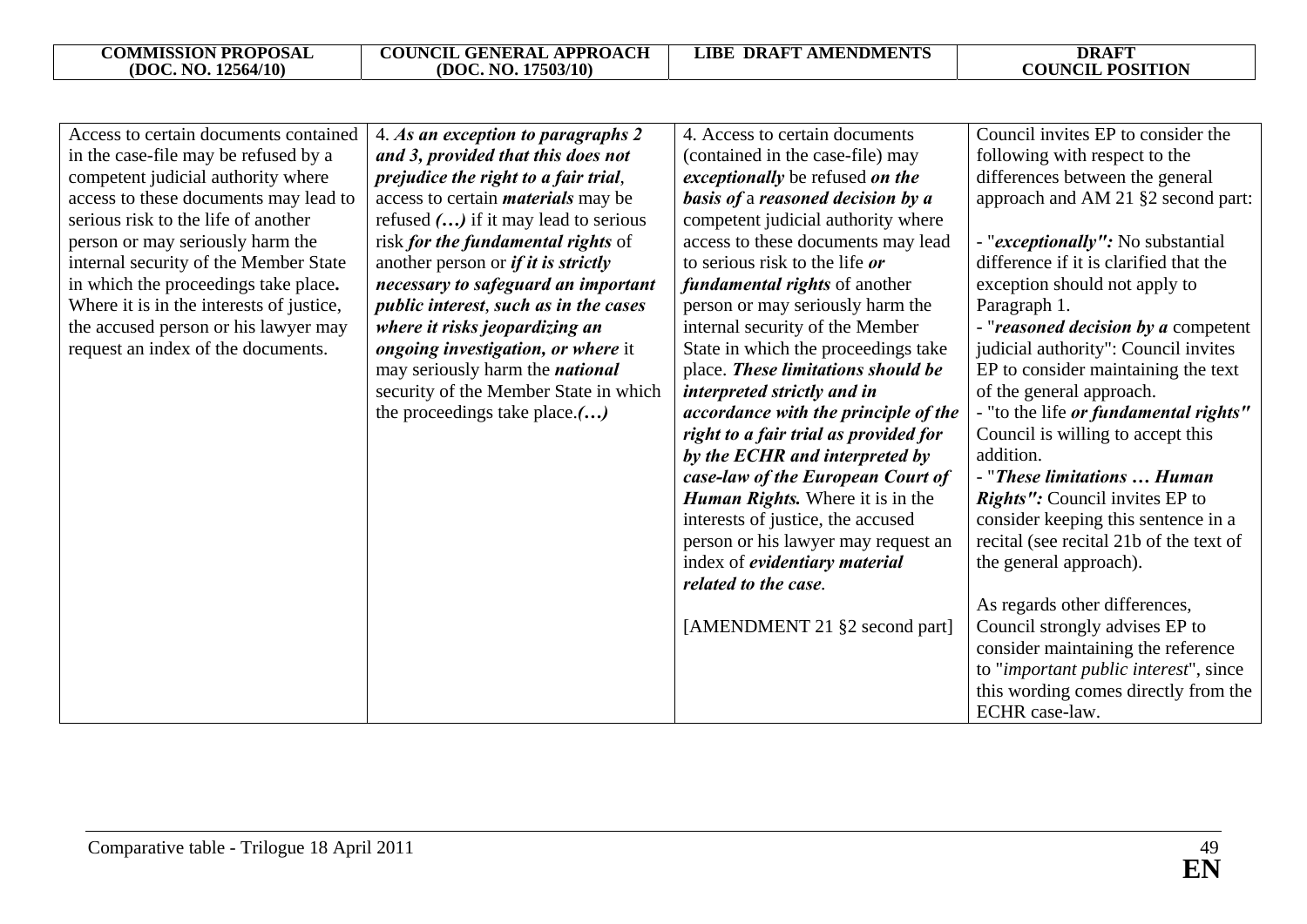| Access to certain documents contained    | 4. As an exception to paragraphs 2         | 4. Access to certain documents        | Council invites EP to consider the         |
|------------------------------------------|--------------------------------------------|---------------------------------------|--------------------------------------------|
| in the case-file may be refused by a     | and 3, provided that this does not         | (contained in the case-file) may      | following with respect to the              |
| competent judicial authority where       | prejudice the right to a fair trial,       | exceptionally be refused on the       | differences between the general            |
| access to these documents may lead to    | access to certain <i>materials</i> may be  | basis of a reasoned decision by a     | approach and AM 21 §2 second part:         |
| serious risk to the life of another      | refused $()$ if it may lead to serious     | competent judicial authority where    |                                            |
| person or may seriously harm the         | risk for the fundamental rights of         | access to these documents may lead    | - " <i>exceptionally"</i> : No substantial |
| internal security of the Member State    | another person or <i>if it is strictly</i> | to serious risk to the life or        | difference if it is clarified that the     |
| in which the proceedings take place.     | necessary to safeguard an important        | <i>fundamental rights</i> of another  | exception should not apply to              |
| Where it is in the interests of justice, | public interest, such as in the cases      | person or may seriously harm the      | Paragraph 1.                               |
| the accused person or his lawyer may     | where it risks jeopardizing an             | internal security of the Member       | - "reasoned decision by a competent        |
| request an index of the documents.       | ongoing investigation, or where it         | State in which the proceedings take   | judicial authority": Council invites       |
|                                          | may seriously harm the <i>national</i>     | place. These limitations should be    | EP to consider maintaining the text        |
|                                          | security of the Member State in which      | interpreted strictly and in           | of the general approach.                   |
|                                          | the proceedings take place.()              | accordance with the principle of the  | - "to the life or fundamental rights"      |
|                                          |                                            | right to a fair trial as provided for | Council is willing to accept this          |
|                                          |                                            | by the ECHR and interpreted by        | addition.                                  |
|                                          |                                            | case-law of the European Court of     | - "These limitations  Human                |
|                                          |                                            | Human Rights. Where it is in the      | <i>Rights"</i> : Council invites EP to     |
|                                          |                                            | interests of justice, the accused     | consider keeping this sentence in a        |
|                                          |                                            | person or his lawyer may request an   | recital (see recital 21b of the text of    |
|                                          |                                            | index of <i>evidentiary material</i>  | the general approach).                     |
|                                          |                                            | related to the case.                  |                                            |
|                                          |                                            |                                       | As regards other differences,              |
|                                          |                                            | [AMENDMENT 21 §2 second part]         | Council strongly advises EP to             |
|                                          |                                            |                                       | consider maintaining the reference         |
|                                          |                                            |                                       | to "important public interest", since      |
|                                          |                                            |                                       | this wording comes directly from the       |
|                                          |                                            |                                       | ECHR case-law.                             |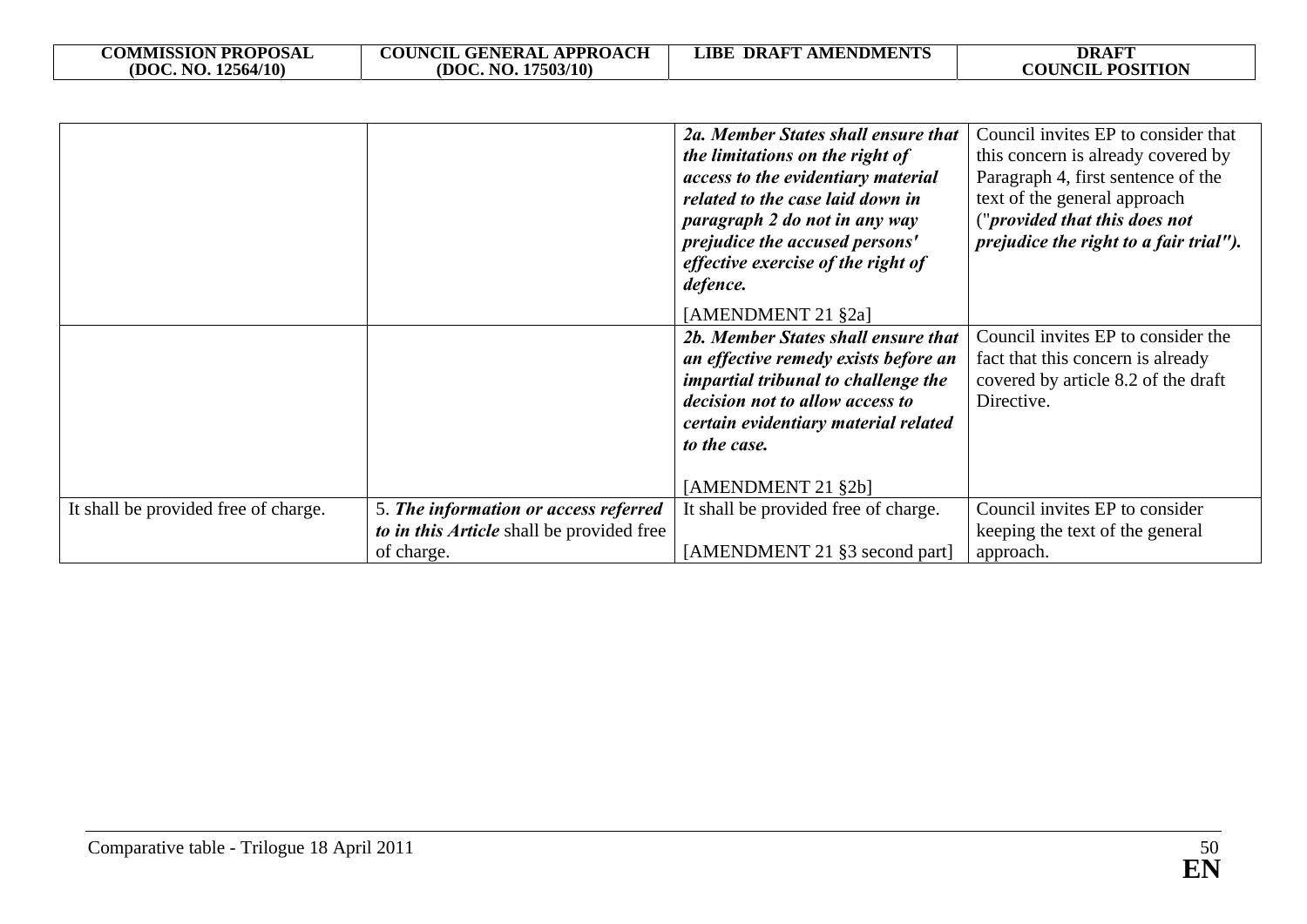| <b>COMMISSION PROPOSAL</b> | <b>COUNCIL GENERAL APPROACH</b> | <b>DRAFT AMENDMENTS</b><br>LIBE | <b>DRAFT</b>                      |
|----------------------------|---------------------------------|---------------------------------|-----------------------------------|
| (DOC. NO. 12564/10)        | (DOC. NO. 17503/10)             |                                 | <b>POSITION</b><br><b>COUNCIL</b> |

|                                      |                                                                                                  | 2a. Member States shall ensure that<br>the limitations on the right of<br>access to the evidentiary material<br>related to the case laid down in<br>paragraph 2 do not in any way<br>prejudice the accused persons'<br>effective exercise of the right of<br>defence.<br>[AMENDMENT 21 §2a] | Council invites EP to consider that<br>this concern is already covered by<br>Paragraph 4, first sentence of the<br>text of the general approach<br>("provided that this does not<br>prejudice the right to a fair trial"). |
|--------------------------------------|--------------------------------------------------------------------------------------------------|---------------------------------------------------------------------------------------------------------------------------------------------------------------------------------------------------------------------------------------------------------------------------------------------|----------------------------------------------------------------------------------------------------------------------------------------------------------------------------------------------------------------------------|
|                                      |                                                                                                  | 2b. Member States shall ensure that<br>an effective remedy exists before an<br><i>impartial tribunal to challenge the</i><br>decision not to allow access to<br>certain evidentiary material related<br>to the case.<br>[AMENDMENT 21 §2b]                                                  | Council invites EP to consider the<br>fact that this concern is already<br>covered by article 8.2 of the draft<br>Directive.                                                                                               |
| It shall be provided free of charge. | 5. The information or access referred<br>to in this Article shall be provided free<br>of charge. | It shall be provided free of charge.<br>[AMENDMENT 21 §3 second part]                                                                                                                                                                                                                       | Council invites EP to consider<br>keeping the text of the general<br>approach.                                                                                                                                             |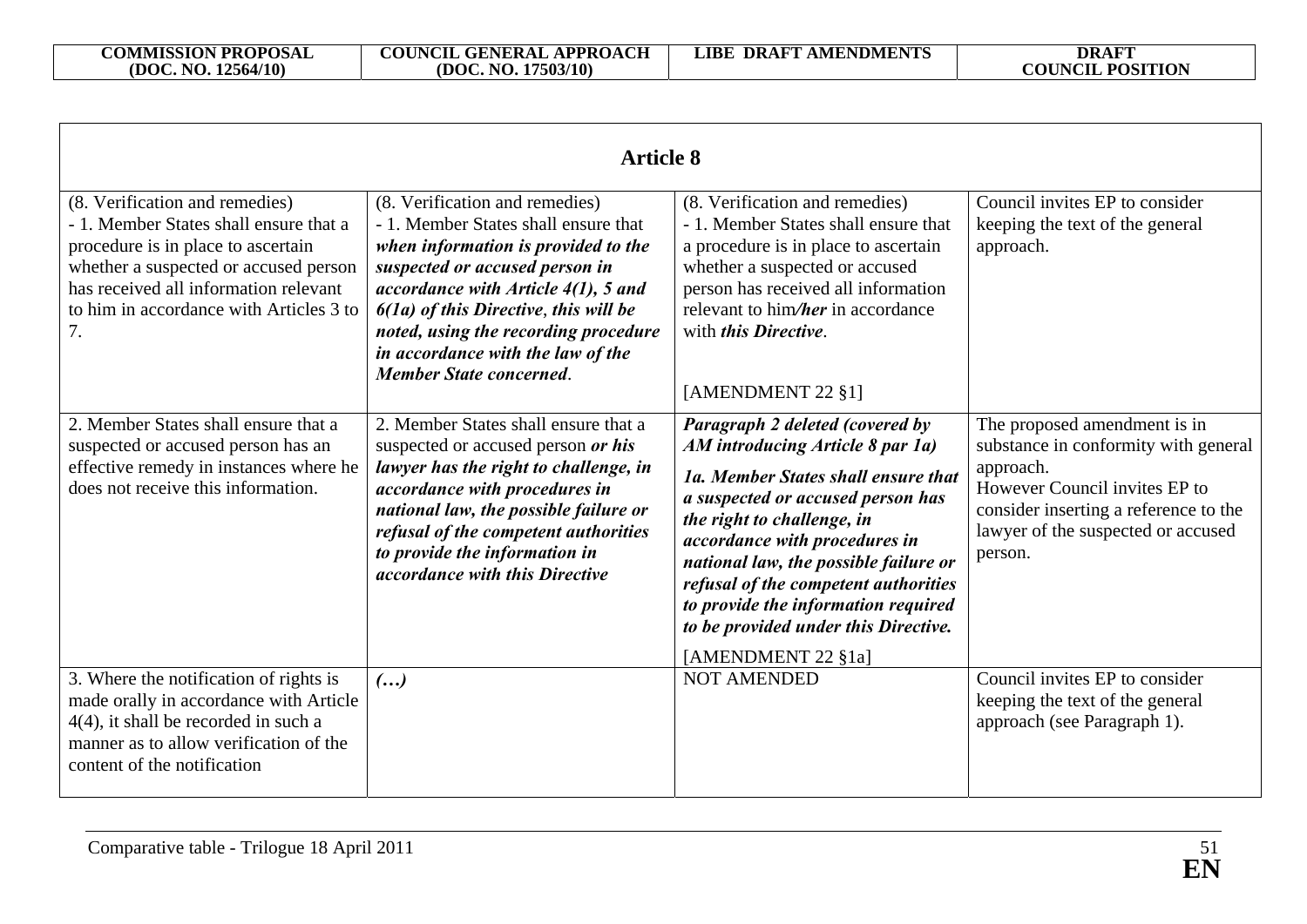| <b>Article 8</b>                                                                                                                                                                                                                                  |                                                                                                                                                                                                                                                                                                                                                     |                                                                                                                                                                                                                                                                                                                                                                                                      |                                                                                                                                                                                                              |
|---------------------------------------------------------------------------------------------------------------------------------------------------------------------------------------------------------------------------------------------------|-----------------------------------------------------------------------------------------------------------------------------------------------------------------------------------------------------------------------------------------------------------------------------------------------------------------------------------------------------|------------------------------------------------------------------------------------------------------------------------------------------------------------------------------------------------------------------------------------------------------------------------------------------------------------------------------------------------------------------------------------------------------|--------------------------------------------------------------------------------------------------------------------------------------------------------------------------------------------------------------|
| (8. Verification and remedies)<br>- 1. Member States shall ensure that a<br>procedure is in place to ascertain<br>whether a suspected or accused person<br>has received all information relevant<br>to him in accordance with Articles 3 to<br>7. | (8. Verification and remedies)<br>- 1. Member States shall ensure that<br>when information is provided to the<br>suspected or accused person in<br>accordance with Article $4(1)$ , 5 and<br>$6(1a)$ of this Directive, this will be<br>noted, using the recording procedure<br>in accordance with the law of the<br><b>Member State concerned.</b> | (8. Verification and remedies)<br>- 1. Member States shall ensure that<br>a procedure is in place to ascertain<br>whether a suspected or accused<br>person has received all information<br>relevant to him/her in accordance<br>with <i>this Directive</i> .<br>[AMENDMENT 22 §1]                                                                                                                    | Council invites EP to consider<br>keeping the text of the general<br>approach.                                                                                                                               |
| 2. Member States shall ensure that a<br>suspected or accused person has an<br>effective remedy in instances where he<br>does not receive this information.                                                                                        | 2. Member States shall ensure that a<br>suspected or accused person or his<br>lawyer has the right to challenge, in<br>accordance with procedures in<br>national law, the possible failure or<br>refusal of the competent authorities<br>to provide the information in<br><i>accordance with this Directive</i>                                     | Paragraph 2 deleted (covered by<br>AM introducing Article 8 par 1a)<br>1a. Member States shall ensure that<br>a suspected or accused person has<br>the right to challenge, in<br>accordance with procedures in<br>national law, the possible failure or<br>refusal of the competent authorities<br>to provide the information required<br>to be provided under this Directive.<br>[AMENDMENT 22 §1a] | The proposed amendment is in<br>substance in conformity with general<br>approach.<br>However Council invites EP to<br>consider inserting a reference to the<br>lawyer of the suspected or accused<br>person. |
| 3. Where the notification of rights is<br>made orally in accordance with Article<br>$4(4)$ , it shall be recorded in such a<br>manner as to allow verification of the<br>content of the notification                                              | $\left( \ldots \right)$                                                                                                                                                                                                                                                                                                                             | <b>NOT AMENDED</b>                                                                                                                                                                                                                                                                                                                                                                                   | Council invites EP to consider<br>keeping the text of the general<br>approach (see Paragraph 1).                                                                                                             |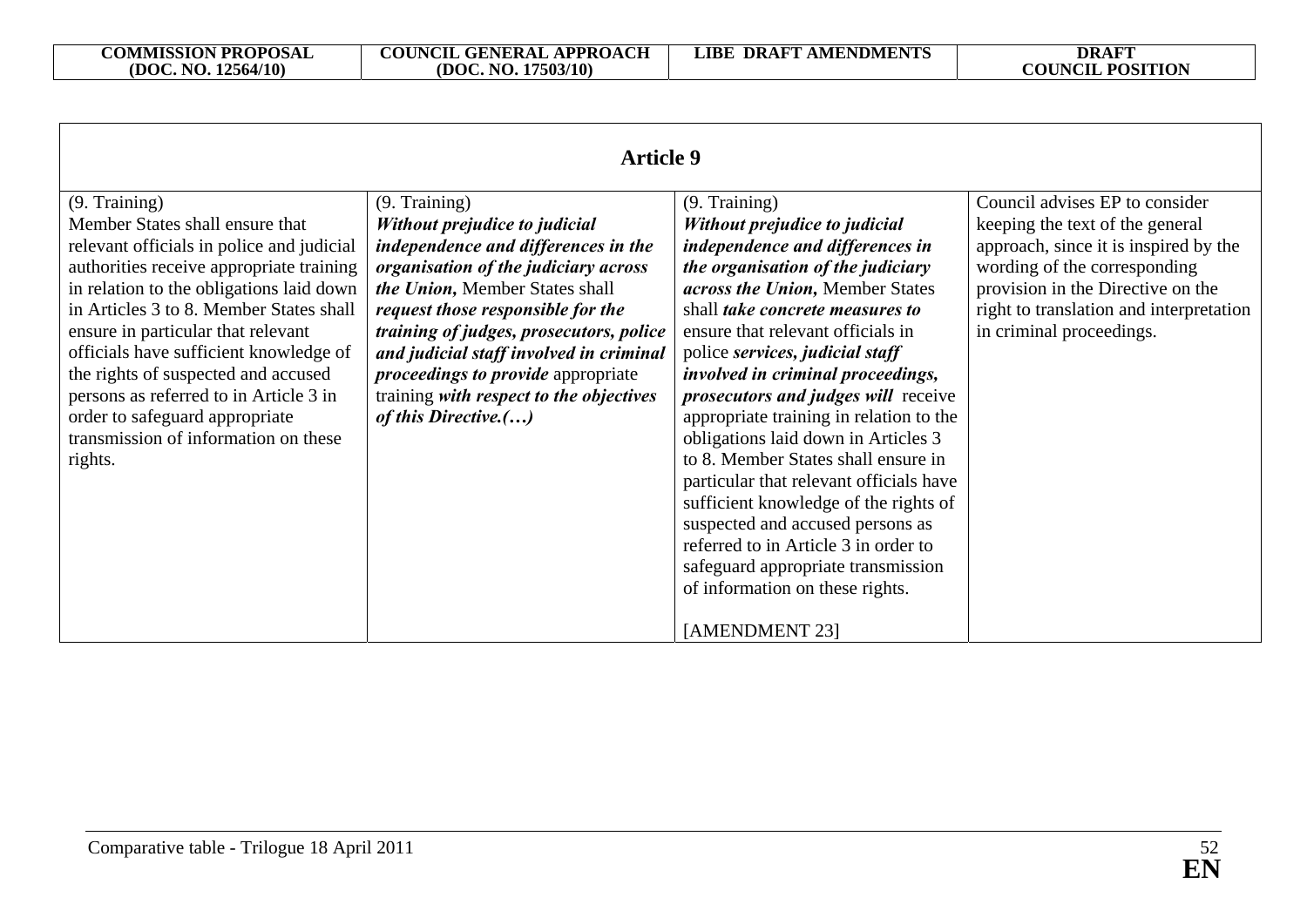| <b>Article 9</b>                                                                                                                                                                                                                                                                                                                                                                                                                                                                       |                                                                                                                                                                                                                                                                                                                                                                                                            |                                                                                                                                                                                                                                                                                                                                                                                                                                                                                                                                                                                                                                                                                                                                             |                                                                                                                                                                                                                                                        |
|----------------------------------------------------------------------------------------------------------------------------------------------------------------------------------------------------------------------------------------------------------------------------------------------------------------------------------------------------------------------------------------------------------------------------------------------------------------------------------------|------------------------------------------------------------------------------------------------------------------------------------------------------------------------------------------------------------------------------------------------------------------------------------------------------------------------------------------------------------------------------------------------------------|---------------------------------------------------------------------------------------------------------------------------------------------------------------------------------------------------------------------------------------------------------------------------------------------------------------------------------------------------------------------------------------------------------------------------------------------------------------------------------------------------------------------------------------------------------------------------------------------------------------------------------------------------------------------------------------------------------------------------------------------|--------------------------------------------------------------------------------------------------------------------------------------------------------------------------------------------------------------------------------------------------------|
| (9. Training)<br>Member States shall ensure that<br>relevant officials in police and judicial<br>authorities receive appropriate training<br>in relation to the obligations laid down<br>in Articles 3 to 8. Member States shall<br>ensure in particular that relevant<br>officials have sufficient knowledge of<br>the rights of suspected and accused<br>persons as referred to in Article 3 in<br>order to safeguard appropriate<br>transmission of information on these<br>rights. | (9. Training)<br>Without prejudice to judicial<br>independence and differences in the<br>organisation of the judiciary across<br>the Union, Member States shall<br>request those responsible for the<br>training of judges, prosecutors, police<br>and judicial staff involved in criminal<br><i>proceedings to provide</i> appropriate<br>training with respect to the objectives<br>of this Directive.() | (9. Training)<br>Without prejudice to judicial<br>independence and differences in<br>the organisation of the judiciary<br>across the Union, Member States<br>shall take concrete measures to<br>ensure that relevant officials in<br>police services, judicial staff<br>involved in criminal proceedings,<br><i>prosecutors and judges will receive</i><br>appropriate training in relation to the<br>obligations laid down in Articles 3<br>to 8. Member States shall ensure in<br>particular that relevant officials have<br>sufficient knowledge of the rights of<br>suspected and accused persons as<br>referred to in Article 3 in order to<br>safeguard appropriate transmission<br>of information on these rights.<br>[AMENDMENT 23] | Council advises EP to consider<br>keeping the text of the general<br>approach, since it is inspired by the<br>wording of the corresponding<br>provision in the Directive on the<br>right to translation and interpretation<br>in criminal proceedings. |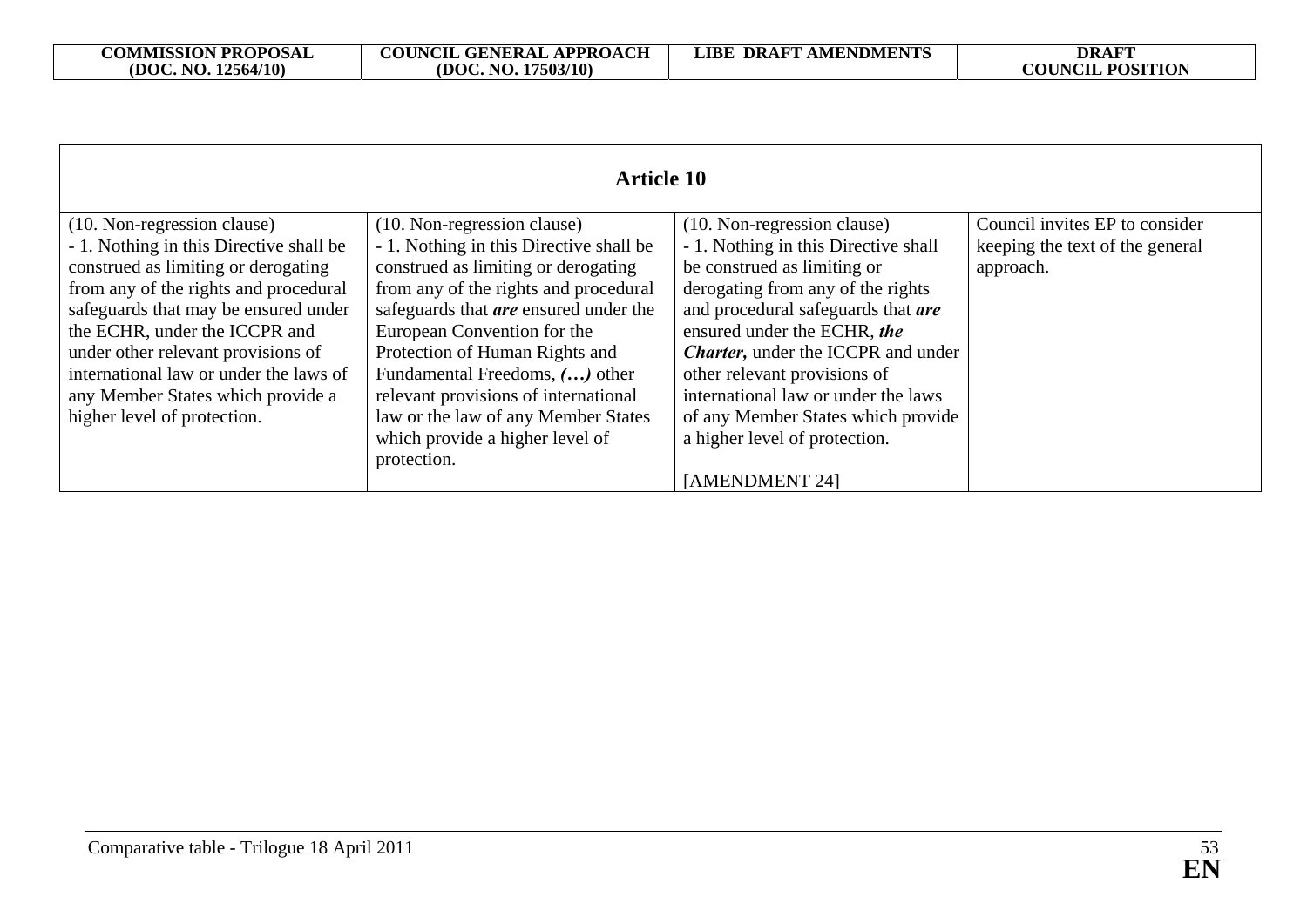|                                         | <b>Article 10</b>                            |                                            |                                 |
|-----------------------------------------|----------------------------------------------|--------------------------------------------|---------------------------------|
|                                         |                                              |                                            |                                 |
| (10. Non-regression clause)             | (10. Non-regression clause)                  | (10. Non-regression clause)                | Council invites EP to consider  |
| - 1. Nothing in this Directive shall be | - 1. Nothing in this Directive shall be      | - 1. Nothing in this Directive shall       | keeping the text of the general |
| construed as limiting or derogating     | construed as limiting or derogating          | be construed as limiting or                | approach.                       |
| from any of the rights and procedural   | from any of the rights and procedural        | derogating from any of the rights          |                                 |
| safeguards that may be ensured under    | safeguards that <b>are</b> ensured under the | and procedural safeguards that are         |                                 |
| the ECHR, under the ICCPR and           | European Convention for the                  | ensured under the ECHR, the                |                                 |
| under other relevant provisions of      | Protection of Human Rights and               | <b>Charter</b> , under the ICCPR and under |                                 |
| international law or under the laws of  | Fundamental Freedoms, () other               | other relevant provisions of               |                                 |
| any Member States which provide a       | relevant provisions of international         | international law or under the laws        |                                 |
| higher level of protection.             | law or the law of any Member States          | of any Member States which provide         |                                 |
|                                         | which provide a higher level of              | a higher level of protection.              |                                 |
|                                         | protection.                                  |                                            |                                 |
|                                         |                                              | [AMENDMENT 24]                             |                                 |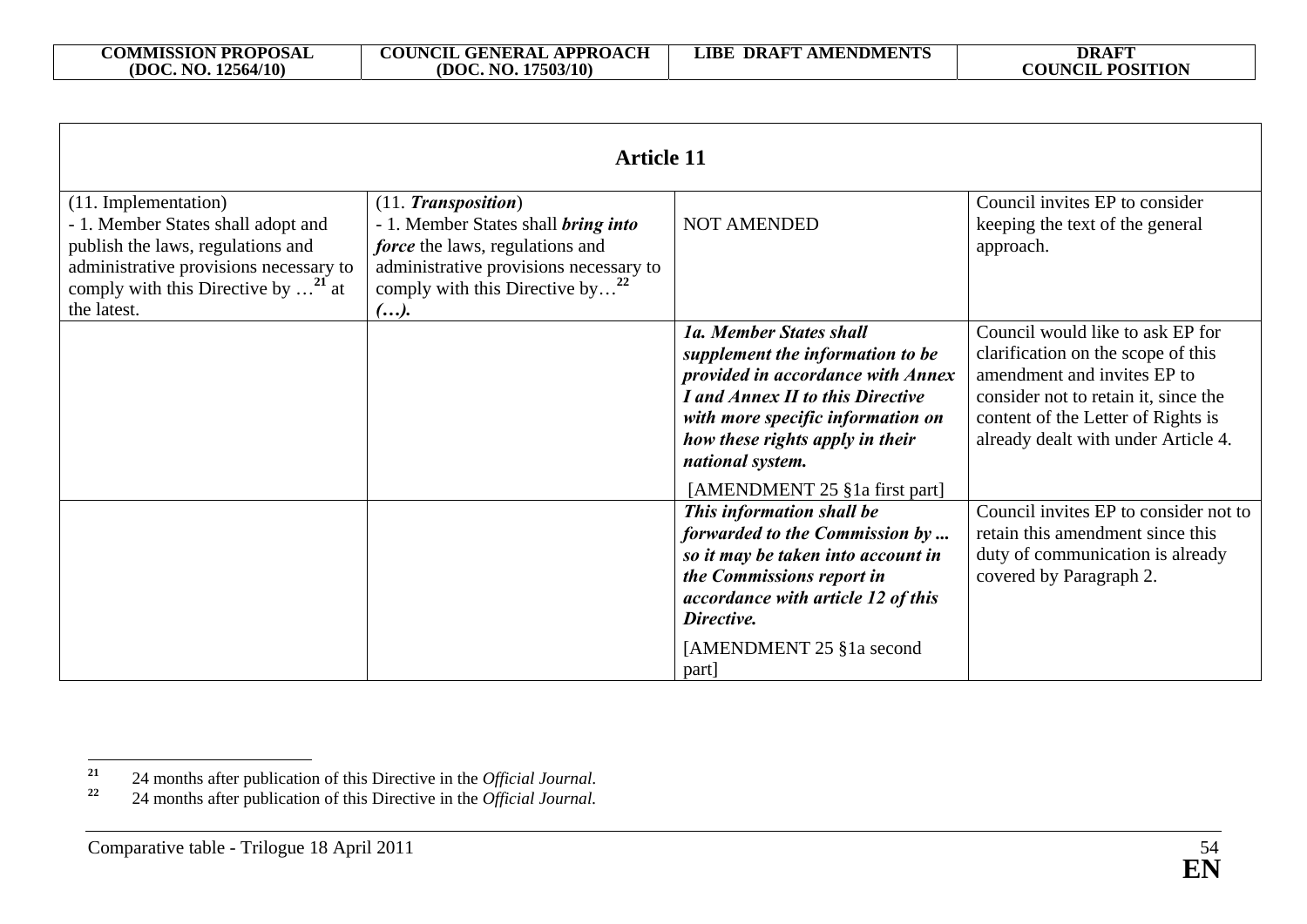| <b>Article 11</b>                                                                                                                                                                                                  |                                                                                                                                                                                                                     |                                                                                                                                                                                                                                                                   |                                                                                                                                                                                                                            |
|--------------------------------------------------------------------------------------------------------------------------------------------------------------------------------------------------------------------|---------------------------------------------------------------------------------------------------------------------------------------------------------------------------------------------------------------------|-------------------------------------------------------------------------------------------------------------------------------------------------------------------------------------------------------------------------------------------------------------------|----------------------------------------------------------------------------------------------------------------------------------------------------------------------------------------------------------------------------|
| (11. Implementation)<br>- 1. Member States shall adopt and<br>publish the laws, regulations and<br>administrative provisions necessary to<br>comply with this Directive by $\dots$ <sup>21</sup> at<br>the latest. | (11. <i>Transposition</i> )<br>- 1. Member States shall <i>bring into</i><br><i>force</i> the laws, regulations and<br>administrative provisions necessary to<br>comply with this Directive by <sup>22</sup><br>(). | <b>NOT AMENDED</b>                                                                                                                                                                                                                                                | Council invites EP to consider<br>keeping the text of the general<br>approach.                                                                                                                                             |
|                                                                                                                                                                                                                    |                                                                                                                                                                                                                     | 1a. Member States shall<br>supplement the information to be<br>provided in accordance with Annex<br>I and Annex II to this Directive<br>with more specific information on<br>how these rights apply in their<br>national system.<br>[AMENDMENT 25 §1a first part] | Council would like to ask EP for<br>clarification on the scope of this<br>amendment and invites EP to<br>consider not to retain it, since the<br>content of the Letter of Rights is<br>already dealt with under Article 4. |
|                                                                                                                                                                                                                    |                                                                                                                                                                                                                     | This information shall be<br>forwarded to the Commission by<br>so it may be taken into account in<br>the Commissions report in<br>accordance with article 12 of this<br>Directive.<br>[AMENDMENT 25 §1a second]<br>part                                           | Council invites EP to consider not to<br>retain this amendment since this<br>duty of communication is already<br>covered by Paragraph 2.                                                                                   |

**<sup>21</sup>** 24 months after publication of this Directive in the *Official Journal*.

**<sup>22</sup>** 24 months after publication of this Directive in the *Official Journal.*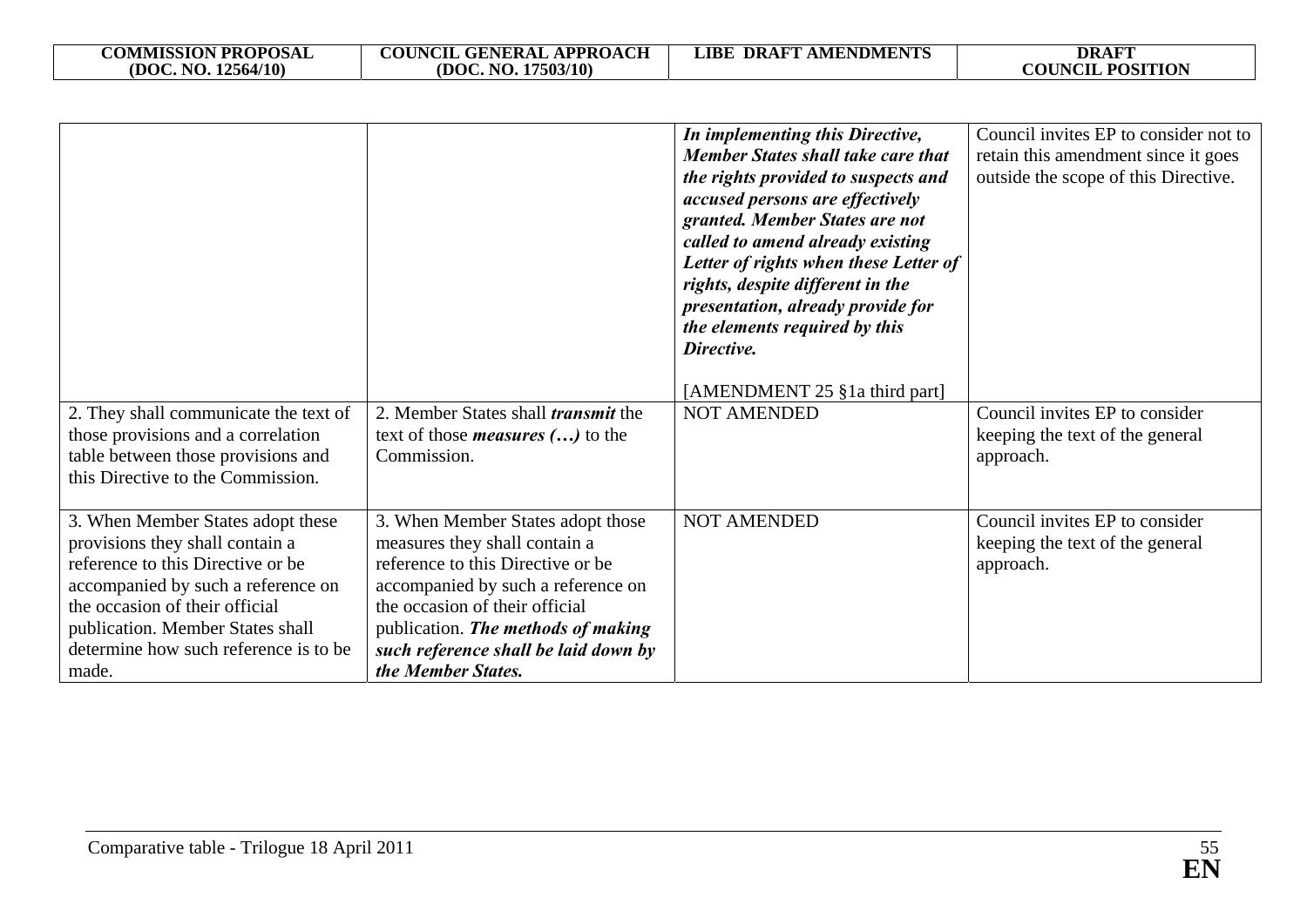| <b>COMMISSION PROPOSAL</b> | <b>COUNCIL GENERAL APPROACH</b> | <b>LIBE DRAFT AMENDMENTS</b> | <b>DRAFT</b>               |
|----------------------------|---------------------------------|------------------------------|----------------------------|
| (DOC. NO. 12564/10)        | (DOC. NO. 17503/10)             |                              | <b>POSITION</b><br>COUNCIL |

|                                                                                                                                                                                                                                                                         |                                                                                                                                                                                                                                                                                     | In implementing this Directive,<br><b>Member States shall take care that</b><br>the rights provided to suspects and<br>accused persons are effectively<br>granted. Member States are not<br>called to amend already existing<br>Letter of rights when these Letter of<br>rights, despite different in the<br>presentation, already provide for<br>the elements required by this<br>Directive.<br>[AMENDMENT 25 §1a third part] | Council invites EP to consider not to<br>retain this amendment since it goes<br>outside the scope of this Directive. |
|-------------------------------------------------------------------------------------------------------------------------------------------------------------------------------------------------------------------------------------------------------------------------|-------------------------------------------------------------------------------------------------------------------------------------------------------------------------------------------------------------------------------------------------------------------------------------|--------------------------------------------------------------------------------------------------------------------------------------------------------------------------------------------------------------------------------------------------------------------------------------------------------------------------------------------------------------------------------------------------------------------------------|----------------------------------------------------------------------------------------------------------------------|
| 2. They shall communicate the text of<br>those provisions and a correlation<br>table between those provisions and<br>this Directive to the Commission.                                                                                                                  | 2. Member States shall <i>transmit</i> the<br>text of those <i>measures</i> $()$ to the<br>Commission.                                                                                                                                                                              | <b>NOT AMENDED</b>                                                                                                                                                                                                                                                                                                                                                                                                             | Council invites EP to consider<br>keeping the text of the general<br>approach.                                       |
| 3. When Member States adopt these<br>provisions they shall contain a<br>reference to this Directive or be<br>accompanied by such a reference on<br>the occasion of their official<br>publication. Member States shall<br>determine how such reference is to be<br>made. | 3. When Member States adopt those<br>measures they shall contain a<br>reference to this Directive or be<br>accompanied by such a reference on<br>the occasion of their official<br>publication. The methods of making<br>such reference shall be laid down by<br>the Member States. | <b>NOT AMENDED</b>                                                                                                                                                                                                                                                                                                                                                                                                             | Council invites EP to consider<br>keeping the text of the general<br>approach.                                       |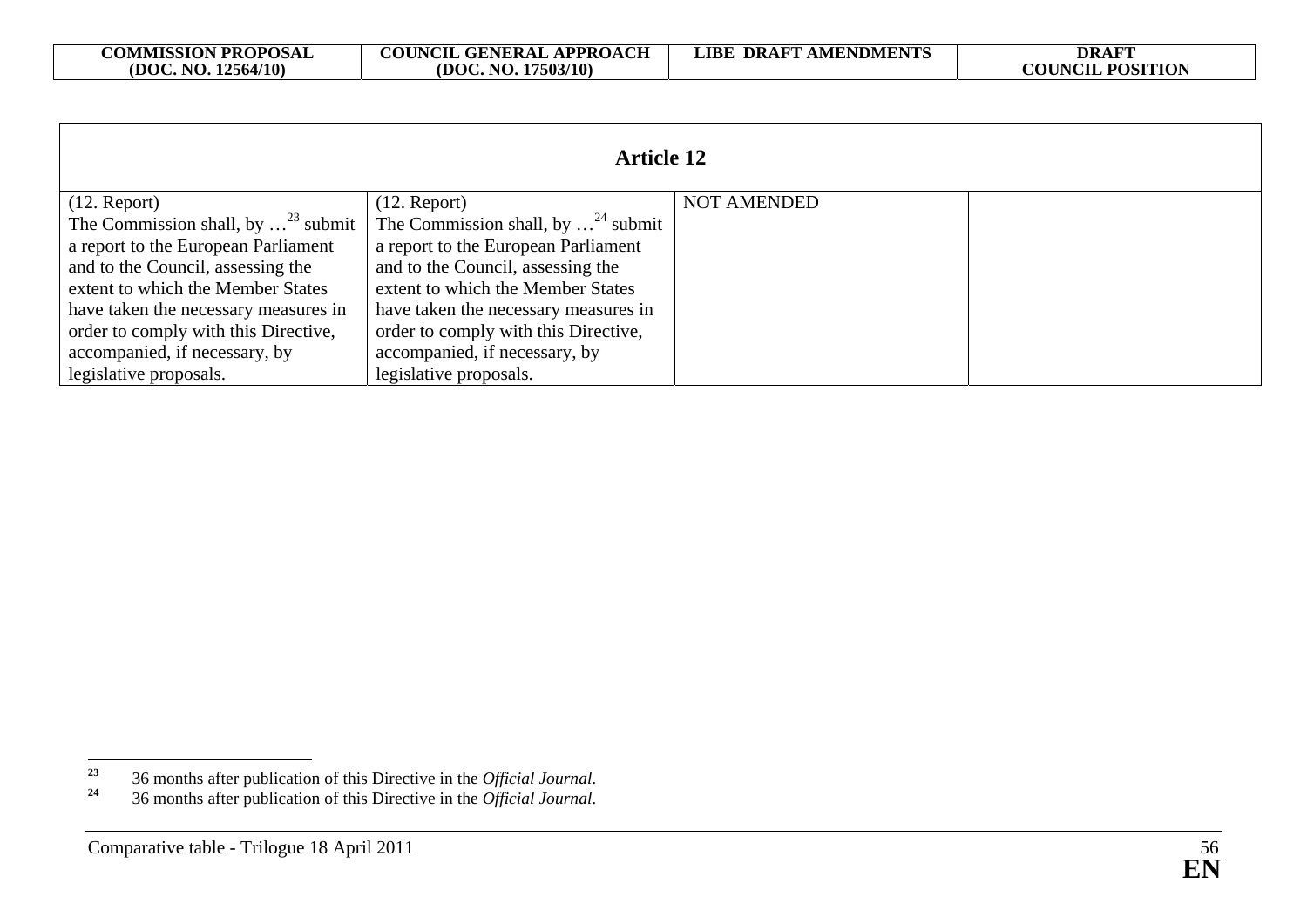| <b>Article 12</b>                             |                                               |                    |  |  |
|-----------------------------------------------|-----------------------------------------------|--------------------|--|--|
| $(12.$ Report)                                | $(12.$ Report)                                | <b>NOT AMENDED</b> |  |  |
| The Commission shall, by $\ldots^{23}$ submit | The Commission shall, by $\ldots^{24}$ submit |                    |  |  |
| a report to the European Parliament           | a report to the European Parliament           |                    |  |  |
| and to the Council, assessing the             | and to the Council, assessing the             |                    |  |  |
| extent to which the Member States             | extent to which the Member States             |                    |  |  |
| have taken the necessary measures in          | have taken the necessary measures in          |                    |  |  |
| order to comply with this Directive,          | order to comply with this Directive,          |                    |  |  |
| accompanied, if necessary, by                 | accompanied, if necessary, by                 |                    |  |  |
| legislative proposals.                        | legislative proposals.                        |                    |  |  |

**<sup>23</sup>** 36 months after publication of this Directive in the *Official Journal*.

**<sup>24</sup>** 36 months after publication of this Directive in the *Official Journal*.